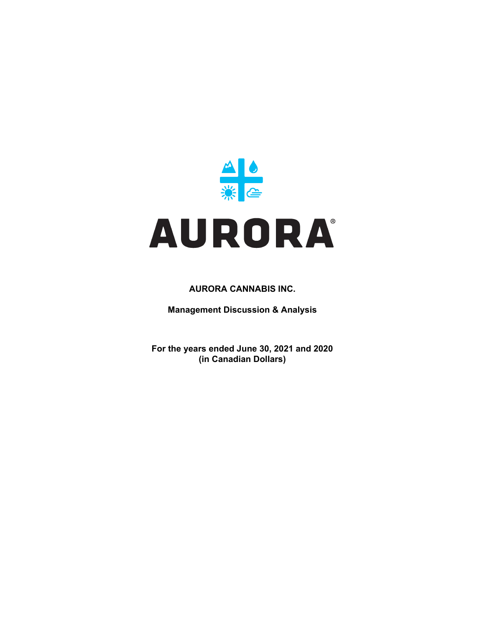

# **AURORA CANNABIS INC.**

**Management Discussion & Analysis**

**For the years ended June 30, 2021 and 2020 (in Canadian Dollars)**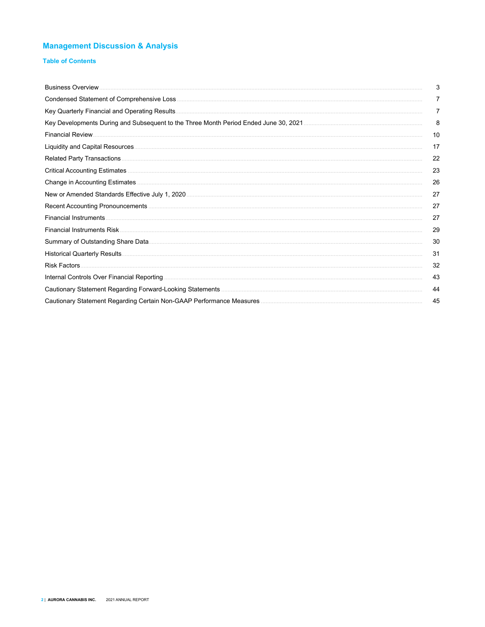# **Management Discussion & Analysis**

# **Table of Contents**

|                                                                                                                                                                 | 3  |
|-----------------------------------------------------------------------------------------------------------------------------------------------------------------|----|
|                                                                                                                                                                 | 7  |
|                                                                                                                                                                 | 7  |
|                                                                                                                                                                 | 8  |
|                                                                                                                                                                 | 10 |
|                                                                                                                                                                 | 17 |
|                                                                                                                                                                 | 22 |
|                                                                                                                                                                 | 23 |
|                                                                                                                                                                 | 26 |
|                                                                                                                                                                 | 27 |
|                                                                                                                                                                 | 27 |
|                                                                                                                                                                 | 27 |
|                                                                                                                                                                 | 29 |
|                                                                                                                                                                 | 30 |
|                                                                                                                                                                 | 31 |
|                                                                                                                                                                 | 32 |
|                                                                                                                                                                 | 43 |
|                                                                                                                                                                 | 44 |
| Cautionary Statement Regarding Certain Non-GAAP Performance Measures <b>Communications</b> Cautionary Statement Regarding Certain Non-GAAP Performance Measures | 45 |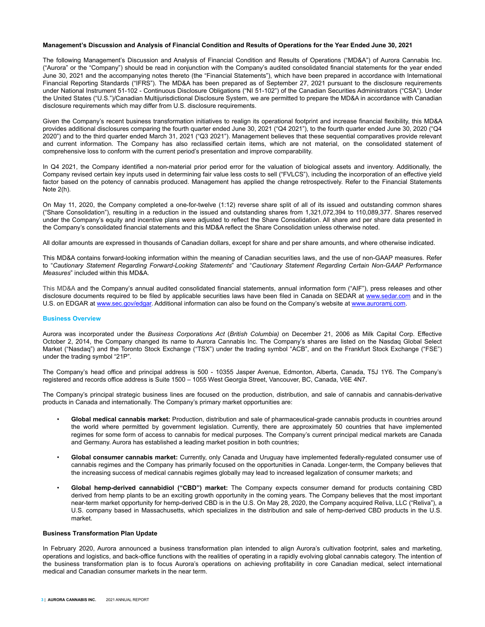# <span id="page-2-0"></span>**Management's Discussion and Analysis of Financial Condition and Results of Operations for the Year Ended June 30, 2021**

The following Management's Discussion and Analysis of Financial Condition and Results of Operations ("MD&A") of Aurora Cannabis Inc. ("Aurora" or the "Company") should be read in conjunction with the Company's audited consolidated financial statements for the year ended June 30, 2021 and the accompanying notes thereto (the "Financial Statements"), which have been prepared in accordance with International Financial Reporting Standards ("IFRS"). The MD&A has been prepared as of September 27, 2021 pursuant to the disclosure requirements under National Instrument 51-102 - Continuous Disclosure Obligations ("NI 51-102") of the Canadian Securities Administrators ("CSA"). Under the United States ("U.S.")/Canadian Multijurisdictional Disclosure System, we are permitted to prepare the MD&A in accordance with Canadian disclosure requirements which may differ from U.S. disclosure requirements.

Given the Company's recent business transformation initiatives to realign its operational footprint and increase financial flexibility, this MD&A provides additional disclosures comparing the fourth quarter ended June 30, 2021 ("Q4 2021"), to the fourth quarter ended June 30, 2020 ("Q4 2020") and to the third quarter ended March 31, 2021 ("Q3 2021"). Management believes that these sequential comparatives provide relevant and current information. The Company has also reclassified certain items, which are not material, on the consolidated statement of comprehensive loss to conform with the current period's presentation and improve comparability.

In Q4 2021, the Company identified a non-material prior period error for the valuation of biological assets and inventory. Additionally, the Company revised certain key inputs used in determining fair value less costs to sell ("FVLCS"), including the incorporation of an effective yield factor based on the potency of cannabis produced. Management has applied the change retrospectively. Refer to the Financial Statements Note 2(h).

On May 11, 2020, the Company completed a one-for-twelve (1:12) reverse share split of all of its issued and outstanding common shares ("Share Consolidation"), resulting in a reduction in the issued and outstanding shares from 1,321,072,394 to 110,089,377. Shares reserved under the Company's equity and incentive plans were adjusted to reflect the Share Consolidation. All share and per share data presented in the Company's consolidated financial statements and this MD&A reflect the Share Consolidation unless otherwise noted.

All dollar amounts are expressed in thousands of Canadian dollars, except for share and per share amounts, and where otherwise indicated.

This MD&A contains forward-looking information within the meaning of Canadian securities laws, and the use of non-GAAP measures. Refer to "*Cautionary Statement Regarding Forward-Looking Statements*" and "*Cautionary Statement Regarding Certain Non-GAAP Performance Measures*" included within this MD&A.

This MD&A and the Company's annual audited consolidated financial statements, annual information form ("AIF"), press releases and other disclosure documents required to be filed by applicable securities laws have been filed in Canada on SEDAR at www.sedar.com and in the U.S. on EDGAR at www.sec.gov/edgar. Additional information can also be found on the Company's website at www.auroramj.com.

# **Business Overview**

Aurora was incorporated under the *Business Corporations Act* (*British Columbia)* on December 21, 2006 as Milk Capital Corp. Effective October 2, 2014, the Company changed its name to Aurora Cannabis Inc. The Company's shares are listed on the Nasdaq Global Select Market ("Nasdaq") and the Toronto Stock Exchange ("TSX") under the trading symbol "ACB", and on the Frankfurt Stock Exchange ("FSE") under the trading symbol "21P".

The Company's head office and principal address is 500 - 10355 Jasper Avenue, Edmonton, Alberta, Canada, T5J 1Y6. The Company's registered and records office address is Suite 1500 – 1055 West Georgia Street, Vancouver, BC, Canada, V6E 4N7.

The Company's principal strategic business lines are focused on the production, distribution, and sale of cannabis and cannabis-derivative products in Canada and internationally. The Company's primary market opportunities are:

- **Global medical cannabis market:** Production, distribution and sale of pharmaceutical-grade cannabis products in countries around the world where permitted by government legislation. Currently, there are approximately 50 countries that have implemented regimes for some form of access to cannabis for medical purposes. The Company's current principal medical markets are Canada and Germany. Aurora has established a leading market position in both countries;
- **Global consumer cannabis market:** Currently, only Canada and Uruguay have implemented federally-regulated consumer use of cannabis regimes and the Company has primarily focused on the opportunities in Canada. Longer-term, the Company believes that the increasing success of medical cannabis regimes globally may lead to increased legalization of consumer markets; and
- **Global hemp-derived cannabidiol ("CBD") market:** The Company expects consumer demand for products containing CBD derived from hemp plants to be an exciting growth opportunity in the coming years. The Company believes that the most important near-term market opportunity for hemp-derived CBD is in the U.S. On May 28, 2020, the Company acquired Reliva, LLC ("Reliva"), a U.S. company based in Massachusetts, which specializes in the distribution and sale of hemp-derived CBD products in the U.S. market.

# **Business Transformation Plan Update**

In February 2020, Aurora announced a business transformation plan intended to align Aurora's cultivation footprint, sales and marketing, operations and logistics, and back-office functions with the realities of operating in a rapidly evolving global cannabis category. The intention of the business transformation plan is to focus Aurora's operations on achieving profitability in core Canadian medical, select international medical and Canadian consumer markets in the near term.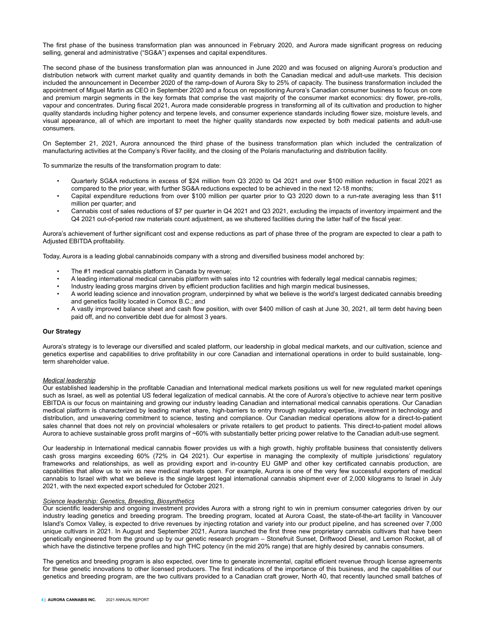The first phase of the business transformation plan was announced in February 2020, and Aurora made significant progress on reducing selling, general and administrative ("SG&A") expenses and capital expenditures.

The second phase of the business transformation plan was announced in June 2020 and was focused on aligning Aurora's production and distribution network with current market quality and quantity demands in both the Canadian medical and adult-use markets. This decision included the announcement in December 2020 of the ramp-down of Aurora Sky to 25% of capacity. The business transformation included the appointment of Miguel Martin as CEO in September 2020 and a focus on repositioning Aurora's Canadian consumer business to focus on core and premium margin segments in the key formats that comprise the vast majority of the consumer market economics: dry flower, pre-rolls, vapour and concentrates. During fiscal 2021, Aurora made considerable progress in transforming all of its cultivation and production to higher quality standards including higher potency and terpene levels, and consumer experience standards including flower size, moisture levels, and visual appearance, all of which are important to meet the higher quality standards now expected by both medical patients and adult-use consumers.

On September 21, 2021, Aurora announced the third phase of the business transformation plan which included the centralization of manufacturing activities at the Company's River facility, and the closing of the Polaris manufacturing and distribution facility.

To summarize the results of the transformation program to date:

- Quarterly SG&A reductions in excess of \$24 million from Q3 2020 to Q4 2021 and over \$100 million reduction in fiscal 2021 as compared to the prior year, with further SG&A reductions expected to be achieved in the next 12-18 months;
- Capital expenditure reductions from over \$100 million per quarter prior to Q3 2020 down to a run-rate averaging less than \$11 million per quarter; and
- Cannabis cost of sales reductions of \$7 per quarter in Q4 2021 and Q3 2021, excluding the impacts of inventory impairment and the Q4 2021 out-of-period raw materials count adjustment, as we shuttered facilities during the latter half of the fiscal year.

Aurora's achievement of further significant cost and expense reductions as part of phase three of the program are expected to clear a path to Adjusted EBITDA profitability.

Today, Aurora is a leading global cannabinoids company with a strong and diversified business model anchored by:

- The #1 medical cannabis platform in Canada by revenue;
- A leading international medical cannabis platform with sales into 12 countries with federally legal medical cannabis regimes;
- Industry leading gross margins driven by efficient production facilities and high margin medical businesses,
- A world leading science and innovation program, underpinned by what we believe is the world's largest dedicated cannabis breeding and genetics facility located in Comox B.C.; and
- A vastly improved balance sheet and cash flow position, with over \$400 million of cash at June 30, 2021, all term debt having been paid off, and no convertible debt due for almost 3 years.

# **Our Strategy**

Aurora's strategy is to leverage our diversified and scaled platform, our leadership in global medical markets, and our cultivation, science and genetics expertise and capabilities to drive profitability in our core Canadian and international operations in order to build sustainable, longterm shareholder value.

# *Medical leadership*

Our established leadership in the profitable Canadian and International medical markets positions us well for new regulated market openings such as Israel, as well as potential US federal legalization of medical cannabis. At the core of Aurora's objective to achieve near term positive EBITDA is our focus on maintaining and growing our industry leading Canadian and international medical cannabis operations. Our Canadian medical platform is characterized by leading market share, high-barriers to entry through regulatory expertise, investment in technology and distribution, and unwavering commitment to science, testing and compliance. Our Canadian medical operations allow for a direct-to-patient sales channel that does not rely on provincial wholesalers or private retailers to get product to patients. This direct-to-patient model allows Aurora to achieve sustainable gross profit margins of ~60% with substantially better pricing power relative to the Canadian adult-use segment.

Our leadership in International medical cannabis flower provides us with a high growth, highly profitable business that consistently delivers cash gross margins exceeding 60% (72% in Q4 2021). Our expertise in managing the complexity of multiple jurisdictions' regulatory frameworks and relationships, as well as providing export and in-country EU GMP and other key certificated cannabis production, are capabilities that allow us to win as new medical markets open. For example, Aurora is one of the very few successful exporters of medical cannabis to Israel with what we believe is the single largest legal international cannabis shipment ever of 2,000 kilograms to Israel in July 2021, with the next expected export scheduled for October 2021.

#### *Science leadership: Genetics, Breeding, Biosynthetics*

Our scientific leadership and ongoing investment provides Aurora with a strong right to win in premium consumer categories driven by our industry leading genetics and breeding program. The breeding program, located at Aurora Coast, the state-of-the-art facility in Vancouver Island's Comox Valley, is expected to drive revenues by injecting rotation and variety into our product pipeline, and has screened over 7,000 unique cultivars in 2021. In August and September 2021, Aurora launched the first three new proprietary cannabis cultivars that have been genetically engineered from the ground up by our genetic research program – Stonefruit Sunset, Driftwood Diesel, and Lemon Rocket, all of which have the distinctive terpene profiles and high THC potency (in the mid 20% range) that are highly desired by cannabis consumers.

The genetics and breeding program is also expected, over time to generate incremental, capital efficient revenue through license agreements for these genetic innovations to other licensed producers. The first indications of the importance of this business, and the capabilities of our genetics and breeding program, are the two cultivars provided to a Canadian craft grower, North 40, that recently launched small batches of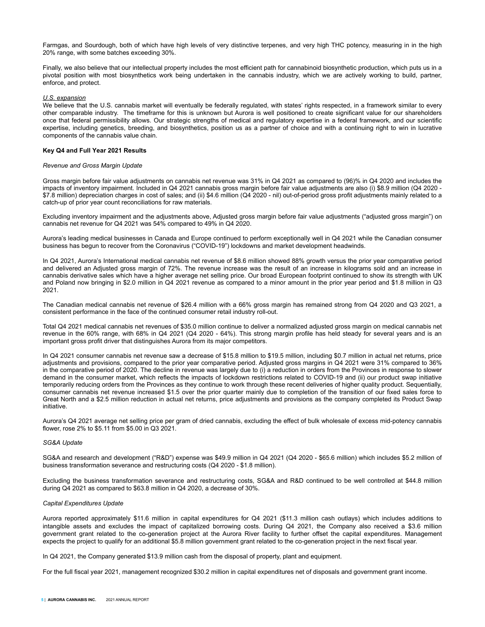Farmgas, and Sourdough, both of which have high levels of very distinctive terpenes, and very high THC potency, measuring in in the high 20% range, with some batches exceeding 30%.

Finally, we also believe that our intellectual property includes the most efficient path for cannabinoid biosynthetic production, which puts us in a pivotal position with most biosynthetics work being undertaken in the cannabis industry, which we are actively working to build, partner, enforce, and protect.

# *U.S. expansion*

We believe that the U.S. cannabis market will eventually be federally regulated, with states' rights respected, in a framework similar to every other comparable industry. The timeframe for this is unknown but Aurora is well positioned to create significant value for our shareholders once that federal permissibility allows. Our strategic strengths of medical and regulatory expertise in a federal framework, and our scientific expertise, including genetics, breeding, and biosynthetics, position us as a partner of choice and with a continuing right to win in lucrative components of the cannabis value chain.

# **Key Q4 and Full Year 2021 Results**

# *Revenue and Gross Margin Update*

Gross margin before fair value adjustments on cannabis net revenue was 31% in Q4 2021 as compared to (96)% in Q4 2020 and includes the impacts of inventory impairment. Included in Q4 2021 cannabis gross margin before fair value adjustments are also (i) \$8.9 million (Q4 2020 - \$7.8 million) depreciation charges in cost of sales; and (ii) \$4.6 million (Q4 2020 - nil) out-of-period gross profit adjustments mainly related to a catch-up of prior year count reconciliations for raw materials.

Excluding inventory impairment and the adjustments above, Adjusted gross margin before fair value adjustments ("adjusted gross margin") on cannabis net revenue for Q4 2021 was 54% compared to 49% in Q4 2020.

Aurora's leading medical businesses in Canada and Europe continued to perform exceptionally well in Q4 2021 while the Canadian consumer business has begun to recover from the Coronavirus ("COVID-19") lockdowns and market development headwinds.

In Q4 2021, Aurora's International medical cannabis net revenue of \$8.6 million showed 88% growth versus the prior year comparative period and delivered an Adjusted gross margin of 72%. The revenue increase was the result of an increase in kilograms sold and an increase in cannabis derivative sales which have a higher average net selling price. Our broad European footprint continued to show its strength with UK and Poland now bringing in \$2.0 million in Q4 2021 revenue as compared to a minor amount in the prior year period and \$1.8 million in Q3 2021.

The Canadian medical cannabis net revenue of \$26.4 million with a 66% gross margin has remained strong from Q4 2020 and Q3 2021, a consistent performance in the face of the continued consumer retail industry roll-out.

Total Q4 2021 medical cannabis net revenues of \$35.0 million continue to deliver a normalized adjusted gross margin on medical cannabis net revenue in the 60% range, with 68% in Q4 2021 (Q4 2020 - 64%). This strong margin profile has held steady for several years and is an important gross profit driver that distinguishes Aurora from its major competitors.

In Q4 2021 consumer cannabis net revenue saw a decrease of \$15.8 million to \$19.5 million, including \$0.7 million in actual net returns, price adjustments and provisions, compared to the prior year comparative period. Adjusted gross margins in Q4 2021 were 31% compared to 36% in the comparative period of 2020. The decline in revenue was largely due to (i) a reduction in orders from the Provinces in response to slower demand in the consumer market, which reflects the impacts of lockdown restrictions related to COVID-19 and (ii) our product swap initiative temporarily reducing orders from the Provinces as they continue to work through these recent deliveries of higher quality product. Sequentially, consumer cannabis net revenue increased \$1.5 over the prior quarter mainly due to completion of the transition of our fixed sales force to Great North and a \$2.5 million reduction in actual net returns, price adjustments and provisions as the company completed its Product Swap initiative.

Aurora's Q4 2021 average net selling price per gram of dried cannabis, excluding the effect of bulk wholesale of excess mid-potency cannabis flower, rose 2% to \$5.11 from \$5.00 in Q3 2021.

# *SG&A Update*

SG&A and research and development ("R&D") expense was \$49.9 million in Q4 2021 (Q4 2020 - \$65.6 million) which includes \$5.2 million of business transformation severance and restructuring costs (Q4 2020 - \$1.8 million).

Excluding the business transformation severance and restructuring costs, SG&A and R&D continued to be well controlled at \$44.8 million during Q4 2021 as compared to \$63.8 million in Q4 2020, a decrease of 30%.

# *Capital Expenditures Update*

Aurora reported approximately \$11.6 million in capital expenditures for Q4 2021 (\$11.3 million cash outlays) which includes additions to intangible assets and excludes the impact of capitalized borrowing costs. During Q4 2021, the Company also received a \$3.6 million government grant related to the co-generation project at the Aurora River facility to further offset the capital expenditures. Management expects the project to qualify for an additional \$5.8 million government grant related to the co-generation project in the next fiscal year.

In Q4 2021, the Company generated \$13.9 million cash from the disposal of property, plant and equipment.

For the full fiscal year 2021, management recognized \$30.2 million in capital expenditures net of disposals and government grant income.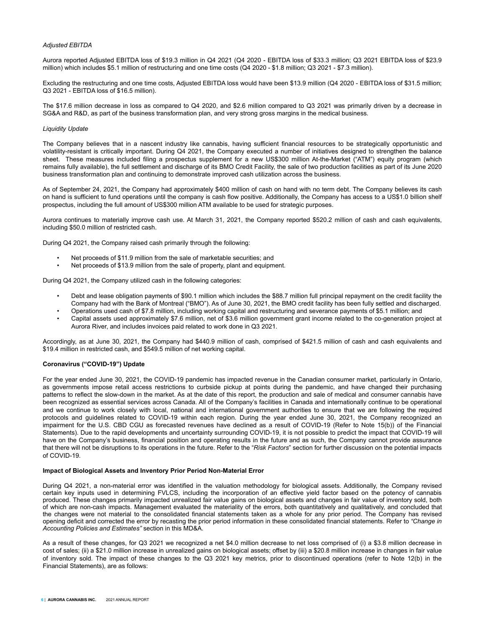# *Adjusted EBITDA*

Aurora reported Adjusted EBITDA loss of \$19.3 million in Q4 2021 (Q4 2020 - EBITDA loss of \$33.3 million; Q3 2021 EBITDA loss of \$23.9 million) which includes \$5.1 million of restructuring and one time costs (Q4 2020 - \$1.8 million; Q3 2021 - \$7.3 million).

Excluding the restructuring and one time costs, Adjusted EBITDA loss would have been \$13.9 million (Q4 2020 - EBITDA loss of \$31.5 million; Q3 2021 - EBITDA loss of \$16.5 million).

The \$17.6 million decrease in loss as compared to Q4 2020, and \$2.6 million compared to Q3 2021 was primarily driven by a decrease in SG&A and R&D, as part of the business transformation plan, and very strong gross margins in the medical business.

# *Liquidity Update*

The Company believes that in a nascent industry like cannabis, having sufficient financial resources to be strategically opportunistic and volatility-resistant is critically important. During Q4 2021, the Company executed a number of initiatives designed to strengthen the balance sheet. These measures included filing a prospectus supplement for a new US\$300 million At-the-Market ("ATM") equity program (which remains fully available), the full settlement and discharge of its BMO Credit Facility, the sale of two production facilities as part of its June 2020 business transformation plan and continuing to demonstrate improved cash utilization across the business.

As of September 24, 2021, the Company had approximately \$400 million of cash on hand with no term debt. The Company believes its cash on hand is sufficient to fund operations until the company is cash flow positive. Additionally, the Company has access to a US\$1.0 billion shelf prospectus, including the full amount of US\$300 million ATM available to be used for strategic purposes.

Aurora continues to materially improve cash use. At March 31, 2021, the Company reported \$520.2 million of cash and cash equivalents, including \$50.0 million of restricted cash.

During Q4 2021, the Company raised cash primarily through the following:

- Net proceeds of \$11.9 million from the sale of marketable securities; and
- Net proceeds of \$13.9 million from the sale of property, plant and equipment.

During Q4 2021, the Company utilized cash in the following categories:

- Debt and lease obligation payments of \$90.1 million which includes the \$88.7 million full principal repayment on the credit facility the Company had with the Bank of Montreal ("BMO"). As of June 30, 2021, the BMO credit facility has been fully settled and discharged.
- Operations used cash of \$7.8 million, including working capital and restructuring and severance payments of \$5.1 million; and
- Capital assets used approximately \$7.6 million, net of \$3.6 million government grant income related to the co-generation project at Aurora River, and includes invoices paid related to work done in Q3 2021.

Accordingly, as at June 30, 2021, the Company had \$440.9 million of cash, comprised of \$421.5 million of cash and cash equivalents and \$19.4 million in restricted cash, and \$549.5 million of net working capital.

# **Coronavirus ("COVID-19") Update**

For the year ended June 30, 2021, the COVID-19 pandemic has impacted revenue in the Canadian consumer market, particularly in Ontario, as governments impose retail access restrictions to curbside pickup at points during the pandemic, and have changed their purchasing patterns to reflect the slow-down in the market. As at the date of this report, the production and sale of medical and consumer cannabis have been recognized as essential services across Canada. All of the Company's facilities in Canada and internationally continue to be operational and we continue to work closely with local, national and international government authorities to ensure that we are following the required protocols and guidelines related to COVID-19 within each region. During the year ended June 30, 2021, the Company recognized an impairment for the U.S. CBD CGU as forecasted revenues have declined as a result of COVID-19 (Refer to Note 15(b)) of the Financial Statements). Due to the rapid developments and uncertainty surrounding COVID-19, it is not possible to predict the impact that COVID-19 will have on the Company's business, financial position and operating results in the future and as such, the Company cannot provide assurance that there will not be disruptions to its operations in the future. Refer to the "*Risk Factors*" section for further discussion on the potential impacts of COVID-19.

# **Impact of Biological Assets and Inventory Prior Period Non-Material Error**

During Q4 2021, a non-material error was identified in the valuation methodology for biological assets. Additionally, the Company revised certain key inputs used in determining FVLCS, including the incorporation of an effective yield factor based on the potency of cannabis produced. These changes primarily impacted unrealized fair value gains on biological assets and changes in fair value of inventory sold, both of which are non-cash impacts. Management evaluated the materiality of the errors, both quantitatively and qualitatively, and concluded that the changes were not material to the consolidated financial statements taken as a whole for any prior period. The Company has revised opening deficit and corrected the error by recasting the prior period information in these consolidated financial statements. Refer to *"Change in Accounting Policies and Estimates"* section in this MD&A.

As a result of these changes, for Q3 2021 we recognized a net \$4.0 million decrease to net loss comprised of (i) a \$3.8 million decrease in cost of sales; (ii) a \$21.0 million increase in unrealized gains on biological assets; offset by (iii) a \$20.8 million increase in changes in fair value of inventory sold. The impact of these changes to the Q3 2021 key metrics, prior to discontinued operations (refer to Note 12(b) in the Financial Statements), are as follows: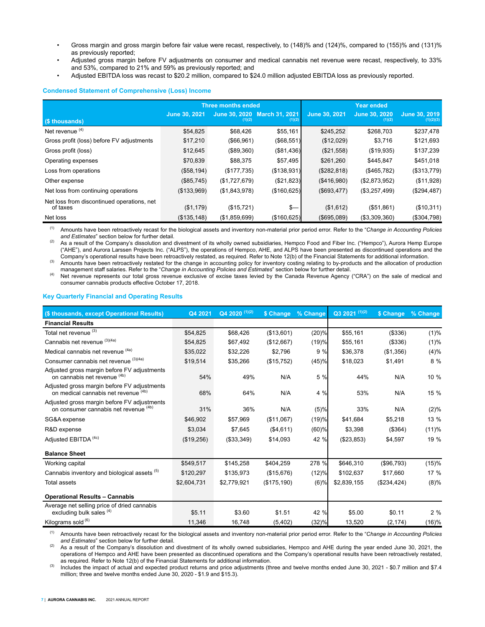- <span id="page-6-0"></span>• Gross margin and gross margin before fair value were recast, respectively, to (148)% and (124)%, compared to (155)% and (131)% as previously reported;
- Adjusted gross margin before FV adjustments on consumer and medical cannabis net revenue were recast, respectively, to 33% and 53%, compared to 21% and 59% as previously reported; and
- Adjusted EBITDA loss was recast to \$20.2 million, compared to \$24.0 million adjusted EBITDA loss as previously reported.

# **Condensed Statement of Comprehensive (Loss) Income**

|                                                        |               | <b>Three months ended</b> |                                        |                | <b>Year ended</b>       |                            |
|--------------------------------------------------------|---------------|---------------------------|----------------------------------------|----------------|-------------------------|----------------------------|
| (\$ thousands)                                         | June 30, 2021 | (1)(2)                    | June 30, 2020 March 31, 2021<br>(1)(2) | June 30, 2021  | June 30, 2020<br>(1)(2) | June 30, 2019<br>(1)(2)(3) |
| Net revenue (4)                                        | \$54,825      | \$68,426                  | \$55,161                               | \$245,252      | \$268,703               | \$237,478                  |
| Gross profit (loss) before FV adjustments              | \$17,210      | (\$66,961)                | (\$68,551)                             | (\$12,029)     | \$3,716                 | \$121,693                  |
| Gross profit (loss)                                    | \$12,645      | (\$89,360)                | (\$81,436)                             | (\$21,558)     | (\$19,935)              | \$137,239                  |
| Operating expenses                                     | \$70,839      | \$88,375                  | \$57,495                               | \$261,260      | \$445.847               | \$451,018                  |
| Loss from operations                                   | (\$58,194)    | (\$177,735)               | (\$138,931)                            | (\$282, 818)   | (\$465,782)             | (\$313,779)                |
| Other expense                                          | (\$85,745)    | (\$1,727,679)             | (\$21,823)                             | (\$416,980)    | (\$2,873,952)           | (\$11,928)                 |
| Net loss from continuing operations                    | (\$133,969)   | (\$1,843,978)             | (\$160,625)                            | (\$693,477)    | (\$3,257,499)           | (\$294,487)                |
| Net loss from discontinued operations, net<br>of taxes | (\$1,179)     | (\$15,721)                | \$—                                    | (\$1,612)      | (\$51,861)              | (\$10,311)                 |
| Net loss                                               | (\$135, 148)  | (\$1,859,699)             | (\$160,625)                            | $($ \$695,089) | (\$3,309,360)           | (\$304,798)                |

(1) Amounts have been retroactively recast for the biological assets and inventory non-material prior period error. Refer to the "*Change in Accounting Policies and Estimates*" section below for further detail.

 $(2)$  As a result of the Company's dissolution and divestment of its wholly owned subsidiaries, Hempco Food and Fiber Inc. ("Hempco"), Aurora Hemp Europe ("AHE"), and Aurora Larssen Projects Inc. ("ALPS"), the operations of Hempco, AHE, and ALPS have been presented as discontinued operations and the Company's operational results have been retroactively restated, as required. Refer to Note 12(b) of the Financial Statements for additional information.

(3) Amounts have been retroactively restated for the change in accounting policy for inventory costing relating to by-products and the allocation of production management staff salaries. Refer to the "*Change in Accounting Policies and Estimates*" section below for further detail.

(4) Net revenue represents our total gross revenue exclusive of excise taxes levied by the Canada Revenue Agency ("CRA") on the sale of medical and consumer cannabis products effective October 17, 2018.

# **Key Quarterly Financial and Operating Results**

| (\$ thousands, except Operational Results)                                           | Q4 2021     | $\overline{Q4}$ 2020 <sup>(1)(2)</sup> | \$ Change   | % Change | Q3 2021 (1)(2) | \$ Change   | % Change |
|--------------------------------------------------------------------------------------|-------------|----------------------------------------|-------------|----------|----------------|-------------|----------|
| <b>Financial Results</b>                                                             |             |                                        |             |          |                |             |          |
| Total net revenue (3)                                                                | \$54,825    | \$68,426                               | (\$13,601)  | (20)%    | \$55.161       | (\$336)     | (1)%     |
| Cannabis net revenue (3)(4a)                                                         | \$54,825    | \$67,492                               | (\$12,667)  | (19)%    | \$55,161       | ( \$336)    | (1)%     |
| Medical cannabis net revenue (4a)                                                    | \$35,022    | \$32,226                               | \$2,796     | 9%       | \$36,378       | (\$1,356)   | (4)%     |
| Consumer cannabis net revenue (3)(4a)                                                | \$19,514    | \$35,266                               | (\$15,752)  | (45)%    | \$18,023       | \$1,491     | 8 %      |
| Adjusted gross margin before FV adjustments<br>on cannabis net revenue (4b)          | 54%         | 49%                                    | N/A         | 5 %      | 44%            | N/A         | 10 %     |
| Adjusted gross margin before FV adjustments<br>on medical cannabis net revenue (4b)  | 68%         | 64%                                    | N/A         | 4 %      | 53%            | N/A         | 15 %     |
| Adjusted gross margin before FV adjustments<br>on consumer cannabis net revenue (4b) | 31%         | 36%                                    | N/A         | (5)%     | 33%            | N/A         | (2)%     |
| SG&A expense                                                                         | \$46,902    | \$57,969                               | (\$11,067)  | (19)%    | \$41,684       | \$5,218     | 13 %     |
| R&D expense                                                                          | \$3.034     | \$7,645                                | ( \$4,611)  | (60)%    | \$3,398        | (\$364)     | (11)%    |
| Adjusted EBITDA <sup>(4c)</sup>                                                      | (\$19,256)  | (\$33,349)                             | \$14,093    | 42 %     | (\$23,853)     | \$4,597     | 19 %     |
| <b>Balance Sheet</b>                                                                 |             |                                        |             |          |                |             |          |
| Working capital                                                                      | \$549,517   | \$145,258                              | \$404,259   | 278 %    | \$646,310      | (\$96,793)  | (15)%    |
| Cannabis inventory and biological assets (5)                                         | \$120,297   | \$135,973                              | (\$15,676)  | (12)%    | \$102,637      | \$17,660    | 17 %     |
| <b>Total assets</b>                                                                  | \$2,604,731 | \$2,779,921                            | (\$175,190) | $(6)$ %  | \$2,839,155    | (\$234,424) | $(8)\%$  |
| <b>Operational Results - Cannabis</b>                                                |             |                                        |             |          |                |             |          |
| Average net selling price of dried cannabis<br>excluding bulk sales (4)              | \$5.11      | \$3.60                                 | \$1.51      | 42 %     | \$5.00         | \$0.11      | 2%       |
| Kilograms sold (6)                                                                   | 11,346      | 16,748                                 | (5,402)     | (32)%    | 13,520         | (2, 174)    | (16)%    |

(1) Amounts have been retroactively recast for the biological assets and inventory non-material prior period error. Refer to the "*Change in Accounting Policies and Estimates*" section below for further detail.

As a result of the Company's dissolution and divestment of its wholly owned subsidiaries, Hempco and AHE during the year ended June 30, 2021, the operations of Hempco and AHE have been presented as discontinued operations and the Company's operational results have been retroactively restated, as required. Refer to Note 12(b) of the Financial Statements for additional information.

(3) Includes the impact of actual and expected product returns and price adjustments (three and twelve months ended June 30, 2021 - \$0.7 million and \$7.4 million; three and twelve months ended June 30, 2020 - \$1.9 and \$15.3).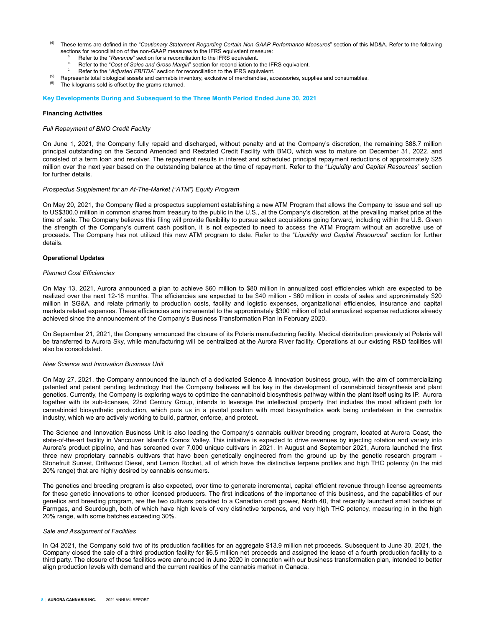- <span id="page-7-0"></span>(4) These terms are defined in the "*Cautionary Statement Regarding Certain Non-GAAP Performance Measures*" section of this MD&A. Refer to the following sections for reconciliation of the non-GAAP measures to the IFRS equivalent measure:
	- Refer to the "Revenue" section for a reconciliation to the IFRS equivalent.
	- b. Refer to the "*Cost of Sales and Gross Margin*" section for reconciliation to the IFRS equivalent.
	- Refer to the "Adjusted EBITDA" section for reconciliation to the IFRS equivalent.
- <sup>(5)</sup> Represents total biological assets and cannabis inventory, exclusive of merchandise, accessories, supplies and consumables.
- The kilograms sold is offset by the grams returned.

#### **Key Developments During and Subsequent to the Three Month Period Ended June 30, 2021**

#### **Financing Activities**

#### *Full Repayment of BMO Credit Facility*

On June 1, 2021, the Company fully repaid and discharged, without penalty and at the Company's discretion, the remaining \$88.7 million principal outstanding on the Second Amended and Restated Credit Facility with BMO, which was to mature on December 31, 2022, and consisted of a term loan and revolver. The repayment results in interest and scheduled principal repayment reductions of approximately \$25 million over the next year based on the outstanding balance at the time of repayment. Refer to the "*Liquidity and Capital Resources*" section for further details.

#### *Prospectus Supplement for an At-The-Market ("ATM") Equity Program*

On May 20, 2021, the Company filed a prospectus supplement establishing a new ATM Program that allows the Company to issue and sell up to US\$300.0 million in common shares from treasury to the public in the U.S., at the Company's discretion, at the prevailing market price at the time of sale. The Company believes this filing will provide flexibility to pursue select acquisitions going forward, including within the U.S. Given the strength of the Company's current cash position, it is not expected to need to access the ATM Program without an accretive use of proceeds. The Company has not utilized this new ATM program to date. Refer to the "*Liquidity and Capital Resources*" section for further details.

#### **Operational Updates**

### *Planned Cost Efficiencies*

On May 13, 2021, Aurora announced a plan to achieve \$60 million to \$80 million in annualized cost efficiencies which are expected to be realized over the next 12-18 months. The efficiencies are expected to be \$40 million - \$60 million in costs of sales and approximately \$20 million in SG&A, and relate primarily to production costs, facility and logistic expenses, organizational efficiencies, insurance and capital markets related expenses. These efficiencies are incremental to the approximately \$300 million of total annualized expense reductions already achieved since the announcement of the Company's Business Transformation Plan in February 2020.

On September 21, 2021, the Company announced the closure of its Polaris manufacturing facility. Medical distribution previously at Polaris will be transferred to Aurora Sky, while manufacturing will be centralized at the Aurora River facility. Operations at our existing R&D facilities will also be consolidated.

# *New Science and Innovation Business Unit*

On May 27, 2021, the Company announced the launch of a dedicated Science & Innovation business group, with the aim of commercializing patented and patent pending technology that the Company believes will be key in the development of cannabinoid biosynthesis and plant genetics. Currently, the Company is exploring ways to optimize the cannabinoid biosynthesis pathway within the plant itself using its IP. Aurora together with its sub-licensee, 22nd Century Group, intends to leverage the intellectual property that includes the most efficient path for cannabinoid biosynthetic production, which puts us in a pivotal position with most biosynthetics work being undertaken in the cannabis industry, which we are actively working to build, partner, enforce, and protect.

The Science and Innovation Business Unit is also leading the Company's cannabis cultivar breeding program, located at Aurora Coast, the state-of-the-art facility in Vancouver Island's Comox Valley. This initiative is expected to drive revenues by injecting rotation and variety into Aurora's product pipeline, and has screened over 7,000 unique cultivars in 2021. In August and September 2021, Aurora launched the first three new proprietary cannabis cultivars that have been genetically engineered from the ground up by the genetic research program - Stonefruit Sunset, Driftwood Diesel, and Lemon Rocket, all of which have the distinctive terpene profiles and high THC potency (in the mid 20% range) that are highly desired by cannabis consumers.

The genetics and breeding program is also expected, over time to generate incremental, capital efficient revenue through license agreements for these genetic innovations to other licensed producers. The first indications of the importance of this business, and the capabilities of our genetics and breeding program, are the two cultivars provided to a Canadian craft grower, North 40, that recently launched small batches of Farmgas, and Sourdough, both of which have high levels of very distinctive terpenes, and very high THC potency, measuring in in the high 20% range, with some batches exceeding 30%.

#### *Sale and Assignment of Facilities*

In Q4 2021, the Company sold two of its production facilities for an aggregate \$13.9 million net proceeds. Subsequent to June 30, 2021, the Company closed the sale of a third production facility for \$6.5 million net proceeds and assigned the lease of a fourth production facility to a third party. The closure of these facilities were announced in June 2020 in connection with our business transformation plan, intended to better align production levels with demand and the current realities of the cannabis market in Canada.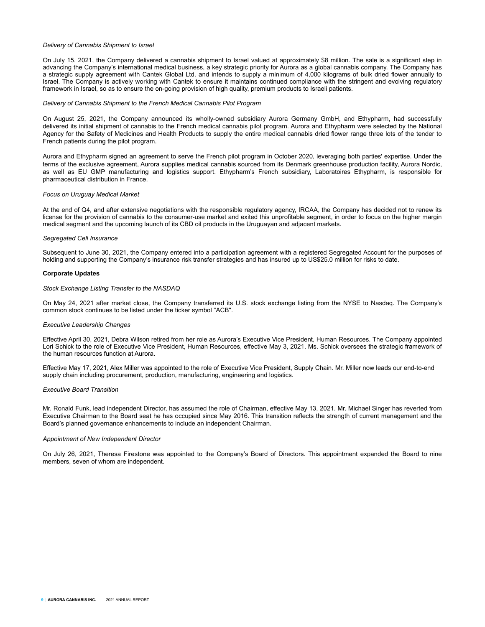#### *Delivery of Cannabis Shipment to Israel*

On July 15, 2021, the Company delivered a cannabis shipment to Israel valued at approximately \$8 million. The sale is a significant step in advancing the Company's international medical business, a key strategic priority for Aurora as a global cannabis company. The Company has a strategic supply agreement with Cantek Global Ltd. and intends to supply a minimum of 4,000 kilograms of bulk dried flower annually to Israel. The Company is actively working with Cantek to ensure it maintains continued compliance with the stringent and evolving regulatory framework in Israel, so as to ensure the on-going provision of high quality, premium products to Israeli patients.

## *Delivery of Cannabis Shipment to the French Medical Cannabis Pilot Program*

On August 25, 2021, the Company announced its wholly-owned subsidiary Aurora Germany GmbH, and Ethypharm, had successfully delivered its initial shipment of cannabis to the French medical cannabis pilot program. Aurora and Ethypharm were selected by the National Agency for the Safety of Medicines and Health Products to supply the entire medical cannabis dried flower range three lots of the tender to French patients during the pilot program.

Aurora and Ethypharm signed an agreement to serve the French pilot program in October 2020, leveraging both parties' expertise. Under the terms of the exclusive agreement, Aurora supplies medical cannabis sourced from its Denmark greenhouse production facility, Aurora Nordic, as well as EU GMP manufacturing and logistics support. Ethypharm's French subsidiary, Laboratoires Ethypharm, is responsible for pharmaceutical distribution in France.

#### *Focus on Uruguay Medical Market*

At the end of Q4, and after extensive negotiations with the responsible regulatory agency, IRCAA, the Company has decided not to renew its license for the provision of cannabis to the consumer-use market and exited this unprofitable segment, in order to focus on the higher margin medical segment and the upcoming launch of its CBD oil products in the Uruguayan and adjacent markets.

#### *Segregated Cell Insurance*

Subsequent to June 30, 2021, the Company entered into a participation agreement with a registered Segregated Account for the purposes of holding and supporting the Company's insurance risk transfer strategies and has insured up to US\$25.0 million for risks to date.

#### **Corporate Updates**

## *Stock Exchange Listing Transfer to the NASDAQ*

On May 24, 2021 after market close, the Company transferred its U.S. stock exchange listing from the NYSE to Nasdaq. The Company's common stock continues to be listed under the ticker symbol "ACB".

# *Executive Leadership Changes*

Effective April 30, 2021, Debra Wilson retired from her role as Aurora's Executive Vice President, Human Resources. The Company appointed Lori Schick to the role of Executive Vice President, Human Resources, effective May 3, 2021. Ms. Schick oversees the strategic framework of the human resources function at Aurora.

Effective May 17, 2021, Alex Miller was appointed to the role of Executive Vice President, Supply Chain. Mr. Miller now leads our end-to-end supply chain including procurement, production, manufacturing, engineering and logistics.

#### *Executive Board Transition*

Mr. Ronald Funk, lead independent Director, has assumed the role of Chairman, effective May 13, 2021. Mr. Michael Singer has reverted from Executive Chairman to the Board seat he has occupied since May 2016. This transition reflects the strength of current management and the Board's planned governance enhancements to include an independent Chairman.

#### *Appointment of New Independent Director*

On July 26, 2021, Theresa Firestone was appointed to the Company's Board of Directors. This appointment expanded the Board to nine members, seven of whom are independent.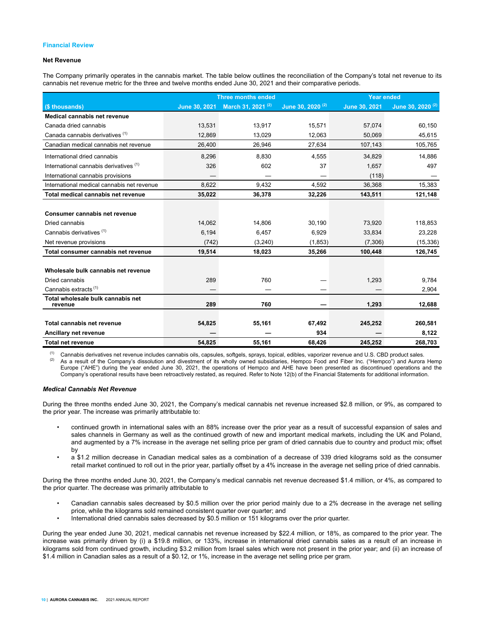# <span id="page-9-0"></span>**Financial Review**

# **Net Revenue**

The Company primarily operates in the cannabis market. The table below outlines the reconciliation of the Company's total net revenue to its cannabis net revenue metric for the three and twelve months ended June 30, 2021 and their comparative periods.

|                                                   | <b>Three months ended</b> |                               |                              | <b>Year ended</b> |                              |  |
|---------------------------------------------------|---------------------------|-------------------------------|------------------------------|-------------------|------------------------------|--|
| (\$ thousands)                                    | June 30, 2021             | March 31, 2021 <sup>(2)</sup> | June 30, 2020 <sup>(2)</sup> | June 30, 2021     | June 30, 2020 <sup>(2)</sup> |  |
| Medical cannabis net revenue                      |                           |                               |                              |                   |                              |  |
| Canada dried cannabis                             | 13,531                    | 13,917                        | 15,571                       | 57,074            | 60,150                       |  |
| Canada cannabis derivatives (1)                   | 12,869                    | 13,029                        | 12,063                       | 50,069            | 45,615                       |  |
| Canadian medical cannabis net revenue             | 26,400                    | 26,946                        | 27,634                       | 107,143           | 105,765                      |  |
| International dried cannabis                      | 8,296                     | 8.830                         | 4.555                        | 34.829            | 14.886                       |  |
| International cannabis derivatives <sup>(1)</sup> | 326                       | 602                           | 37                           | 1,657             | 497                          |  |
| International cannabis provisions                 |                           |                               |                              | (118)             |                              |  |
| International medical cannabis net revenue        | 8,622                     | 9,432                         | 4,592                        | 36,368            | 15,383                       |  |
| Total medical cannabis net revenue                | 35,022                    | 36,378                        | 32,226                       | 143,511           | 121,148                      |  |
|                                                   |                           |                               |                              |                   |                              |  |
| <b>Consumer cannabis net revenue</b>              |                           |                               |                              |                   |                              |  |
| Dried cannabis                                    | 14,062                    | 14,806                        | 30,190                       | 73,920            | 118,853                      |  |
| Cannabis derivatives <sup>(1)</sup>               | 6,194                     | 6,457                         | 6,929                        | 33,834            | 23,228                       |  |
| Net revenue provisions                            | (742)                     | (3, 240)                      | (1, 853)                     | (7,306)           | (15, 336)                    |  |
| Total consumer cannabis net revenue               | 19,514                    | 18,023                        | 35,266                       | 100,448           | 126,745                      |  |
|                                                   |                           |                               |                              |                   |                              |  |
| Wholesale bulk cannabis net revenue               |                           |                               |                              |                   |                              |  |
| Dried cannabis                                    | 289                       | 760                           |                              | 1,293             | 9,784                        |  |
| Cannabis extracts <sup>(1)</sup>                  |                           |                               |                              |                   | 2,904                        |  |
| Total wholesale bulk cannabis net<br>revenue      | 289                       | 760                           |                              | 1,293             | 12,688                       |  |
|                                                   |                           |                               |                              |                   |                              |  |
| Total cannabis net revenue                        | 54,825                    | 55,161                        | 67,492                       | 245,252           | 260,581                      |  |
| Ancillary net revenue                             |                           |                               | 934                          |                   | 8,122                        |  |
| <b>Total net revenue</b>                          | 54.825                    | 55,161                        | 68.426                       | 245,252           | 268.703                      |  |

(1) Cannabis derivatives net revenue includes cannabis oils, capsules, softgels, sprays, topical, edibles, vaporizer revenue and U.S. CBD product sales.<br>(2) As a result of the Campany's disaslution and diventment of its w As a result of the Company's dissolution and divestment of its wholly owned subsidiaries, Hempco Food and Fiber Inc. ("Hempco") and Aurora Hemp Europe ("AHE") during the year ended June 30, 2021, the operations of Hempco and AHE have been presented as discontinued operations and the Company's operational results have been retroactively restated, as required. Refer to Note 12(b) of the Financial Statements for additional information.

# *Medical Cannabis Net Revenue*

During the three months ended June 30, 2021, the Company's medical cannabis net revenue increased \$2.8 million, or 9%, as compared to the prior year. The increase was primarily attributable to:

- continued growth in international sales with an 88% increase over the prior year as a result of successful expansion of sales and sales channels in Germany as well as the continued growth of new and important medical markets, including the UK and Poland, and augmented by a 7% increase in the average net selling price per gram of dried cannabis due to country and product mix; offset by
- a \$1.2 million decrease in Canadian medical sales as a combination of a decrease of 339 dried kilograms sold as the consumer retail market continued to roll out in the prior year, partially offset by a 4% increase in the average net selling price of dried cannabis.

During the three months ended June 30, 2021, the Company's medical cannabis net revenue decreased \$1.4 million, or 4%, as compared to the prior quarter. The decrease was primarily attributable to

- Canadian cannabis sales decreased by \$0.5 million over the prior period mainly due to a 2% decrease in the average net selling price, while the kilograms sold remained consistent quarter over quarter; and
- International dried cannabis sales decreased by \$0.5 million or 151 kilograms over the prior quarter.

During the year ended June 30, 2021, medical cannabis net revenue increased by \$22.4 million, or 18%, as compared to the prior year. The increase was primarily driven by (i) a \$19.8 million, or 133%, increase in international dried cannabis sales as a result of an increase in kilograms sold from continued growth, including \$3.2 million from Israel sales which were not present in the prior year; and (ii) an increase of \$1.4 million in Canadian sales as a result of a \$0.12, or 1%, increase in the average net selling price per gram.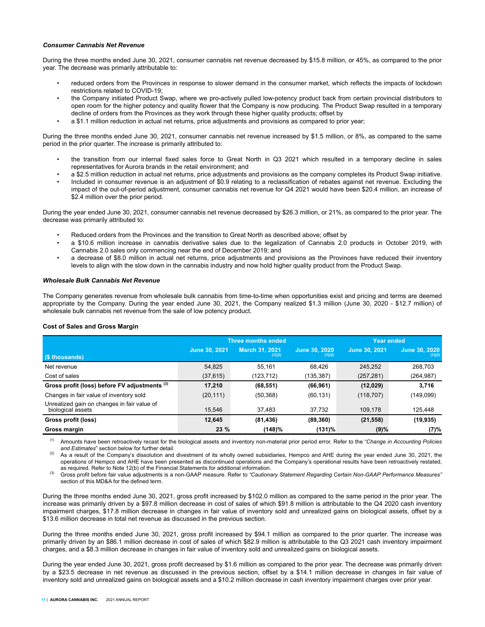# *Consumer Cannabis Net Revenue*

During the three months ended June 30, 2021, consumer cannabis net revenue decreased by \$15.8 million, or 45%, as compared to the prior year. The decrease was primarily attributable to:

- reduced orders from the Provinces in response to slower demand in the consumer market, which reflects the impacts of lockdown restrictions related to COVID-19;
- the Company initiated Product Swap, where we pro-actively pulled low-potency product back from certain provincial distributors to open room for the higher potency and quality flower that the Company is now producing. The Product Swap resulted in a temporary decline of orders from the Provinces as they work through these higher quality products; offset by
- a \$1.1 million reduction in actual net returns, price adjustments and provisions as compared to prior year;

During the three months ended June 30, 2021, consumer cannabis net revenue increased by \$1.5 million, or 8%, as compared to the same period in the prior quarter. The increase is primarily attributed to:

- the transition from our internal fixed sales force to Great North in Q3 2021 which resulted in a temporary decline in sales representatives for Aurora brands in the retail environment; and
- a \$2.5 million reduction in actual net returns, price adjustments and provisions as the company completes its Product Swap initiative. • Included in consumer revenue is an adjustment of \$0.9 relating to a reclassification of rebates against net revenue. Excluding the impact of the out-of-period adjustment, consumer cannabis net revenue for Q4 2021 would have been \$20.4 million, an increase of \$2.4 million over the prior period.

During the year ended June 30, 2021, consumer cannabis net revenue decreased by \$26.3 million, or 21%, as compared to the prior year. The decrease was primarily attributed to:

- Reduced orders from the Provinces and the transition to Great North as described above; offset by
- a \$10.6 million increase in cannabis derivative sales due to the legalization of Cannabis 2.0 products in October 2019, with Cannabis 2.0 sales only commencing near the end of December 2019; and
- a decrease of \$8.0 million in actual net returns, price adjustments and provisions as the Provinces have reduced their inventory levels to align with the slow down in the cannabis industry and now hold higher quality product from the Product Swap.

# *Wholesale Bulk Cannabis Net Revenue*

The Company generates revenue from wholesale bulk cannabis from time-to-time when opportunities exist and pricing and terms are deemed appropriate by the Company. During the year ended June 30, 2021, the Company realized \$1.3 million (June 30, 2020 - \$12.7 million) of wholesale bulk cannabis net revenue from the sale of low potency product.

# **Cost of Sales and Gross Margin**

|                                                                  |               | <b>Three months ended</b>       | Year ended              |               |                         |
|------------------------------------------------------------------|---------------|---------------------------------|-------------------------|---------------|-------------------------|
| (\$ thousands)                                                   | June 30, 2021 | <b>March 31, 2021</b><br>(1)(2) | June 30, 2020<br>(1)(2) | June 30, 2021 | June 30, 2020<br>(1)(2) |
| Net revenue                                                      | 54,825        | 55,161                          | 68.426                  | 245,252       | 268,703                 |
| Cost of sales                                                    | (37, 615)     | (123, 712)                      | (135,387)               | (257, 281)    | (264, 987)              |
| Gross profit (loss) before FV adjustments (3)                    | 17.210        | (68, 551)                       | (66, 961)               | (12,029)      | 3.716                   |
| Changes in fair value of inventory sold                          | (20, 111)     | (50, 368)                       | (60, 131)               | (118, 707)    | (149,099)               |
| Unrealized gain on changes in fair value of<br>biological assets | 15,546        | 37.483                          | 37,732                  | 109,178       | 125,448                 |
| Gross profit (loss)                                              | 12,645        | (81, 436)                       | (89, 360)               | (21, 558)     | (19, 935)               |
| Gross margin                                                     | 23 %          | (148)%                          | (131)%                  | (9)%          | (7)%                    |

(1) Amounts have been retroactively recast for the biological assets and inventory non-material prior period error. Refer to the "*Change in Accounting Policies and Estimates*" section below for further detail.

As a result of the Company's dissolution and divestment of its wholly owned subsidiaries, Hempco and AHE during the year ended June 30, 2021, the operations of Hempco and AHE have been presented as discontinued operations and the Company's operational results have been retroactively restated, as required. Refer to Note 12(b) of the Financial Statements for additional information.

(3) Gross profit before fair value adjustments is a non-GAAP measure. Refer to *"Cautionary Statement Regarding Certain Non-GAAP Performance Measures"* section of this MD&A for the defined term.

During the three months ended June 30, 2021, gross profit increased by \$102.0 million as compared to the same period in the prior year. The increase was primarily driven by a \$97.8 million decrease in cost of sales of which \$91.8 million is attributable to the Q4 2020 cash inventory impairment charges, \$17.8 million decrease in changes in fair value of inventory sold and unrealized gains on biological assets, offset by a \$13.6 million decrease in total net revenue as discussed in the previous section.

During the three months ended June 30, 2021, gross profit increased by \$94.1 million as compared to the prior quarter. The increase was primarily driven by an \$86.1 million decrease in cost of sales of which \$82.9 million is attributable to the Q3 2021 cash inventory impairment charges, and a \$8.3 million decrease in changes in fair value of inventory sold and unrealized gains on biological assets.

During the year ended June 30, 2021, gross profit decreased by \$1.6 million as compared to the prior year. The decrease was primarily driven by a \$23.5 decrease in net revenue as discussed in the previous section, offset by a \$14.1 million decrease in changes in fair value of inventory sold and unrealized gains on biological assets and a \$10.2 million decrease in cash inventory impairment charges over prior year.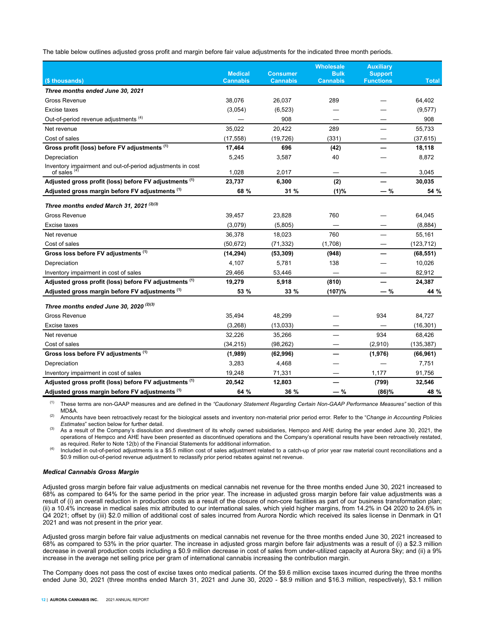The table below outlines adjusted gross profit and margin before fair value adjustments for the indicated three month periods.

|                                                                                      |                                   |                                    | <b>Wholesale</b>               | <b>Auxiliary</b>                   |              |
|--------------------------------------------------------------------------------------|-----------------------------------|------------------------------------|--------------------------------|------------------------------------|--------------|
| (\$ thousands)                                                                       | <b>Medical</b><br><b>Cannabis</b> | <b>Consumer</b><br><b>Cannabis</b> | <b>Bulk</b><br><b>Cannabis</b> | <b>Support</b><br><b>Functions</b> | <b>Total</b> |
| Three months ended June 30, 2021                                                     |                                   |                                    |                                |                                    |              |
| Gross Revenue                                                                        | 38,076                            | 26,037                             | 289                            |                                    | 64,402       |
| Excise taxes                                                                         | (3,054)                           | (6, 523)                           |                                |                                    | (9,577)      |
| Out-of-period revenue adjustments (4)                                                |                                   | 908                                |                                |                                    | 908          |
| Net revenue                                                                          | 35,022                            | 20,422                             | 289                            |                                    | 55,733       |
| Cost of sales                                                                        | (17, 558)                         | (19, 726)                          | (331)                          |                                    | (37, 615)    |
| Gross profit (loss) before FV adjustments (1)                                        | 17,464                            | 696                                | (42)                           |                                    | 18,118       |
| Depreciation                                                                         | 5,245                             | 3,587                              | 40                             |                                    | 8,872        |
| Inventory impairment and out-of-period adjustments in cost<br>of sales <sup>(4</sup> | 1,028                             | 2,017                              |                                |                                    | 3.045        |
| Adjusted gross profit (loss) before FV adjustments (1)                               | 23,737                            | 6,300                              | (2)                            |                                    | 30,035       |
| Adjusted gross margin before FV adjustments (1)                                      | 68 %                              | 31 %                               | (1)%                           | — %                                | 54 %         |
| Three months ended March 31, 2021 $(2)(3)$                                           |                                   |                                    |                                |                                    |              |
| <b>Gross Revenue</b>                                                                 | 39,457                            | 23,828                             | 760                            |                                    | 64,045       |
| Excise taxes                                                                         | (3,079)                           | (5,805)                            |                                |                                    | (8,884)      |
| Net revenue                                                                          | 36,378                            | 18,023                             | 760                            |                                    | 55,161       |
| Cost of sales                                                                        | (50, 672)                         | (71, 332)                          | (1,708)                        |                                    | (123, 712)   |
| Gross loss before FV adjustments (1)                                                 | (14, 294)                         | (53, 309)                          | (948)                          |                                    | (68, 551)    |
| Depreciation                                                                         | 4,107                             | 5,781                              | 138                            |                                    | 10,026       |
| Inventory impairment in cost of sales                                                | 29,466                            | 53,446                             |                                |                                    | 82,912       |
| Adjusted gross profit (loss) before FV adjustments (1)                               | 19,279                            | 5,918                              | (810)                          |                                    | 24,387       |
| Adjusted gross margin before FV adjustments (1)                                      | 53 %                              | 33 %                               | (107)%                         | — %                                | 44 %         |
|                                                                                      |                                   |                                    |                                |                                    |              |
| Three months ended June 30, 2020 $(2)(3)$                                            |                                   |                                    |                                |                                    |              |
| Gross Revenue                                                                        | 35,494                            | 48,299                             |                                | 934                                | 84,727       |
| Excise taxes                                                                         | (3,268)                           | (13,033)                           |                                |                                    | (16, 301)    |
| Net revenue                                                                          | 32,226                            | 35,266                             |                                | 934                                | 68,426       |
| Cost of sales                                                                        | (34, 215)                         | (98, 262)                          |                                | (2,910)                            | (135, 387)   |
| Gross loss before FV adjustments (1)                                                 | (1,989)                           | (62, 996)                          |                                | (1,976)                            | (66, 961)    |
| Depreciation                                                                         | 3,283                             | 4,468                              |                                |                                    | 7,751        |
| Inventory impairment in cost of sales                                                | 19,248                            | 71,331                             |                                | 1,177                              | 91,756       |
| Adjusted gross profit (loss) before FV adjustments (1)                               | 20,542                            | 12,803                             |                                | (799)                              | 32,546       |
| Adjusted gross margin before FV adjustments (1)                                      | 64 %                              | 36 %                               | $-$ %                          | (86)%                              | 48 %         |

(1) These terms are non-GAAP measures and are defined in the *"Cautionary Statement Regarding Certain Non-GAAP Performance Measures"* section of this MD&A.

(2) Amounts have been retroactively recast for the biological assets and inventory non-material prior period error. Refer to the "*Change in Accounting Policies Estimates*" section below for further detail.

(3) As a result of the Company's dissolution and divestment of its wholly owned subsidiaries, Hempco and AHE during the year ended June 30, 2021, the operations of Hempco and AHE have been presented as discontinued operations and the Company's operational results have been retroactively restated, as required. Refer to Note 12(b) of the Financial Statements for additional information.

(4) Included in out-of-period adjustments is a \$5.5 million cost of sales adjustment related to a catch-up of prior year raw material count reconciliations and a \$0.9 million out-of-period revenue adjustment to reclassify prior period rebates against net revenue.

# *Medical Cannabis Gross Margin*

Adjusted gross margin before fair value adjustments on medical cannabis net revenue for the three months ended June 30, 2021 increased to 68% as compared to 64% for the same period in the prior year. The increase in adjusted gross margin before fair value adjustments was a result of (i) an overall reduction in production costs as a result of the closure of non-core facilities as part of our business transformation plan; (ii) a 10.4% increase in medical sales mix attributed to our international sales, which yield higher margins, from 14.2% in Q4 2020 to 24.6% in Q4 2021; offset by (iii) \$2.0 million of additional cost of sales incurred from Aurora Nordic which received its sales license in Denmark in Q1 2021 and was not present in the prior year.

Adjusted gross margin before fair value adjustments on medical cannabis net revenue for the three months ended June 30, 2021 increased to 68% as compared to 53% in the prior quarter. The increase in adjusted gross margin before fair adjustments was a result of (i) a \$2.3 million decrease in overall production costs including a \$0.9 million decrease in cost of sales from under-utilized capacity at Aurora Sky; and (ii) a 9% increase in the average net selling price per gram of international cannabis increasing the contribution margin.

The Company does not pass the cost of excise taxes onto medical patients. Of the \$9.6 million excise taxes incurred during the three months ended June 30, 2021 (three months ended March 31, 2021 and June 30, 2020 - \$8.9 million and \$16.3 million, respectively), \$3.1 million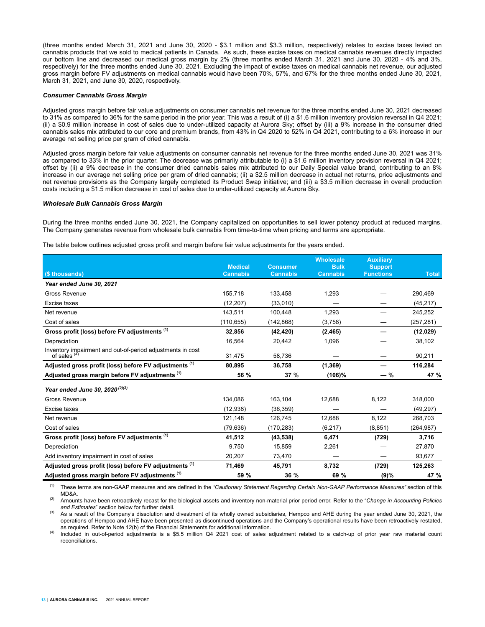(three months ended March 31, 2021 and June 30, 2020 - \$3.1 million and \$3.3 million, respectively) relates to excise taxes levied on cannabis products that we sold to medical patients in Canada. As such, these excise taxes on medical cannabis revenues directly impacted our bottom line and decreased our medical gross margin by 2% (three months ended March 31, 2021 and June 30, 2020 - 4% and 3%, respectively) for the three months ended June 30, 2021. Excluding the impact of excise taxes on medical cannabis net revenue, our adjusted gross margin before FV adjustments on medical cannabis would have been 70%, 57%, and 67% for the three months ended June 30, 2021, March 31, 2021, and June 30, 2020, respectively.

#### *Consumer Cannabis Gross Margin*

Adjusted gross margin before fair value adjustments on consumer cannabis net revenue for the three months ended June 30, 2021 decreased to 31% as compared to 36% for the same period in the prior year. This was a result of (i) a \$1.6 million inventory provision reversal in Q4 2021; (ii) a \$0.9 million increase in cost of sales due to under-utilized capacity at Aurora Sky; offset by (iii) a 9% increase in the consumer dried cannabis sales mix attributed to our core and premium brands, from 43% in Q4 2020 to 52% in Q4 2021, contributing to a 6% increase in our average net selling price per gram of dried cannabis.

Adjusted gross margin before fair value adjustments on consumer cannabis net revenue for the three months ended June 30, 2021 was 31% as compared to 33% in the prior quarter. The decrease was primarily attributable to (i) a \$1.6 million inventory provision reversal in Q4 2021; offset by (ii) a 9% decrease in the consumer dried cannabis sales mix attributed to our Daily Special value brand, contributing to an 8% increase in our average net selling price per gram of dried cannabis; (ii) a \$2.5 million decrease in actual net returns, price adjustments and net revenue provisions as the Company largely completed its Product Swap initiative; and (iii) a \$3.5 million decrease in overall production costs including a \$1.5 million decrease in cost of sales due to under-utilized capacity at Aurora Sky.

#### *Wholesale Bulk Cannabis Gross Margin*

During the three months ended June 30, 2021, the Company capitalized on opportunities to sell lower potency product at reduced margins. The Company generates revenue from wholesale bulk cannabis from time-to-time when pricing and terms are appropriate.

The table below outlines adjusted gross profit and margin before fair value adjustments for the years ended.

|                                                                              |                                   |                                    | <b>Wholesale</b>               | <b>Auxiliary</b>                   |              |
|------------------------------------------------------------------------------|-----------------------------------|------------------------------------|--------------------------------|------------------------------------|--------------|
| (\$ thousands)                                                               | <b>Medical</b><br><b>Cannabis</b> | <b>Consumer</b><br><b>Cannabis</b> | <b>Bulk</b><br><b>Cannabis</b> | <b>Support</b><br><b>Functions</b> | <b>Total</b> |
| Year ended June 30, 2021                                                     |                                   |                                    |                                |                                    |              |
| <b>Gross Revenue</b>                                                         | 155.718                           | 133,458                            | 1,293                          |                                    | 290.469      |
| Excise taxes                                                                 | (12, 207)                         | (33,010)                           |                                |                                    | (45, 217)    |
| Net revenue                                                                  | 143,511                           | 100,448                            | 1,293                          |                                    | 245,252      |
| Cost of sales                                                                | (110.655)                         | (142.868)                          | (3,758)                        |                                    | (257, 281)   |
| Gross profit (loss) before FV adjustments (1)                                | 32,856                            | (42, 420)                          | (2, 465)                       |                                    | (12, 029)    |
| Depreciation                                                                 | 16,564                            | 20,442                             | 1,096                          |                                    | 38,102       |
| Inventory impairment and out-of-period adjustments in cost<br>of sales $(4)$ | 31,475                            | 58,736                             |                                |                                    | 90,211       |
| Adjusted gross profit (loss) before FV adjustments (1)                       | 80,895                            | 36,758                             | (1,369)                        |                                    | 116,284      |
| Adjusted gross margin before FV adjustments (1)                              | 56 %                              | 37 %                               | (106)%                         | — %                                | 47 %         |
| Year ended June 30, 2020 <sup>(2)(3)</sup>                                   |                                   |                                    |                                |                                    |              |
| Gross Revenue                                                                | 134,086                           | 163,104                            | 12,688                         | 8,122                              | 318,000      |
| Excise taxes                                                                 | (12,938)                          | (36, 359)                          |                                |                                    | (49, 297)    |
| Net revenue                                                                  | 121,148                           | 126,745                            | 12.688                         | 8.122                              | 268,703      |
| Cost of sales                                                                | (79, 636)                         | (170, 283)                         | (6, 217)                       | (8, 851)                           | (264, 987)   |
| Gross profit (loss) before FV adjustments (1)                                | 41,512                            | (43, 538)                          | 6,471                          | (729)                              | 3,716        |
| Depreciation                                                                 | 9,750                             | 15,859                             | 2,261                          |                                    | 27,870       |
| Add inventory impairment in cost of sales                                    | 20,207                            | 73,470                             |                                |                                    | 93,677       |
| Adjusted gross profit (loss) before FV adjustments (1)                       | 71,469                            | 45,791                             | 8,732                          | (729)                              | 125,263      |
| Adjusted gross margin before FV adjustments (1)                              | 59 %                              | 36 %                               | 69 %                           | (9)%                               | 47 %         |

(1) These terms are non-GAAP measures and are defined in the *"Cautionary Statement Regarding Certain Non-GAAP Performance Measures"* section of this MD&A.

(2) Amounts have been retroactively recast for the biological assets and inventory non-material prior period error. Refer to the "*Change in Accounting Policies and Estimates*" section below for further detail.

As a result of the Company's dissolution and divestment of its wholly owned subsidiaries, Hempco and AHE during the year ended June 30, 2021, the operations of Hempco and AHE have been presented as discontinued operations and the Company's operational results have been retroactively restated, as required. Refer to Note 12(b) of the Financial Statements for additional information.

(4) Included in out-of-period adjustments is a \$5.5 million Q4 2021 cost of sales adjustment related to a catch-up of prior year raw material count reconciliations.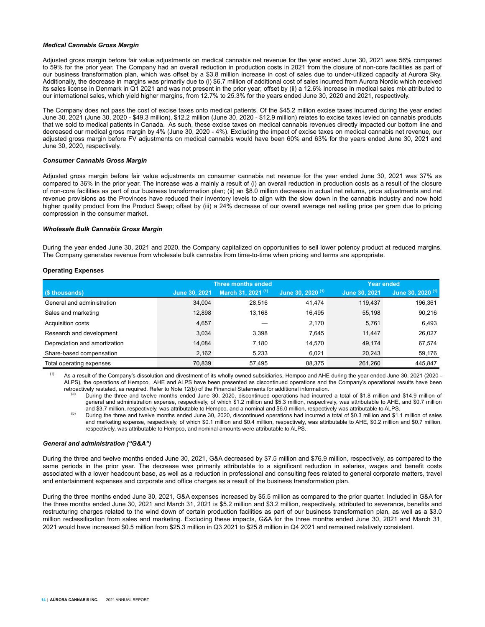#### *Medical Cannabis Gross Margin*

Adjusted gross margin before fair value adjustments on medical cannabis net revenue for the year ended June 30, 2021 was 56% compared to 59% for the prior year. The Company had an overall reduction in production costs in 2021 from the closure of non-core facilities as part of our business transformation plan, which was offset by a \$3.8 million increase in cost of sales due to under-utilized capacity at Aurora Sky. Additionally, the decrease in margins was primarily due to (i) \$6.7 million of additional cost of sales incurred from Aurora Nordic which received its sales license in Denmark in Q1 2021 and was not present in the prior year; offset by (ii) a 12.6% increase in medical sales mix attributed to our international sales, which yield higher margins, from 12.7% to 25.3% for the years ended June 30, 2020 and 2021, respectively.

The Company does not pass the cost of excise taxes onto medical patients. Of the \$45.2 million excise taxes incurred during the year ended June 30, 2021 (June 30, 2020 - \$49.3 million), \$12.2 million (June 30, 2020 - \$12.9 million) relates to excise taxes levied on cannabis products that we sold to medical patients in Canada. As such, these excise taxes on medical cannabis revenues directly impacted our bottom line and decreased our medical gross margin by 4% (June 30, 2020 - 4%). Excluding the impact of excise taxes on medical cannabis net revenue, our adjusted gross margin before FV adjustments on medical cannabis would have been 60% and 63% for the years ended June 30, 2021 and June 30, 2020, respectively.

#### *Consumer Cannabis Gross Margin*

Adjusted gross margin before fair value adjustments on consumer cannabis net revenue for the year ended June 30, 2021 was 37% as compared to 36% in the prior year. The increase was a mainly a result of (i) an overall reduction in production costs as a result of the closure of non-core facilities as part of our business transformation plan; (ii) an \$8.0 million decrease in actual net returns, price adjustments and net revenue provisions as the Provinces have reduced their inventory levels to align with the slow down in the cannabis industry and now hold higher quality product from the Product Swap; offset by (iii) a 24% decrease of our overall average net selling price per gram due to pricing compression in the consumer market.

#### *Wholesale Bulk Cannabis Gross Margin*

During the year ended June 30, 2021 and 2020, the Company capitalized on opportunities to sell lower potency product at reduced margins. The Company generates revenue from wholesale bulk cannabis from time-to-time when pricing and terms are appropriate.

# **Operating Expenses**

|                               |               | <b>Three months ended</b>     |                              | Year ended    |                              |  |
|-------------------------------|---------------|-------------------------------|------------------------------|---------------|------------------------------|--|
| (\$ thousands)                | June 30, 2021 | March 31, 2021 <sup>(1)</sup> | June 30, 2020 <sup>(1)</sup> | June 30, 2021 | June 30, 2020 <sup>(1)</sup> |  |
| General and administration    | 34,004        | 28,516                        | 41.474                       | 119.437       | 196,361                      |  |
| Sales and marketing           | 12,898        | 13.168                        | 16.495                       | 55,198        | 90,216                       |  |
| Acquisition costs             | 4,657         |                               | 2.170                        | 5.761         | 6,493                        |  |
| Research and development      | 3,034         | 3,398                         | 7.645                        | 11,447        | 26,027                       |  |
| Depreciation and amortization | 14,084        | 7.180                         | 14,570                       | 49.174        | 67,574                       |  |
| Share-based compensation      | 2,162         | 5,233                         | 6.021                        | 20,243        | 59,176                       |  |
| Total operating expenses      | 70,839        | 57.495                        | 88.375                       | 261.260       | 445,847                      |  |

As a result of the Company's dissolution and divestment of its wholly owned subsidiaries, Hempco and AHE during the year ended June 30, 2021 (2020 -ALPS), the operations of Hempco, AHE and ALPS have been presented as discontinued operations and the Company's operational results have been retroactively restated, as required. Refer to Note 12(b) of the Financial Statements for additional information.

During the three and twelve months ended June 30, 2020, discontinued operations had incurred a total of \$1.8 million and \$14.9 million of general and administration expense, respectively, of which \$1.2 million and \$5.3 million, respectively, was attributable to AHE, and \$0.7 million and \$3.7 million, respectively, was attributable to Hempco, and a nominal and \$6.0 million, respectively was attributable to ALPS.

(b) During the three and twelve months ended June 30, 2020, discontinued operations had incurred a total of \$0.3 million and \$1.1 million of sales and marketing expense, respectively, of which \$0.1 million and \$0.4 million, respectively, was attributable to AHE, \$0.2 million and \$0.7 million, respectively, was attributable to Hempco, and nominal amounts were attributable to ALPS.

#### *General and administration ("G&A")*

During the three and twelve months ended June 30, 2021, G&A decreased by \$7.5 million and \$76.9 million, respectively, as compared to the same periods in the prior year. The decrease was primarily attributable to a significant reduction in salaries, wages and benefit costs associated with a lower headcount base, as well as a reduction in professional and consulting fees related to general corporate matters, travel and entertainment expenses and corporate and office charges as a result of the business transformation plan.

During the three months ended June 30, 2021, G&A expenses increased by \$5.5 million as compared to the prior quarter. Included in G&A for the three months ended June 30, 2021 and March 31, 2021 is \$5.2 million and \$3.2 million, respectively, attributed to severance, benefits and restructuring charges related to the wind down of certain production facilities as part of our business transformation plan, as well as a \$3.0 million reclassification from sales and marketing. Excluding these impacts, G&A for the three months ended June 30, 2021 and March 31, 2021 would have increased \$0.5 million from \$25.3 million in Q3 2021 to \$25.8 million in Q4 2021 and remained relatively consistent.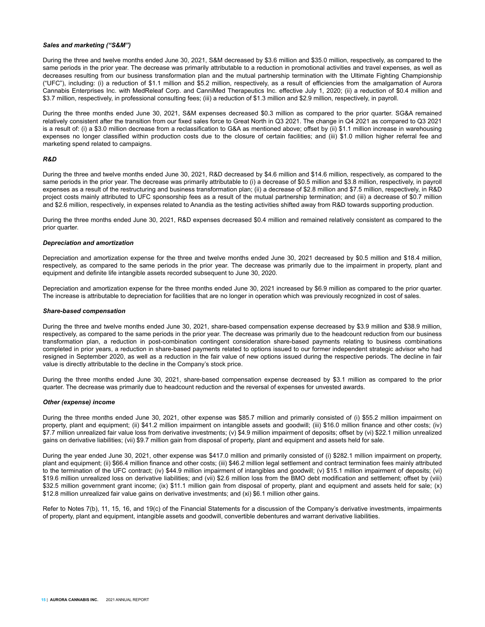# *Sales and marketing ("S&M")*

During the three and twelve months ended June 30, 2021, S&M decreased by \$3.6 million and \$35.0 million, respectively, as compared to the same periods in the prior year. The decrease was primarily attributable to a reduction in promotional activities and travel expenses, as well as decreases resulting from our business transformation plan and the mutual partnership termination with the Ultimate Fighting Championship ("UFC"), including: (i) a reduction of \$1.1 million and \$5.2 million, respectively, as a result of efficiencies from the amalgamation of Aurora Cannabis Enterprises Inc. with MedReleaf Corp. and CanniMed Therapeutics Inc. effective July 1, 2020; (ii) a reduction of \$0.4 million and \$3.7 million, respectively, in professional consulting fees; (iii) a reduction of \$1.3 million and \$2.9 million, respectively, in payroll.

During the three months ended June 30, 2021, S&M expenses decreased \$0.3 million as compared to the prior quarter. SG&A remained relatively consistent after the transition from our fixed sales force to Great North in Q3 2021. The change in Q4 2021 as compared to Q3 2021 is a result of: (i) a \$3.0 million decrease from a reclassification to G&A as mentioned above; offset by (ii) \$1.1 million increase in warehousing expenses no longer classified within production costs due to the closure of certain facilities; and (iii) \$1.0 million higher referral fee and marketing spend related to campaigns.

# *R&D*

During the three and twelve months ended June 30, 2021, R&D decreased by \$4.6 million and \$14.6 million, respectively, as compared to the same periods in the prior year. The decrease was primarily attributable to (i) a decrease of \$0.5 million and \$3.8 million, respectively, in payroll expenses as a result of the restructuring and business transformation plan; (ii) a decrease of \$2.8 million and \$7.5 million, respectively, in R&D project costs mainly attributed to UFC sponsorship fees as a result of the mutual partnership termination; and (iii) a decrease of \$0.7 million and \$2.6 million, respectively, in expenses related to Anandia as the testing activities shifted away from R&D towards supporting production.

During the three months ended June 30, 2021, R&D expenses decreased \$0.4 million and remained relatively consistent as compared to the prior quarter.

# *Depreciation and amortization*

Depreciation and amortization expense for the three and twelve months ended June 30, 2021 decreased by \$0.5 million and \$18.4 million, respectively, as compared to the same periods in the prior year. The decrease was primarily due to the impairment in property, plant and equipment and definite life intangible assets recorded subsequent to June 30, 2020.

Depreciation and amortization expense for the three months ended June 30, 2021 increased by \$6.9 million as compared to the prior quarter. The increase is attributable to depreciation for facilities that are no longer in operation which was previously recognized in cost of sales.

#### *Share-based compensation*

During the three and twelve months ended June 30, 2021, share-based compensation expense decreased by \$3.9 million and \$38.9 million, respectively, as compared to the same periods in the prior year. The decrease was primarily due to the headcount reduction from our business transformation plan, a reduction in post-combination contingent consideration share-based payments relating to business combinations completed in prior years, a reduction in share-based payments related to options issued to our former independent strategic advisor who had resigned in September 2020, as well as a reduction in the fair value of new options issued during the respective periods. The decline in fair value is directly attributable to the decline in the Company's stock price.

During the three months ended June 30, 2021, share-based compensation expense decreased by \$3.1 million as compared to the prior quarter. The decrease was primarily due to headcount reduction and the reversal of expenses for unvested awards.

# *Other (expense) income*

During the three months ended June 30, 2021, other expense was \$85.7 million and primarily consisted of (i) \$55.2 million impairment on property, plant and equipment; (ii) \$41.2 million impairment on intangible assets and goodwill; (iii) \$16.0 million finance and other costs; (iv) \$7.7 million unrealized fair value loss from derivative investments; (v) \$4.9 million impairment of deposits; offset by (vi) \$22.1 million unrealized gains on derivative liabilities; (vii) \$9.7 million gain from disposal of property, plant and equipment and assets held for sale.

During the year ended June 30, 2021, other expense was \$417.0 million and primarily consisted of (i) \$282.1 million impairment on property, plant and equipment; (ii) \$66.4 million finance and other costs; (iii) \$46.2 million legal settlement and contract termination fees mainly attributed to the termination of the UFC contract; (iv) \$44.9 million impairment of intangibles and goodwill; (v) \$15.1 million impairment of deposits; (vi) \$19.6 million unrealized loss on derivative liabilities; and (vii) \$2.6 million loss from the BMO debt modification and settlement; offset by (viii) \$32.5 million government grant income; (ix) \$11.1 million gain from disposal of property, plant and equipment and assets held for sale; (x) \$12.8 million unrealized fair value gains on derivative investments; and (xi) \$6.1 million other gains.

Refer to Notes 7(b), 11, 15, 16, and 19(c) of the Financial Statements for a discussion of the Company's derivative investments, impairments of property, plant and equipment, intangible assets and goodwill, convertible debentures and warrant derivative liabilities.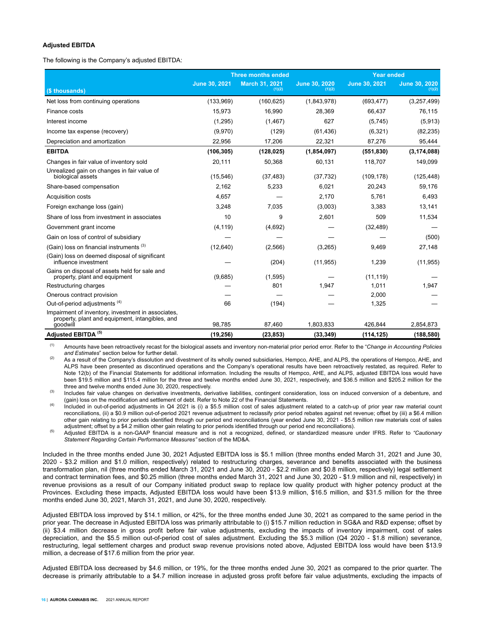# **Adjusted EBITDA**

The following is the Company's adjusted EBITDA:

|                                                                                                                   |                      | <b>Three months ended</b>       | <b>Year ended</b>              |                      |                         |
|-------------------------------------------------------------------------------------------------------------------|----------------------|---------------------------------|--------------------------------|----------------------|-------------------------|
| (\$ thousands)                                                                                                    | <b>June 30, 2021</b> | <b>March 31, 2021</b><br>(1)(2) | <b>June 30, 2020</b><br>(1)(2) | <b>June 30, 2021</b> | June 30, 2020<br>(1)(2) |
| Net loss from continuing operations                                                                               | (133,969)            | (160, 625)                      | (1,843,978)                    | (693, 477)           | (3,257,499)             |
| Finance costs                                                                                                     | 15,973               | 16,990                          | 28,369                         | 66,437               | 76,115                  |
| Interest income                                                                                                   | (1,295)              | (1, 467)                        | 627                            | (5,745)              | (5, 913)                |
| Income tax expense (recovery)                                                                                     | (9,970)              | (129)                           | (61, 436)                      | (6,321)              | (82, 235)               |
| Depreciation and amortization                                                                                     | 22,956               | 17,206                          | 22,321                         | 87,276               | 95,444                  |
| <b>EBITDA</b>                                                                                                     | (106, 305)           | (128, 025)                      | (1,854,097)                    | (551, 830)           | (3, 174, 088)           |
| Changes in fair value of inventory sold                                                                           | 20,111               | 50,368                          | 60,131                         | 118,707              | 149,099                 |
| Unrealized gain on changes in fair value of<br>biological assets                                                  | (15, 546)            | (37, 483)                       | (37, 732)                      | (109, 178)           | (125, 448)              |
| Share-based compensation                                                                                          | 2.162                | 5.233                           | 6.021                          | 20.243               | 59.176                  |
| Acquisition costs                                                                                                 | 4,657                |                                 | 2,170                          | 5,761                | 6,493                   |
| Foreign exchange loss (gain)                                                                                      | 3.248                | 7.035                           | (3,003)                        | 3,383                | 13,141                  |
| Share of loss from investment in associates                                                                       | 10                   | 9                               | 2,601                          | 509                  | 11,534                  |
| Government grant income                                                                                           | (4, 119)             | (4,692)                         |                                | (32, 489)            |                         |
| Gain on loss of control of subsidiary                                                                             |                      |                                 |                                |                      | (500)                   |
| (Gain) loss on financial instruments <sup>(3)</sup>                                                               | (12,640)             | (2,566)                         | (3,265)                        | 9,469                | 27,148                  |
| (Gain) loss on deemed disposal of significant<br>influence investment                                             |                      | (204)                           | (11, 955)                      | 1,239                | (11, 955)               |
| Gains on disposal of assets held for sale and<br>property, plant and equipment                                    | (9,685)              | (1, 595)                        |                                | (11, 119)            |                         |
| Restructuring charges                                                                                             |                      | 801                             | 1.947                          | 1,011                | 1.947                   |
| Onerous contract provision                                                                                        |                      |                                 |                                | 2,000                |                         |
| Out-of-period adjustments (4)                                                                                     | 66                   | (194)                           |                                | 1,325                |                         |
| Impairment of inventory, investment in associates,<br>property, plant and equipment, intangibles, and<br>aoodwill | 98.785               | 87,460                          | 1.803.833                      | 426.844              | 2,854,873               |
| Adjusted EBITDA <sup>(5)</sup>                                                                                    | (19, 256)            | (23, 853)                       | (33, 349)                      | (114, 125)           | (188, 580)              |

(1) Amounts have been retroactively recast for the biological assets and inventory non-material prior period error. Refer to the "*Change in Accounting Policies and Estimates*" section below for further detail.

(2) As a result of the Company's dissolution and divestment of its wholly owned subsidiaries, Hempco, AHE, and ALPS, the operations of Hempco, AHE, and ALPS have been presented as discontinued operations and the Company's operational results have been retroactively restated, as required. Refer to Note 12(b) of the Financial Statements for additional information. Including the results of Hempco, AHE, and ALPS, adjusted EBITDA loss would have been \$19.5 million and \$115.4 million for the three and twelve months ended June 30, 2021, respectively, and \$36.5 million and \$205.2 million for the three and twelve months ended June 30, 2020, respectively.

(3) Includes fair value changes on derivative investments, derivative liabilities, contingent consideration, loss on induced conversion of a debenture, and (gain) loss on the modification and settlement of debt. Refer to Note 22 of the Financial Statements.

Included in out-of-period adjustments in Q4 2021 is (i) a \$5.5 million cost of sales adjustment related to a catch-up of prior year raw material count reconciliations, (ii) a \$0.9 million out-of-period 2021 revenue adjustment to reclassify prior period rebates against net revenue; offset by (iii) a \$6.4 million other gain relating to prior periods identified through our period end reconciliations (year ended June 30, 2021 - \$5.5 million raw materials cost of sales adjustment; offset by a \$4.2 million other gain relating to prior periods identified through our period end reconciliations).

(5) Adjusted EBITDA is a non-GAAP financial measure and is not a recognized, defined, or standardized measure under IFRS. Refer to *"Cautionary Statement Regarding Certain Performance Measures"* section of the MD&A.

Included in the three months ended June 30, 2021 Adjusted EBITDA loss is \$5.1 million (three months ended March 31, 2021 and June 30, 2020 - \$3.2 million and \$1.0 million, respectively) related to restructuring charges, severance and benefits associated with the business transformation plan, nil (three months ended March 31, 2021 and June 30, 2020 - \$2.2 million and \$0.8 million, respectively) legal settlement and contract termination fees, and \$0.25 million (three months ended March 31, 2021 and June 30, 2020 - \$1.9 million and nil, respectively) in revenue provisions as a result of our Company initiated product swap to replace low quality product with higher potency product at the Provinces. Excluding these impacts, Adjusted EBITDA loss would have been \$13.9 million, \$16.5 million, and \$31.5 million for the three months ended June 30, 2021, March 31, 2021, and June 30, 2020, respectively.

Adjusted EBITDA loss improved by \$14.1 million, or 42%, for the three months ended June 30, 2021 as compared to the same period in the prior year. The decrease in Adjusted EBITDA loss was primarily attributable to (i) \$15.7 million reduction in SG&A and R&D expense; offset by (ii) \$3.4 million decrease in gross profit before fair value adjustments, excluding the impacts of inventory impairment, cost of sales depreciation, and the \$5.5 million out-of-period cost of sales adjustment. Excluding the \$5.3 million (Q4 2020 - \$1.8 million) severance, restructuring, legal settlement charges and product swap revenue provisions noted above, Adjusted EBITDA loss would have been \$13.9 million, a decrease of \$17.6 million from the prior year.

Adjusted EBITDA loss decreased by \$4.6 million, or 19%, for the three months ended June 30, 2021 as compared to the prior quarter. The decrease is primarily attributable to a \$4.7 million increase in adjusted gross profit before fair value adjustments, excluding the impacts of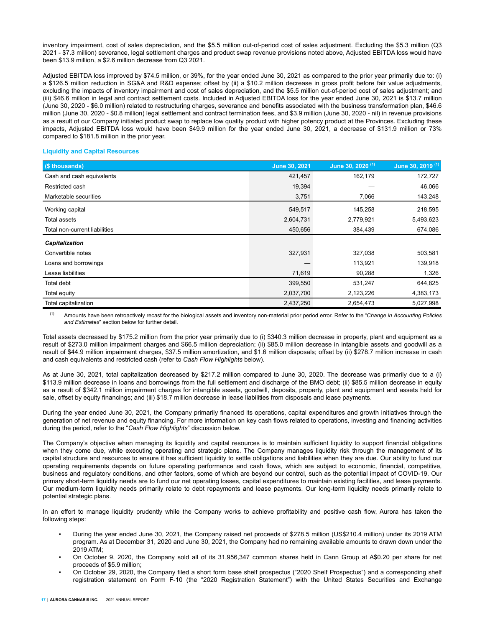<span id="page-16-0"></span>inventory impairment, cost of sales depreciation, and the \$5.5 million out-of-period cost of sales adjustment. Excluding the \$5.3 million (Q3 2021 - \$7.3 million) severance, legal settlement charges and product swap revenue provisions noted above, Adjusted EBITDA loss would have been \$13.9 million, a \$2.6 million decrease from Q3 2021.

Adjusted EBITDA loss improved by \$74.5 million, or 39%, for the year ended June 30, 2021 as compared to the prior year primarily due to: (i) a \$126.5 million reduction in SG&A and R&D expense; offset by (ii) a \$10.2 million decrease in gross profit before fair value adjustments, excluding the impacts of inventory impairment and cost of sales depreciation, and the \$5.5 million out-of-period cost of sales adjustment; and (iii) \$46.6 million in legal and contract settlement costs. Included in Adjusted EBITDA loss for the year ended June 30, 2021 is \$13.7 million (June 30, 2020 - \$6.0 million) related to restructuring charges, severance and benefits associated with the business transformation plan, \$46.6 million (June 30, 2020 - \$0.8 million) legal settlement and contract termination fees, and \$3.9 million (June 30, 2020 - nil) in revenue provisions as a result of our Company initiated product swap to replace low quality product with higher potency product at the Provinces. Excluding these impacts, Adjusted EBITDA loss would have been \$49.9 million for the year ended June 30, 2021, a decrease of \$131.9 million or 73% compared to \$181.8 million in the prior year.

# **Liquidity and Capital Resources**

| (\$ thousands)                | June 30, 2021 | June 30, 2020 <sup>(1)</sup> | June 30, 2019 <sup>(1)</sup> |
|-------------------------------|---------------|------------------------------|------------------------------|
| Cash and cash equivalents     | 421,457       | 162,179                      | 172,727                      |
| Restricted cash               | 19,394        |                              | 46,066                       |
| Marketable securities         | 3,751         | 7,066                        | 143,248                      |
| Working capital               | 549,517       | 145,258                      | 218,595                      |
| Total assets                  | 2,604,731     | 2,779,921                    | 5,493,623                    |
| Total non-current liabilities | 450,656       | 384,439                      | 674,086                      |
| <b>Capitalization</b>         |               |                              |                              |
| Convertible notes             | 327,931       | 327,038                      | 503,581                      |
| Loans and borrowings          |               | 113,921                      | 139,918                      |
| Lease liabilities             | 71,619        | 90,288                       | 1,326                        |
| Total debt                    | 399,550       | 531,247                      | 644,825                      |
| Total equity                  | 2,037,700     | 2,123,226                    | 4,383,173                    |
| Total capitalization          | 2,437,250     | 2,654,473                    | 5,027,998                    |

(1) Amounts have been retroactively recast for the biological assets and inventory non-material prior period error. Refer to the "*Change in Accounting Policies and Estimates*" section below for further detail.

Total assets decreased by \$175.2 million from the prior year primarily due to (i) \$340.3 million decrease in property, plant and equipment as a result of \$273.0 million impairment charges and \$66.5 million depreciation; (ii) \$85.0 million decrease in intangible assets and goodwill as a result of \$44.9 million impairment charges, \$37.5 million amortization, and \$1.6 million disposals; offset by (ii) \$278.7 million increase in cash and cash equivalents and restricted cash (refer to *Cash Flow Highlights* below).

As at June 30, 2021, total capitalization decreased by \$217.2 million compared to June 30, 2020. The decrease was primarily due to a (i) \$113.9 million decrease in loans and borrowings from the full settlement and discharge of the BMO debt; (ii) \$85.5 million decrease in equity as a result of \$342.1 million impairment charges for intangible assets, goodwill, deposits, property, plant and equipment and assets held for sale, offset by equity financings; and (iii) \$18.7 million decrease in lease liabilities from disposals and lease payments.

During the year ended June 30, 2021, the Company primarily financed its operations, capital expenditures and growth initiatives through the generation of net revenue and equity financing. For more information on key cash flows related to operations, investing and financing activities during the period, refer to the "*Cash Flow Highlights*" discussion below.

The Company's objective when managing its liquidity and capital resources is to maintain sufficient liquidity to support financial obligations when they come due, while executing operating and strategic plans. The Company manages liquidity risk through the management of its capital structure and resources to ensure it has sufficient liquidity to settle obligations and liabilities when they are due. Our ability to fund our operating requirements depends on future operating performance and cash flows, which are subject to economic, financial, competitive, business and regulatory conditions, and other factors, some of which are beyond our control, such as the potential impact of COVID-19. Our primary short-term liquidity needs are to fund our net operating losses, capital expenditures to maintain existing facilities, and lease payments. Our medium-term liquidity needs primarily relate to debt repayments and lease payments. Our long-term liquidity needs primarily relate to potential strategic plans.

In an effort to manage liquidity prudently while the Company works to achieve profitability and positive cash flow, Aurora has taken the following steps:

- During the year ended June 30, 2021, the Company raised net proceeds of \$278.5 million (US\$210.4 million) under its 2019 ATM program. As at December 31, 2020 and June 30, 2021, the Company had no remaining available amounts to drawn down under the 2019 ATM;
- On October 9, 2020, the Company sold all of its 31,956,347 common shares held in Cann Group at A\$0.20 per share for net proceeds of \$5.9 million;
- On October 29, 2020, the Company filed a short form base shelf prospectus ("2020 Shelf Prospectus") and a corresponding shelf registration statement on Form F-10 (the "2020 Registration Statement") with the United States Securities and Exchange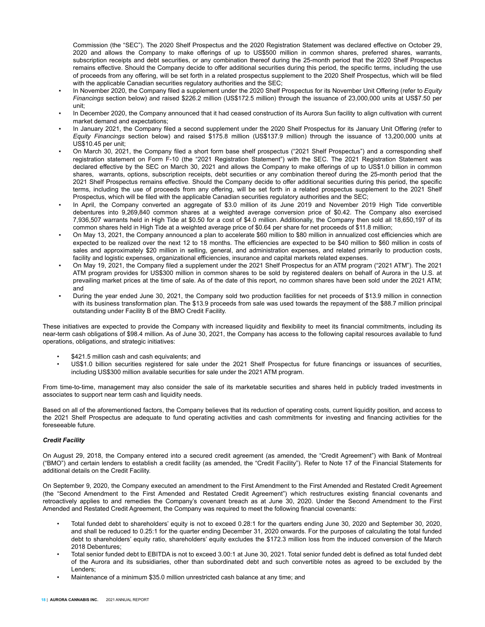Commission (the "SEC"). The 2020 Shelf Prospectus and the 2020 Registration Statement was declared effective on October 29, 2020 and allows the Company to make offerings of up to US\$500 million in common shares, preferred shares, warrants, subscription receipts and debt securities, or any combination thereof during the 25-month period that the 2020 Shelf Prospectus remains effective. Should the Company decide to offer additional securities during this period, the specific terms, including the use of proceeds from any offering, will be set forth in a related prospectus supplement to the 2020 Shelf Prospectus, which will be filed with the applicable Canadian securities regulatory authorities and the SEC;

- In November 2020, the Company filed a supplement under the 2020 Shelf Prospectus for its November Unit Offering (refer to *Equity Financings* section below) and raised \$226.2 million (US\$172.5 million) through the issuance of 23,000,000 units at US\$7.50 per unit;
- In December 2020, the Company announced that it had ceased construction of its Aurora Sun facility to align cultivation with current market demand and expectations;
- In January 2021, the Company filed a second supplement under the 2020 Shelf Prospectus for its January Unit Offering (refer to *Equity Financings* section below) and raised \$175.8 million (US\$137.9 million) through the issuance of 13,200,000 units at US\$10.45 per unit;
- On March 30, 2021, the Company filed a short form base shelf prospectus ("2021 Shelf Prospectus") and a corresponding shelf registration statement on Form F-10 (the "2021 Registration Statement") with the SEC. The 2021 Registration Statement was declared effective by the SEC on March 30, 2021 and allows the Company to make offerings of up to US\$1.0 billion in common shares, warrants, options, subscription receipts, debt securities or any combination thereof during the 25-month period that the 2021 Shelf Prospectus remains effective. Should the Company decide to offer additional securities during this period, the specific terms, including the use of proceeds from any offering, will be set forth in a related prospectus supplement to the 2021 Shelf Prospectus, which will be filed with the applicable Canadian securities regulatory authorities and the SEC;
- In April, the Company converted an aggregate of \$3.0 million of its June 2019 and November 2019 High Tide convertible debentures into 9,269,840 common shares at a weighted average conversion price of \$0.42. The Company also exercised 7,936,507 warrants held in High Tide at \$0.50 for a cost of \$4.0 million. Additionally, the Company then sold all 18,650,197 of its common shares held in High Tide at a weighted average price of \$0.64 per share for net proceeds of \$11.8 million;
- On May 13, 2021, the Company announced a plan to accelerate \$60 million to \$80 million in annualized cost efficiencies which are expected to be realized over the next 12 to 18 months. The efficiencies are expected to be \$40 million to \$60 million in costs of sales and approximately \$20 million in selling, general, and administration expenses, and related primarily to production costs, facility and logistic expenses, organizational efficiencies, insurance and capital markets related expenses.
- On May 19, 2021, the Company filed a supplement under the 2021 Shelf Prospectus for an ATM program ("2021 ATM"). The 2021 ATM program provides for US\$300 million in common shares to be sold by registered dealers on behalf of Aurora in the U.S. at prevailing market prices at the time of sale. As of the date of this report, no common shares have been sold under the 2021 ATM; and
- During the year ended June 30, 2021, the Company sold two production facilities for net proceeds of \$13.9 million in connection with its business transformation plan. The \$13.9 proceeds from sale was used towards the repayment of the \$88.7 million principal outstanding under Facility B of the BMO Credit Facility.

These initiatives are expected to provide the Company with increased liquidity and flexibility to meet its financial commitments, including its near-term cash obligations of \$98.4 million. As of June 30, 2021, the Company has access to the following capital resources available to fund operations, obligations, and strategic initiatives:

- \$421.5 million cash and cash equivalents; and
- US\$1.0 billion securities registered for sale under the 2021 Shelf Prospectus for future financings or issuances of securities, including US\$300 million available securities for sale under the 2021 ATM program.

From time-to-time, management may also consider the sale of its marketable securities and shares held in publicly traded investments in associates to support near term cash and liquidity needs.

Based on all of the aforementioned factors, the Company believes that its reduction of operating costs, current liquidity position, and access to the 2021 Shelf Prospectus are adequate to fund operating activities and cash commitments for investing and financing activities for the foreseeable future.

# *Credit Facility*

On August 29, 2018, the Company entered into a secured credit agreement (as amended, the "Credit Agreement") with Bank of Montreal ("BMO") and certain lenders to establish a credit facility (as amended, the "Credit Facility"). Refer to Note 17 of the Financial Statements for additional details on the Credit Facility.

On September 9, 2020, the Company executed an amendment to the First Amendment to the First Amended and Restated Credit Agreement (the "Second Amendment to the First Amended and Restated Credit Agreement") which restructures existing financial covenants and retroactively applies to and remedies the Company's covenant breach as at June 30, 2020. Under the Second Amendment to the First Amended and Restated Credit Agreement, the Company was required to meet the following financial covenants:

- Total funded debt to shareholders' equity is not to exceed 0.28:1 for the quarters ending June 30, 2020 and September 30, 2020, and shall be reduced to 0.25:1 for the quarter ending December 31, 2020 onwards. For the purposes of calculating the total funded debt to shareholders' equity ratio, shareholders' equity excludes the \$172.3 million loss from the induced conversion of the March 2018 Debentures;
- Total senior funded debt to EBITDA is not to exceed 3.00:1 at June 30, 2021. Total senior funded debt is defined as total funded debt of the Aurora and its subsidiaries, other than subordinated debt and such convertible notes as agreed to be excluded by the Lenders;
- Maintenance of a minimum \$35.0 million unrestricted cash balance at any time; and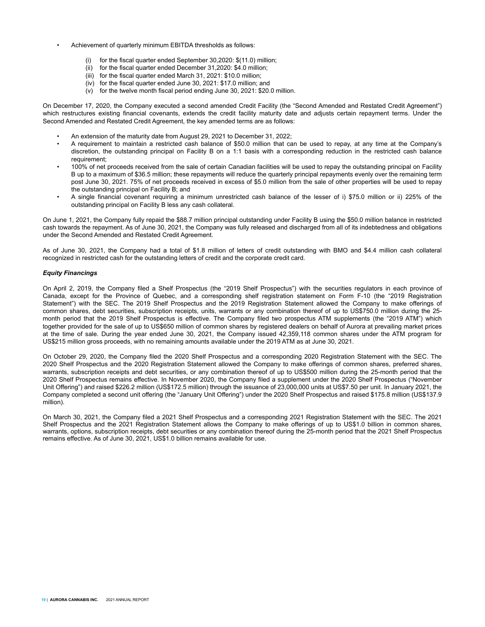- Achievement of quarterly minimum EBITDA thresholds as follows:
	- (i) for the fiscal quarter ended September 30,2020: \$(11.0) million;
	- (ii) for the fiscal quarter ended December 31,2020: \$4.0 million;
	- (iii) for the fiscal quarter ended March 31, 2021: \$10.0 million;
	- (iv) for the fiscal quarter ended June 30, 2021: \$17.0 million; and
	- (v) for the twelve month fiscal period ending June 30, 2021: \$20.0 million.

On December 17, 2020, the Company executed a second amended Credit Facility (the "Second Amended and Restated Credit Agreement") which restructures existing financial covenants, extends the credit facility maturity date and adjusts certain repayment terms. Under the Second Amended and Restated Credit Agreement, the key amended terms are as follows:

- An extension of the maturity date from August 29, 2021 to December 31, 2022;
- A requirement to maintain a restricted cash balance of \$50.0 million that can be used to repay, at any time at the Company's discretion, the outstanding principal on Facility B on a 1:1 basis with a corresponding reduction in the restricted cash balance requirement;
- 100% of net proceeds received from the sale of certain Canadian facilities will be used to repay the outstanding principal on Facility B up to a maximum of \$36.5 million; these repayments will reduce the quarterly principal repayments evenly over the remaining term post June 30, 2021. 75% of net proceeds received in excess of \$5.0 million from the sale of other properties will be used to repay the outstanding principal on Facility B; and
- A single financial covenant requiring a minimum unrestricted cash balance of the lesser of i) \$75.0 million or ii) 225% of the outstanding principal on Facility B less any cash collateral.

On June 1, 2021, the Company fully repaid the \$88.7 million principal outstanding under Facility B using the \$50.0 million balance in restricted cash towards the repayment. As of June 30, 2021, the Company was fully released and discharged from all of its indebtedness and obligations under the Second Amended and Restated Credit Agreement.

As of June 30, 2021, the Company had a total of \$1.8 million of letters of credit outstanding with BMO and \$4.4 million cash collateral recognized in restricted cash for the outstanding letters of credit and the corporate credit card.

# *Equity Financings*

On April 2, 2019, the Company filed a Shelf Prospectus (the "2019 Shelf Prospectus") with the securities regulators in each province of Canada, except for the Province of Quebec, and a corresponding shelf registration statement on Form F-10 (the "2019 Registration Statement") with the SEC. The 2019 Shelf Prospectus and the 2019 Registration Statement allowed the Company to make offerings of common shares, debt securities, subscription receipts, units, warrants or any combination thereof of up to US\$750.0 million during the 25 month period that the 2019 Shelf Prospectus is effective. The Company filed two prospectus ATM supplements (the "2019 ATM") which together provided for the sale of up to US\$650 million of common shares by registered dealers on behalf of Aurora at prevailing market prices at the time of sale. During the year ended June 30, 2021, the Company issued 42,359,118 common shares under the ATM program for US\$215 million gross proceeds, with no remaining amounts available under the 2019 ATM as at June 30, 2021.

On October 29, 2020, the Company filed the 2020 Shelf Prospectus and a corresponding 2020 Registration Statement with the SEC. The 2020 Shelf Prospectus and the 2020 Registration Statement allowed the Company to make offerings of common shares, preferred shares, warrants, subscription receipts and debt securities, or any combination thereof of up to US\$500 million during the 25-month period that the 2020 Shelf Prospectus remains effective. In November 2020, the Company filed a supplement under the 2020 Shelf Prospectus ("November Unit Offering") and raised \$226.2 million (US\$172.5 million) through the issuance of 23,000,000 units at US\$7.50 per unit. In January 2021, the Company completed a second unit offering (the "January Unit Offering") under the 2020 Shelf Prospectus and raised \$175.8 million (US\$137.9 million).

On March 30, 2021, the Company filed a 2021 Shelf Prospectus and a corresponding 2021 Registration Statement with the SEC. The 2021 Shelf Prospectus and the 2021 Registration Statement allows the Company to make offerings of up to US\$1.0 billion in common shares, warrants, options, subscription receipts, debt securities or any combination thereof during the 25-month period that the 2021 Shelf Prospectus remains effective. As of June 30, 2021, US\$1.0 billion remains available for use.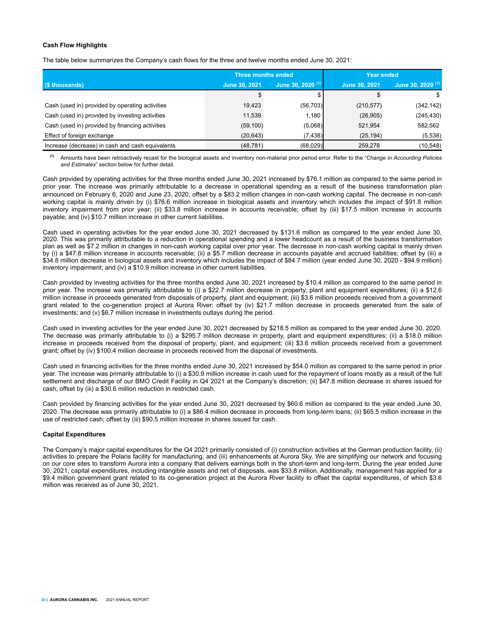# **Cash Flow Highlights**

The table below summarizes the Company's cash flows for the three and twelve months ended June 30, 2021:

|                                                  | Three months ended |                               | Year ended    |                     |  |
|--------------------------------------------------|--------------------|-------------------------------|---------------|---------------------|--|
| $(s$ thousands)                                  | June 30, 2021      | June 30, 2020 <sup>(1)'</sup> | June 30, 2021 | June 30, 2020 $(1)$ |  |
|                                                  | Φ                  |                               |               | S                   |  |
| Cash (used in) provided by operating activities  | 19.423             | (56, 703)                     | (210, 577)    | (342, 142)          |  |
| Cash (used in) provided by investing activities  | 11,539             | 1,180                         | (26,905)      | (245, 430)          |  |
| Cash (used in) provided by financing activities  | (59, 100)          | (5,068)                       | 521.954       | 582.562             |  |
| Effect of foreign exchange                       | (20, 643)          | (7, 438)                      | (25, 194)     | (5,538)             |  |
| Increase (decrease) in cash and cash equivalents | (48, 781)          | (68,029)                      | 259.278       | (10, 548)           |  |

**(1)** Amounts have been retroactively recast for the biological assets and inventory non-material prior period error. Refer to the "*Change in Accounting Policies and Estimates*" section below for further detail.

Cash provided by operating activities for the three months ended June 30, 2021 increased by \$76.1 million as compared to the same period in prior year. The increase was primarily attributable to a decrease in operational spending as a result of the business transformation plan announced on February 6, 2020 and June 23, 2020, offset by a \$83.2 million changes in non-cash working capital. The decrease in non-cash working capital is mainly driven by (i) \$76.6 million increase in biological assets and inventory which includes the impact of \$91.8 million inventory impairment from prior year; (ii) \$33.8 million increase in accounts receivable; offset by (iii) \$17.5 million increase in accounts payable; and (iv) \$10.7 million increase in other current liabilities.

Cash used in operating activities for the year ended June 30, 2021 decreased by \$131.6 million as compared to the year ended June 30, 2020. This was primarily attributable to a reduction in operational spending and a lower headcount as a result of the business transformation plan as well as \$7.2 million in changes in non-cash working capital over prior year. The decrease in non-cash working capital is mainly driven by (i) a \$47.8 million increase in accounts receivable; (ii) a \$5.7 million decrease in accounts payable and accrued liabilities; offset by (iii) a \$34.8 million decrease in biological assets and inventory which includes the impact of \$84.7 million (year ended June 30, 2020 - \$94.9 million) inventory impairment; and (iv) a \$10.9 million increase in other current liabilities.

Cash provided by investing activities for the three months ended June 30, 2021 increased by \$10.4 million as compared to the same period in prior year. The increase was primarily attributable to (i) a \$22.7 million decrease in property, plant and equipment expenditures; (ii) a \$12.6 million increase in proceeds generated from disposals of property, plant and equipment; (iii) \$3.6 million proceeds received from a government grant related to the co-generation project at Aurora River; offset by (iv) \$21.7 million decrease in proceeds generated from the sale of investments; and (v) \$6.7 million increase in investments outlays during the period.

Cash used in investing activities for the year ended June 30, 2021 decreased by \$218.5 million as compared to the year ended June 30, 2020. The decrease was primarily attributable to (i) a \$295.7 million decrease in property, plant and equipment expenditures; (ii) a \$18.0 million increase in proceeds received from the disposal of property, plant, and equipment; (iii) \$3.6 million proceeds received from a government grant; offset by (iv) \$100.4 million decrease in proceeds received from the disposal of investments.

Cash used in financing activities for the three months ended June 30, 2021 increased by \$54.0 million as compared to the same period in prior year. The increase was primarily attributable to (i) a \$30.9 million increase in cash used for the repayment of loans mostly as a result of the full settlement and discharge of our BMO Credit Facility in Q4 2021 at the Company's discretion; (ii) \$47.8 million decrease in shares issued for cash; offset by (iii) a \$30.6 million reduction in restricted cash.

Cash provided by financing activities for the year ended June 30, 2021 decreased by \$60.6 million as compared to the year ended June 30, 2020. The decrease was primarily attributable to (i) a \$86.4 million decrease in proceeds from long-term loans; (ii) \$65.5 million increase in the use of restricted cash; offset by (iii) \$90.5 million increase in shares issued for cash.

# **Capital Expenditures**

The Company's major capital expenditures for the Q4 2021 primarily consisted of (i) construction activities at the German production facility, (ii) activities to prepare the Polaris facility for manufacturing, and (iii) enhancements at Aurora Sky. We are simplifying our network and focusing on our core sites to transform Aurora into a company that delivers earnings both in the short-term and long-term. During the year ended June 30, 2021, capital expenditures, including intangible assets and net of disposals, was \$33.8 million. Additionally, management has applied for a \$9.4 million government grant related to its co-generation project at the Aurora River facility to offset the capital expenditures, of which \$3.6 million was received as of June 30, 2021.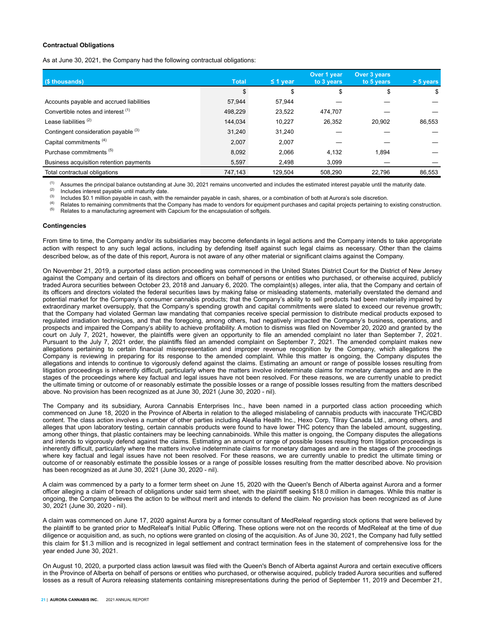# **Contractual Obligations**

As at June 30, 2021, the Company had the following contractual obligations:

|                                          |              |               | Over 1 year | Over 3 years |             |
|------------------------------------------|--------------|---------------|-------------|--------------|-------------|
| $(s$ thousands)                          | <b>Total</b> | $\leq$ 1 year | to 3 years  | to 5 years   | $> 5$ years |
|                                          |              | \$            | \$          | \$           | \$          |
| Accounts payable and accrued liabilities | 57.944       | 57.944        |             |              |             |
| Convertible notes and interest (1)       | 498.229      | 23,522        | 474.707     |              |             |
| Lease liabilities (2)                    | 144.034      | 10.227        | 26.352      | 20.902       | 86.553      |
| Contingent consideration payable (3)     | 31.240       | 31.240        |             |              |             |
| Capital commitments <sup>(4)</sup>       | 2.007        | 2.007         |             |              |             |
| Purchase commitments <sup>(5)</sup>      | 8,092        | 2.066         | 4,132       | 1.894        |             |
| Business acquisition retention payments  | 5,597        | 2,498         | 3.099       |              |             |
| Total contractual obligations            | 747.143      | 129.504       | 508.290     | 22.796       | 86.553      |

(1) Assumes the principal balance outstanding at June 30, 2021 remains unconverted and includes the estimated interest payable until the maturity date.

(2) Includes interest payable until maturity date.<br>(3) Includes  $$0.1$  million payable in each with the

(3) Includes \$0.1 million payable in cash, with the remainder payable in cash, shares, or a combination of both at Aurora's sole discretion.

(4) Relates to remaining commitments that the Company has made to vendors for equipment purchases and capital projects pertaining to existing construction.<br>(5) Bolates to a manufacturing agreement with Capcium for the enc Relates to a manufacturing agreement with Capcium for the encapsulation of softgels.

#### **Contingencies**

From time to time, the Company and/or its subsidiaries may become defendants in legal actions and the Company intends to take appropriate action with respect to any such legal actions, including by defending itself against such legal claims as necessary. Other than the claims described below, as of the date of this report, Aurora is not aware of any other material or significant claims against the Company.

On November 21, 2019, a purported class action proceeding was commenced in the United States District Court for the District of New Jersey against the Company and certain of its directors and officers on behalf of persons or entities who purchased, or otherwise acquired, publicly traded Aurora securities between October 23, 2018 and January 6, 2020. The complaint(s) alleges, inter alia, that the Company and certain of its officers and directors violated the federal securities laws by making false or misleading statements, materially overstated the demand and potential market for the Company's consumer cannabis products; that the Company's ability to sell products had been materially impaired by extraordinary market oversupply, that the Company's spending growth and capital commitments were slated to exceed our revenue growth; that the Company had violated German law mandating that companies receive special permission to distribute medical products exposed to regulated irradiation techniques, and that the foregoing, among others, had negatively impacted the Company's business, operations, and prospects and impaired the Company's ability to achieve profitability. A motion to dismiss was filed on November 20, 2020 and granted by the court on July 7, 2021, however, the plaintiffs were given an opportunity to file an amended complaint no later than September 7, 2021. Pursuant to the July 7, 2021 order, the plaintiffs filed an amended complaint on September 7, 2021. The amended complaint makes new allegations pertaining to certain financial misrepresentation and improper revenue recognition by the Company, which allegations the Company is reviewing in preparing for its response to the amended complaint. While this matter is ongoing, the Company disputes the allegations and intends to continue to vigorously defend against the claims. Estimating an amount or range of possible losses resulting from litigation proceedings is inherently difficult, particularly where the matters involve indeterminate claims for monetary damages and are in the stages of the proceedings where key factual and legal issues have not been resolved. For these reasons, we are currently unable to predict the ultimate timing or outcome of or reasonably estimate the possible losses or a range of possible losses resulting from the matters described above. No provision has been recognized as at June 30, 2021 (June 30, 2020 - nil).

The Company and its subsidiary, Aurora Cannabis Enterprises Inc., have been named in a purported class action proceeding which commenced on June 18, 2020 in the Province of Alberta in relation to the alleged mislabeling of cannabis products with inaccurate THC/CBD content. The class action involves a number of other parties including Aleafia Health Inc., Hexo Corp, Tilray Canada Ltd., among others, and alleges that upon laboratory testing, certain cannabis products were found to have lower THC potency than the labeled amount, suggesting, among other things, that plastic containers may be leeching cannabinoids. While this matter is ongoing, the Company disputes the allegations and intends to vigorously defend against the claims. Estimating an amount or range of possible losses resulting from litigation proceedings is inherently difficult, particularly where the matters involve indeterminate claims for monetary damages and are in the stages of the proceedings where key factual and legal issues have not been resolved. For these reasons, we are currently unable to predict the ultimate timing or outcome of or reasonably estimate the possible losses or a range of possible losses resulting from the matter described above. No provision has been recognized as at June 30, 2021 (June 30, 2020 - nil).

A claim was commenced by a party to a former term sheet on June 15, 2020 with the Queen's Bench of Alberta against Aurora and a former officer alleging a claim of breach of obligations under said term sheet, with the plaintiff seeking \$18.0 million in damages. While this matter is ongoing, the Company believes the action to be without merit and intends to defend the claim. No provision has been recognized as of June 30, 2021 (June 30, 2020 - nil).

A claim was commenced on June 17, 2020 against Aurora by a former consultant of MedReleaf regarding stock options that were believed by the plaintiff to be granted prior to MedReleaf's Initial Public Offering. These options were not on the records of MedReleaf at the time of due diligence or acquisition and, as such, no options were granted on closing of the acquisition. As of June 30, 2021, the Company had fully settled this claim for \$1.3 million and is recognized in legal settlement and contract termination fees in the statement of comprehensive loss for the year ended June 30, 2021.

On August 10, 2020, a purported class action lawsuit was filed with the Queen's Bench of Alberta against Aurora and certain executive officers in the Province of Alberta on behalf of persons or entities who purchased, or otherwise acquired, publicly traded Aurora securities and suffered losses as a result of Aurora releasing statements containing misrepresentations during the period of September 11, 2019 and December 21,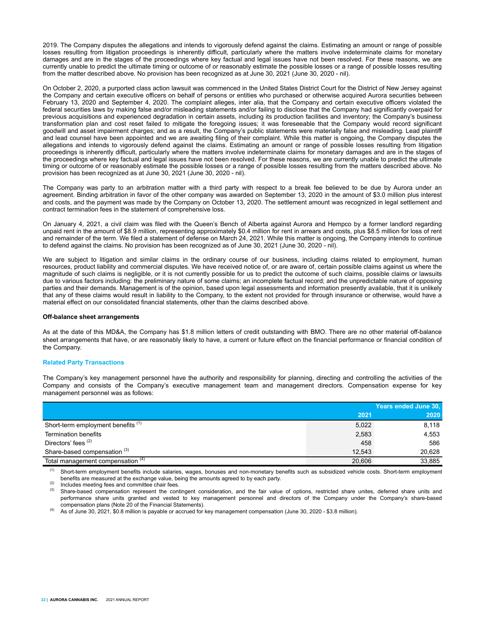<span id="page-21-0"></span>2019. The Company disputes the allegations and intends to vigorously defend against the claims. Estimating an amount or range of possible losses resulting from litigation proceedings is inherently difficult, particularly where the matters involve indeterminate claims for monetary damages and are in the stages of the proceedings where key factual and legal issues have not been resolved. For these reasons, we are currently unable to predict the ultimate timing or outcome of or reasonably estimate the possible losses or a range of possible losses resulting from the matter described above. No provision has been recognized as at June 30, 2021 (June 30, 2020 - nil).

On October 2, 2020, a purported class action lawsuit was commenced in the United States District Court for the District of New Jersey against the Company and certain executive officers on behalf of persons or entities who purchased or otherwise acquired Aurora securities between February 13, 2020 and September 4, 2020. The complaint alleges, inter alia, that the Company and certain executive officers violated the federal securities laws by making false and/or misleading statements and/or failing to disclose that the Company had significantly overpaid for previous acquisitions and experienced degradation in certain assets, including its production facilities and inventory; the Company's business transformation plan and cost reset failed to mitigate the foregoing issues; it was foreseeable that the Company would record significant goodwill and asset impairment charges; and as a result, the Company's public statements were materially false and misleading. Lead plaintiff and lead counsel have been appointed and we are awaiting filing of their complaint. While this matter is ongoing, the Company disputes the allegations and intends to vigorously defend against the claims. Estimating an amount or range of possible losses resulting from litigation proceedings is inherently difficult, particularly where the matters involve indeterminate claims for monetary damages and are in the stages of the proceedings where key factual and legal issues have not been resolved. For these reasons, we are currently unable to predict the ultimate timing or outcome of or reasonably estimate the possible losses or a range of possible losses resulting from the matters described above. No provision has been recognized as at June 30, 2021 (June 30, 2020 - nil).

The Company was party to an arbitration matter with a third party with respect to a break fee believed to be due by Aurora under an agreement. Binding arbitration in favor of the other company was awarded on September 13, 2020 in the amount of \$3.0 million plus interest and costs, and the payment was made by the Company on October 13, 2020. The settlement amount was recognized in legal settlement and contract termination fees in the statement of comprehensive loss.

On January 4, 2021, a civil claim was filed with the Queen's Bench of Alberta against Aurora and Hempco by a former landlord regarding unpaid rent in the amount of \$8.9 million, representing approximately \$0.4 million for rent in arrears and costs, plus \$8.5 million for loss of rent and remainder of the term. We filed a statement of defense on March 24, 2021. While this matter is ongoing, the Company intends to continue to defend against the claims. No provision has been recognized as of June 30, 2021 (June 30, 2020 - nil).

We are subject to litigation and similar claims in the ordinary course of our business, including claims related to employment, human resources, product liability and commercial disputes. We have received notice of, or are aware of, certain possible claims against us where the magnitude of such claims is negligible, or it is not currently possible for us to predict the outcome of such claims, possible claims or lawsuits due to various factors including: the preliminary nature of some claims; an incomplete factual record; and the unpredictable nature of opposing parties and their demands. Management is of the opinion, based upon legal assessments and information presently available, that it is unlikely that any of these claims would result in liability to the Company, to the extent not provided for through insurance or otherwise, would have a material effect on our consolidated financial statements, other than the claims described above.

# **Off-balance sheet arrangements**

As at the date of this MD&A, the Company has \$1.8 million letters of credit outstanding with BMO. There are no other material off-balance sheet arrangements that have, or are reasonably likely to have, a current or future effect on the financial performance or financial condition of the Company.

# **Related Party Transactions**

The Company's key management personnel have the authority and responsibility for planning, directing and controlling the activities of the Company and consists of the Company's executive management team and management directors. Compensation expense for key management personnel was as follows:

|                                    |        | Years ended June 30, |
|------------------------------------|--------|----------------------|
|                                    | 2021   | 2020                 |
| Short-term employment benefits (1) | 5,022  | 8,118                |
| <b>Termination benefits</b>        | 2,583  | 4,553                |
| Directors' fees (2)                | 458    | 586                  |
| Share-based compensation (3)       | 12.543 | 20.628               |
| Total management compensation (4)  | 20.606 | 33.885               |

<sup>(1)</sup> Short-term employment benefits include salaries, wages, bonuses and non-monetary benefits such as subsidized vehicle costs. Short-term employment benefits are measured at the exchange value, being the amounts agreed to by each party.

(2) Includes meeting fees and committee chair fees.<br>(3) Share bood componentian represent the cont

Share-based compensation represent the contingent consideration, and the fair value of options, restricted share unites, deferred share units and performance share units granted and vested to key management personnel and directors of the Company under the Company's share-based compensation plans (Note 20 of the Financial Statements).

(4) As of June 30, 2021, \$0.8 million is payable or accrued for key management compensation (June 30, 2020 - \$3.8 million).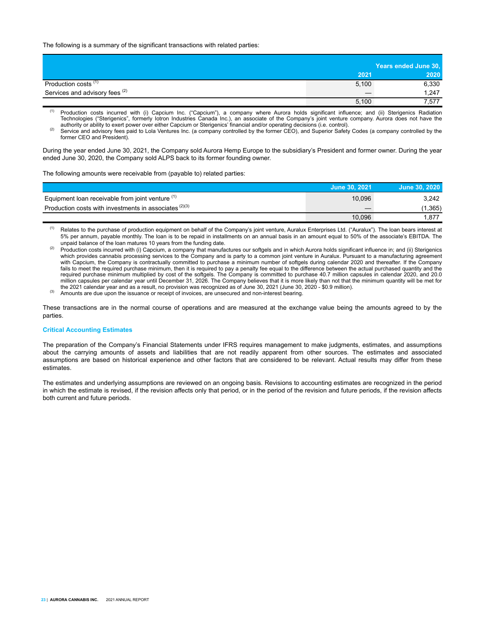<span id="page-22-0"></span>The following is a summary of the significant transactions with related parties:

|                                 |       | Years ended June 30, |
|---------------------------------|-------|----------------------|
|                                 | 2021  | 2020                 |
| Production costs <sup>(1)</sup> | 5,100 | 6,330                |
| Services and advisory fees (2)  |       | 1,247                |
|                                 | 5,100 | 7.577                |

<sup>(1)</sup> Production costs incurred with (i) Capcium Inc. ("Capcium"), a company where Aurora holds significant influence; and (ii) Sterigenics Radiation Technologies ("Sterigenics", formerly Iotron Industries Canada Inc.), an associate of the Company's joint venture company. Aurora does not have the authority or ability to exert power over either Capcium or Sterigenics' financial and/or operating decisions (i.e. control).

(2) Service and advisory fees paid to Lola Ventures Inc. (a company controlled by the former CEO), and Superior Safety Codes (a company controlled by the former CEO and President).

During the year ended June 30, 2021, the Company sold Aurora Hemp Europe to the subsidiary's President and former owner. During the year ended June 30, 2020, the Company sold ALPS back to its former founding owner.

The following amounts were receivable from (payable to) related parties:

|                                                        | June 30, 2021            | June 30, 2020 |
|--------------------------------------------------------|--------------------------|---------------|
| Equipment loan receivable from joint venture (1)       | 10.096                   | 3.242         |
| Production costs with investments in associates (2)(3) | $\overline{\phantom{a}}$ | (1, 365)      |
|                                                        | 10,096                   | 1.877         |

- <sup>(1)</sup> Relates to the purchase of production equipment on behalf of the Company's joint venture, Auralux Enterprises Ltd. ("Auralux"). The loan bears interest at 5% per annum, payable monthly. The loan is to be repaid in installments on an annual basis in an amount equal to 50% of the associate's EBITDA. The unpaid balance of the loan matures 10 years from the funding date.
- <sup>(2)</sup> Production costs incurred with (i) Capcium, a company that manufactures our softgels and in which Aurora holds significant influence in; and (ii) Sterigenics which provides cannabis processing services to the Company and is party to a common joint venture in Auralux. Pursuant to a manufacturing agreement with Capcium, the Company is contractually committed to purchase a minimum number of softgels during calendar 2020 and thereafter. If the Company fails to meet the required purchase minimum, then it is required to pay a penalty fee equal to the difference between the actual purchased quantity and the required purchase minimum multiplied by cost of the softgels. The Company is committed to purchase 40.7 million capsules in calendar 2020, and 20.0 million capsules per calendar year until December 31, 2026. The Company believes that it is more likely than not that the minimum quantity will be met for the 2021 calendar year and as a result, no provision was recognized as of June 30, 2021 (June 30, 2020 - \$0.9 million).

(3) Amounts are due upon the issuance or receipt of invoices, are unsecured and non-interest bearing.

These transactions are in the normal course of operations and are measured at the exchange value being the amounts agreed to by the parties.

# **Critical Accounting Estimates**

The preparation of the Company's Financial Statements under IFRS requires management to make judgments, estimates, and assumptions about the carrying amounts of assets and liabilities that are not readily apparent from other sources. The estimates and associated assumptions are based on historical experience and other factors that are considered to be relevant. Actual results may differ from these estimates.

The estimates and underlying assumptions are reviewed on an ongoing basis. Revisions to accounting estimates are recognized in the period in which the estimate is revised, if the revision affects only that period, or in the period of the revision and future periods, if the revision affects both current and future periods.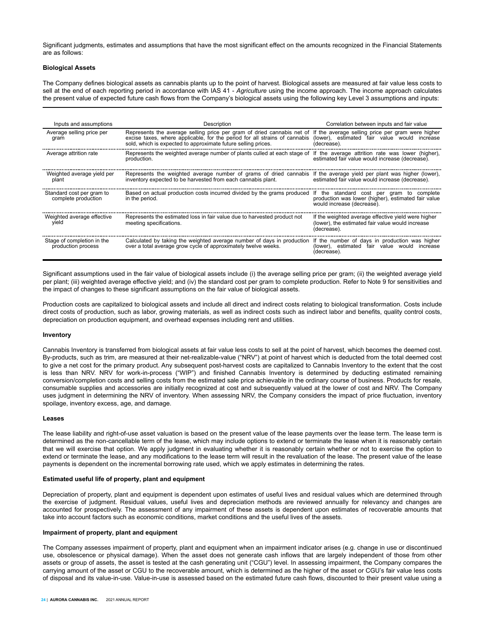Significant judgments, estimates and assumptions that have the most significant effect on the amounts recognized in the Financial Statements are as follows:

# **Biological Assets**

The Company defines biological assets as cannabis plants up to the point of harvest. Biological assets are measured at fair value less costs to sell at the end of each reporting period in accordance with IAS 41 - *Agriculture* using the income approach. The income approach calculates the present value of expected future cash flows from the Company's biological assets using the following key Level 3 assumptions and inputs:

| Inputs and assumptions                           | Description                                                                                                                                                                                                                                                                                                          | Correlation between inputs and fair value                                                                              |
|--------------------------------------------------|----------------------------------------------------------------------------------------------------------------------------------------------------------------------------------------------------------------------------------------------------------------------------------------------------------------------|------------------------------------------------------------------------------------------------------------------------|
| Average selling price per<br>gram                | Represents the average selling price per gram of dried cannabis net of If the average selling price per gram were higher<br>excise taxes, where applicable, for the period for all strains of cannabis (lower), estimated fair value would increase<br>sold, which is expected to approximate future selling prices. | (decrease).                                                                                                            |
| Average attrition rate                           | Represents the weighted average number of plants culled at each stage of If the average attrition rate was lower (higher),<br>production.                                                                                                                                                                            | estimated fair value would increase (decrease).                                                                        |
| Weighted average yield per<br>plant              | Represents the weighted average number of grams of dried cannabis If the average yield per plant was higher (lower),<br>inventory expected to be harvested from each cannabis plant.                                                                                                                                 | estimated fair value would increase (decrease).                                                                        |
| Standard cost per gram to<br>complete production | Based on actual production costs incurred divided by the grams produced If the standard cost per gram to complete<br>in the period.                                                                                                                                                                                  | production was lower (higher), estimated fair value<br>would increase (decrease).                                      |
| Weighted average effective<br>vield              | Represents the estimated loss in fair value due to harvested product not<br>meeting specifications.                                                                                                                                                                                                                  | If the weighted average effective yield were higher<br>(lower), the estimated fair value would increase<br>(decrease). |
| Stage of completion in the<br>production process | Calculated by taking the weighted average number of days in production If the number of days in production was higher<br>over a total average grow cycle of approximately twelve weeks.                                                                                                                              | (lower), estimated fair value would increase<br>(decrease)                                                             |

Significant assumptions used in the fair value of biological assets include (i) the average selling price per gram; (ii) the weighted average yield per plant; (iii) weighted average effective yield; and (iv) the standard cost per gram to complete production. Refer to Note 9 for sensitivities and the impact of changes to these significant assumptions on the fair value of biological assets.

Production costs are capitalized to biological assets and include all direct and indirect costs relating to biological transformation. Costs include direct costs of production, such as labor, growing materials, as well as indirect costs such as indirect labor and benefits, quality control costs, depreciation on production equipment, and overhead expenses including rent and utilities.

# **Inventory**

Cannabis Inventory is transferred from biological assets at fair value less costs to sell at the point of harvest, which becomes the deemed cost. By-products, such as trim, are measured at their net-realizable-value ("NRV") at point of harvest which is deducted from the total deemed cost to give a net cost for the primary product. Any subsequent post-harvest costs are capitalized to Cannabis Inventory to the extent that the cost is less than NRV. NRV for work-in-process ("WIP") and finished Cannabis Inventory is determined by deducting estimated remaining conversion/completion costs and selling costs from the estimated sale price achievable in the ordinary course of business. Products for resale, consumable supplies and accessories are initially recognized at cost and subsequently valued at the lower of cost and NRV. The Company uses judgment in determining the NRV of inventory. When assessing NRV, the Company considers the impact of price fluctuation, inventory spoilage, inventory excess, age, and damage.

# **Leases**

The lease liability and right-of-use asset valuation is based on the present value of the lease payments over the lease term. The lease term is determined as the non-cancellable term of the lease, which may include options to extend or terminate the lease when it is reasonably certain that we will exercise that option. We apply judgment in evaluating whether it is reasonably certain whether or not to exercise the option to extend or terminate the lease, and any modifications to the lease term will result in the revaluation of the lease. The present value of the lease payments is dependent on the incremental borrowing rate used, which we apply estimates in determining the rates.

# **Estimated useful life of property, plant and equipment**

Depreciation of property, plant and equipment is dependent upon estimates of useful lives and residual values which are determined through the exercise of judgment. Residual values, useful lives and depreciation methods are reviewed annually for relevancy and changes are accounted for prospectively. The assessment of any impairment of these assets is dependent upon estimates of recoverable amounts that take into account factors such as economic conditions, market conditions and the useful lives of the assets.

# **Impairment of property, plant and equipment**

The Company assesses impairment of property, plant and equipment when an impairment indicator arises (e.g. change in use or discontinued use, obsolescence or physical damage). When the asset does not generate cash inflows that are largely independent of those from other assets or group of assets, the asset is tested at the cash generating unit ("CGU") level. In assessing impairment, the Company compares the carrying amount of the asset or CGU to the recoverable amount, which is determined as the higher of the asset or CGU's fair value less costs of disposal and its value-in-use. Value-in-use is assessed based on the estimated future cash flows, discounted to their present value using a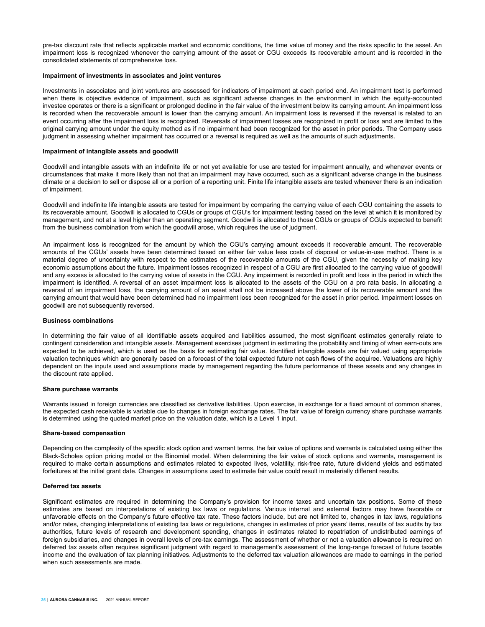pre-tax discount rate that reflects applicable market and economic conditions, the time value of money and the risks specific to the asset. An impairment loss is recognized whenever the carrying amount of the asset or CGU exceeds its recoverable amount and is recorded in the consolidated statements of comprehensive loss.

#### **Impairment of investments in associates and joint ventures**

Investments in associates and joint ventures are assessed for indicators of impairment at each period end. An impairment test is performed when there is objective evidence of impairment, such as significant adverse changes in the environment in which the equity-accounted investee operates or there is a significant or prolonged decline in the fair value of the investment below its carrying amount. An impairment loss is recorded when the recoverable amount is lower than the carrying amount. An impairment loss is reversed if the reversal is related to an event occurring after the impairment loss is recognized. Reversals of impairment losses are recognized in profit or loss and are limited to the original carrying amount under the equity method as if no impairment had been recognized for the asset in prior periods. The Company uses judgment in assessing whether impairment has occurred or a reversal is required as well as the amounts of such adjustments.

#### **Impairment of intangible assets and goodwill**

Goodwill and intangible assets with an indefinite life or not yet available for use are tested for impairment annually, and whenever events or circumstances that make it more likely than not that an impairment may have occurred, such as a significant adverse change in the business climate or a decision to sell or dispose all or a portion of a reporting unit. Finite life intangible assets are tested whenever there is an indication of impairment.

Goodwill and indefinite life intangible assets are tested for impairment by comparing the carrying value of each CGU containing the assets to its recoverable amount. Goodwill is allocated to CGUs or groups of CGU's for impairment testing based on the level at which it is monitored by management, and not at a level higher than an operating segment. Goodwill is allocated to those CGUs or groups of CGUs expected to benefit from the business combination from which the goodwill arose, which requires the use of judgment.

An impairment loss is recognized for the amount by which the CGU's carrying amount exceeds it recoverable amount. The recoverable amounts of the CGUs' assets have been determined based on either fair value less costs of disposal or value-in-use method. There is a material degree of uncertainty with respect to the estimates of the recoverable amounts of the CGU, given the necessity of making key economic assumptions about the future. Impairment losses recognized in respect of a CGU are first allocated to the carrying value of goodwill and any excess is allocated to the carrying value of assets in the CGU. Any impairment is recorded in profit and loss in the period in which the impairment is identified. A reversal of an asset impairment loss is allocated to the assets of the CGU on a pro rata basis. In allocating a reversal of an impairment loss, the carrying amount of an asset shall not be increased above the lower of its recoverable amount and the carrying amount that would have been determined had no impairment loss been recognized for the asset in prior period. Impairment losses on goodwill are not subsequently reversed.

#### **Business combinations**

In determining the fair value of all identifiable assets acquired and liabilities assumed, the most significant estimates generally relate to contingent consideration and intangible assets. Management exercises judgment in estimating the probability and timing of when earn-outs are expected to be achieved, which is used as the basis for estimating fair value. Identified intangible assets are fair valued using appropriate valuation techniques which are generally based on a forecast of the total expected future net cash flows of the acquiree. Valuations are highly dependent on the inputs used and assumptions made by management regarding the future performance of these assets and any changes in the discount rate applied.

#### **Share purchase warrants**

Warrants issued in foreign currencies are classified as derivative liabilities. Upon exercise, in exchange for a fixed amount of common shares, the expected cash receivable is variable due to changes in foreign exchange rates. The fair value of foreign currency share purchase warrants is determined using the quoted market price on the valuation date, which is a Level 1 input.

#### **Share-based compensation**

Depending on the complexity of the specific stock option and warrant terms, the fair value of options and warrants is calculated using either the Black-Scholes option pricing model or the Binomial model. When determining the fair value of stock options and warrants, management is required to make certain assumptions and estimates related to expected lives, volatility, risk-free rate, future dividend yields and estimated forfeitures at the initial grant date. Changes in assumptions used to estimate fair value could result in materially different results.

#### **Deferred tax assets**

Significant estimates are required in determining the Company's provision for income taxes and uncertain tax positions. Some of these estimates are based on interpretations of existing tax laws or regulations. Various internal and external factors may have favorable or unfavorable effects on the Company's future effective tax rate. These factors include, but are not limited to, changes in tax laws, regulations and/or rates, changing interpretations of existing tax laws or regulations, changes in estimates of prior years' items, results of tax audits by tax authorities, future levels of research and development spending, changes in estimates related to repatriation of undistributed earnings of foreign subsidiaries, and changes in overall levels of pre-tax earnings. The assessment of whether or not a valuation allowance is required on deferred tax assets often requires significant judgment with regard to management's assessment of the long-range forecast of future taxable income and the evaluation of tax planning initiatives. Adjustments to the deferred tax valuation allowances are made to earnings in the period when such assessments are made.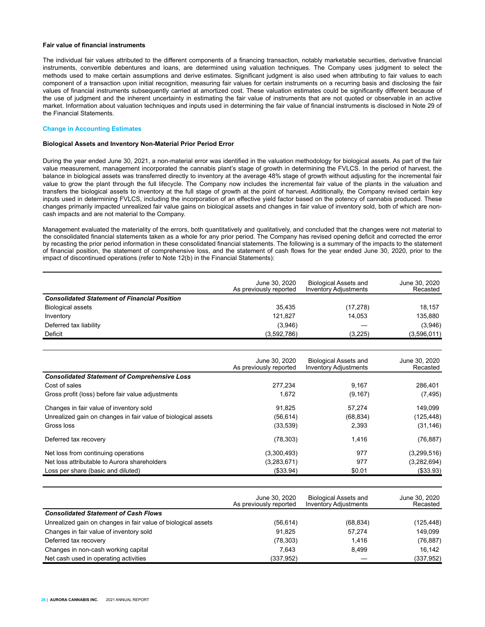#### <span id="page-25-0"></span>**Fair value of financial instruments**

The individual fair values attributed to the different components of a financing transaction, notably marketable securities, derivative financial instruments, convertible debentures and loans, are determined using valuation techniques. The Company uses judgment to select the methods used to make certain assumptions and derive estimates. Significant judgment is also used when attributing to fair values to each component of a transaction upon initial recognition, measuring fair values for certain instruments on a recurring basis and disclosing the fair values of financial instruments subsequently carried at amortized cost. These valuation estimates could be significantly different because of the use of judgment and the inherent uncertainty in estimating the fair value of instruments that are not quoted or observable in an active market. Information about valuation techniques and inputs used in determining the fair value of financial instruments is disclosed in Note 29 of the Financial Statements.

# **Change in Accounting Estimates**

# **Biological Assets and Inventory Non-Material Prior Period Error**

During the year ended June 30, 2021, a non-material error was identified in the valuation methodology for biological assets. As part of the fair value measurement, management incorporated the cannabis plant's stage of growth in determining the FVLCS. In the period of harvest, the balance in biological assets was transferred directly to inventory at the average 48% stage of growth without adjusting for the incremental fair value to grow the plant through the full lifecycle. The Company now includes the incremental fair value of the plants in the valuation and transfers the biological assets to inventory at the full stage of growth at the point of harvest. Additionally, the Company revised certain key inputs used in determining FVLCS, including the incorporation of an effective yield factor based on the potency of cannabis produced. These changes primarily impacted unrealized fair value gains on biological assets and changes in fair value of inventory sold, both of which are noncash impacts and are not material to the Company.

Management evaluated the materiality of the errors, both quantitatively and qualitatively, and concluded that the changes were not material to the consolidated financial statements taken as a whole for any prior period. The Company has revised opening deficit and corrected the error by recasting the prior period information in these consolidated financial statements. The following is a summary of the impacts to the statement of financial position, the statement of comprehensive loss, and the statement of cash flows for the year ended June 30, 2020, prior to the impact of discontinued operations (refer to Note 12(b) in the Financial Statements):

|                                                     | June 30, 2020<br>As previously reported | <b>Biological Assets and</b><br><b>Inventory Adjustments</b> | June 30, 2020<br>Recasted |
|-----------------------------------------------------|-----------------------------------------|--------------------------------------------------------------|---------------------------|
| <b>Consolidated Statement of Financial Position</b> |                                         |                                                              |                           |
| <b>Biological assets</b>                            | 35,435                                  | (17, 278)                                                    | 18.157                    |
| Inventory                                           | 121.827                                 | 14.053                                                       | 135,880                   |
| Deferred tax liability                              | (3,946)                                 |                                                              | (3,946)                   |
| Deficit                                             | (3,592,786)                             | (3,225)                                                      | (3,596,011)               |

|                                                               | June 30, 2020<br>As previously reported | <b>Biological Assets and</b><br><b>Inventory Adjustments</b> | June 30, 2020<br>Recasted |
|---------------------------------------------------------------|-----------------------------------------|--------------------------------------------------------------|---------------------------|
| <b>Consolidated Statement of Comprehensive Loss</b>           |                                         |                                                              |                           |
| Cost of sales                                                 | 277.234                                 | 9.167                                                        | 286.401                   |
| Gross profit (loss) before fair value adjustments             | 1.672                                   | (9, 167)                                                     | (7, 495)                  |
| Changes in fair value of inventory sold                       | 91,825                                  | 57.274                                                       | 149.099                   |
| Unrealized gain on changes in fair value of biological assets | (56, 614)                               | (68, 834)                                                    | (125, 448)                |
| Gross loss                                                    | (33, 539)                               | 2.393                                                        | (31, 146)                 |
| Deferred tax recovery                                         | (78, 303)                               | 1.416                                                        | (76, 887)                 |
| Net loss from continuing operations                           | (3,300,493)                             | 977                                                          | (3,299,516)               |
| Net loss attributable to Aurora shareholders                  | (3,283,671)                             | 977                                                          | (3,282,694)               |
| Loss per share (basic and diluted)                            | (\$33.94)                               | \$0.01                                                       | (\$33.93)                 |

|                                                               | June 30, 2020<br>As previously reported | <b>Biological Assets and</b><br><b>Inventory Adjustments</b> | June 30, 2020<br>Recasted |
|---------------------------------------------------------------|-----------------------------------------|--------------------------------------------------------------|---------------------------|
| <b>Consolidated Statement of Cash Flows</b>                   |                                         |                                                              |                           |
| Unrealized gain on changes in fair value of biological assets | (56, 614)                               | (68, 834)                                                    | (125,448)                 |
| Changes in fair value of inventory sold                       | 91.825                                  | 57.274                                                       | 149.099                   |
| Deferred tax recovery                                         | (78, 303)                               | 1.416                                                        | (76, 887)                 |
| Changes in non-cash working capital                           | 7.643                                   | 8.499                                                        | 16.142                    |
| Net cash used in operating activities                         | (337,952)                               |                                                              | (337,952)                 |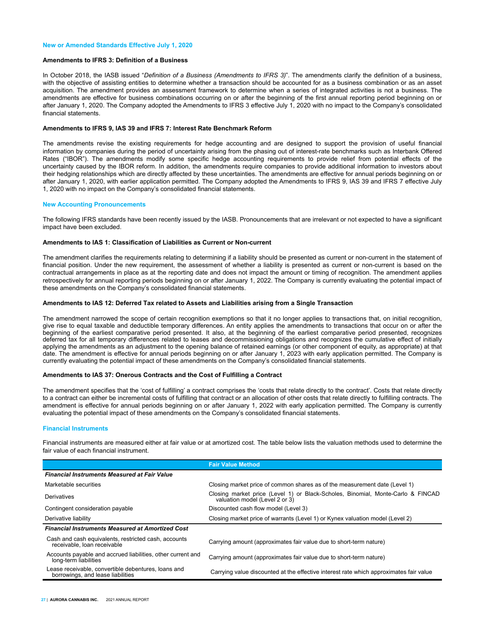#### <span id="page-26-0"></span>**New or Amended Standards Effective July 1, 2020**

# **Amendments to IFRS 3: Definition of a Business**

In October 2018, the IASB issued "*Definition of a Business (Amendments to IFRS 3)*". The amendments clarify the definition of a business, with the objective of assisting entities to determine whether a transaction should be accounted for as a business combination or as an asset acquisition. The amendment provides an assessment framework to determine when a series of integrated activities is not a business. The amendments are effective for business combinations occurring on or after the beginning of the first annual reporting period beginning on or after January 1, 2020. The Company adopted the Amendments to IFRS 3 effective July 1, 2020 with no impact to the Company's consolidated financial statements.

#### **Amendments to IFRS 9, IAS 39 and IFRS 7: Interest Rate Benchmark Reform**

The amendments revise the existing requirements for hedge accounting and are designed to support the provision of useful financial information by companies during the period of uncertainty arising from the phasing out of interest-rate benchmarks such as Interbank Offered Rates ("IBOR"). The amendments modify some specific hedge accounting requirements to provide relief from potential effects of the uncertainty caused by the IBOR reform. In addition, the amendments require companies to provide additional information to investors about their hedging relationships which are directly affected by these uncertainties. The amendments are effective for annual periods beginning on or after January 1, 2020, with earlier application permitted. The Company adopted the Amendments to IFRS 9, IAS 39 and IFRS 7 effective July 1, 2020 with no impact on the Company's consolidated financial statements.

#### **New Accounting Pronouncements**

The following IFRS standards have been recently issued by the IASB. Pronouncements that are irrelevant or not expected to have a significant impact have been excluded.

# **Amendments to IAS 1: Classification of Liabilities as Current or Non-current**

The amendment clarifies the requirements relating to determining if a liability should be presented as current or non-current in the statement of financial position. Under the new requirement, the assessment of whether a liability is presented as current or non-current is based on the contractual arrangements in place as at the reporting date and does not impact the amount or timing of recognition. The amendment applies retrospectively for annual reporting periods beginning on or after January 1, 2022. The Company is currently evaluating the potential impact of these amendments on the Company's consolidated financial statements.

# **Amendments to IAS 12: Deferred Tax related to Assets and Liabilities arising from a Single Transaction**

The amendment narrowed the scope of certain recognition exemptions so that it no longer applies to transactions that, on initial recognition, give rise to equal taxable and deductible temporary differences. An entity applies the amendments to transactions that occur on or after the beginning of the earliest comparative period presented. It also, at the beginning of the earliest comparative period presented, recognizes deferred tax for all temporary differences related to leases and decommissioning obligations and recognizes the cumulative effect of initially applying the amendments as an adjustment to the opening balance of retained earnings (or other component of equity, as appropriate) at that date. The amendment is effective for annual periods beginning on or after January 1, 2023 with early application permitted. The Company is currently evaluating the potential impact of these amendments on the Company's consolidated financial statements.

# **Amendments to IAS 37: Onerous Contracts and the Cost of Fulfilling a Contract**

The amendment specifies that the 'cost of fulfilling' a contract comprises the 'costs that relate directly to the contract'. Costs that relate directly to a contract can either be incremental costs of fulfilling that contract or an allocation of other costs that relate directly to fulfilling contracts. The amendment is effective for annual periods beginning on or after January 1, 2022 with early application permitted. The Company is currently evaluating the potential impact of these amendments on the Company's consolidated financial statements.

#### **Financial Instruments**

Financial instruments are measured either at fair value or at amortized cost. The table below lists the valuation methods used to determine the fair value of each financial instrument.

|                                                                                          | <b>Fair Value Method</b>                                                                                          |
|------------------------------------------------------------------------------------------|-------------------------------------------------------------------------------------------------------------------|
| <b>Financial Instruments Measured at Fair Value</b>                                      |                                                                                                                   |
| Marketable securities                                                                    | Closing market price of common shares as of the measurement date (Level 1)                                        |
| Derivatives                                                                              | Closing market price (Level 1) or Black-Scholes, Binomial, Monte-Carlo & FINCAD<br>valuation model (Level 2 or 3) |
| Contingent consideration payable                                                         | Discounted cash flow model (Level 3)                                                                              |
| Derivative liability                                                                     | Closing market price of warrants (Level 1) or Kynex valuation model (Level 2)                                     |
| <b>Financial Instruments Measured at Amortized Cost</b>                                  |                                                                                                                   |
| Cash and cash equivalents, restricted cash, accounts<br>receivable. Ioan receivable      | Carrying amount (approximates fair value due to short-term nature)                                                |
| Accounts payable and accrued liabilities, other current and<br>long-term liabilities     | Carrying amount (approximates fair value due to short-term nature)                                                |
| Lease receivable, convertible debentures, loans and<br>borrowings, and lease liabilities | Carrying value discounted at the effective interest rate which approximates fair value                            |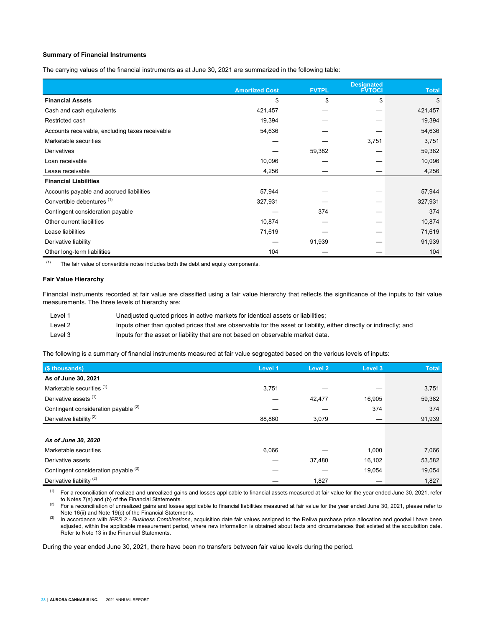# **Summary of Financial Instruments**

The carrying values of the financial instruments as at June 30, 2021 are summarized in the following table:

|                                                 | <b>Amortized Cost</b> | <b>FVTPL</b> | <b>Designated</b><br><b>FVTOCI</b> | <b>Total</b> |
|-------------------------------------------------|-----------------------|--------------|------------------------------------|--------------|
| <b>Financial Assets</b>                         | \$                    | \$           | \$                                 | \$           |
| Cash and cash equivalents                       | 421,457               |              |                                    | 421,457      |
| Restricted cash                                 | 19,394                |              |                                    | 19,394       |
| Accounts receivable, excluding taxes receivable | 54,636                |              |                                    | 54,636       |
| Marketable securities                           |                       |              | 3,751                              | 3,751        |
| Derivatives                                     |                       | 59,382       |                                    | 59,382       |
| Loan receivable                                 | 10,096                |              |                                    | 10,096       |
| Lease receivable                                | 4,256                 |              |                                    | 4,256        |
| <b>Financial Liabilities</b>                    |                       |              |                                    |              |
| Accounts payable and accrued liabilities        | 57,944                |              |                                    | 57,944       |
| Convertible debentures <sup>(1)</sup>           | 327,931               |              |                                    | 327,931      |
| Contingent consideration payable                |                       | 374          |                                    | 374          |
| Other current liabilities                       | 10,874                |              |                                    | 10,874       |
| Lease liabilities                               | 71,619                |              |                                    | 71,619       |
| Derivative liability                            |                       | 91,939       |                                    | 91,939       |
| Other long-term liabilities                     | 104                   |              |                                    | 104          |

 $(1)$  The fair value of convertible notes includes both the debt and equity components.

# **Fair Value Hierarchy**

Financial instruments recorded at fair value are classified using a fair value hierarchy that reflects the significance of the inputs to fair value measurements. The three levels of hierarchy are:

| Level 1 | Unadjusted quoted prices in active markets for identical assets or liabilities;                                    |
|---------|--------------------------------------------------------------------------------------------------------------------|
| Level 2 | Inputs other than quoted prices that are observable for the asset or liability, either directly or indirectly; and |
| Level 3 | Inputs for the asset or liability that are not based on observable market data.                                    |

The following is a summary of financial instruments measured at fair value segregated based on the various levels of inputs:

| (\$ thousands)                                  | Level 1 | Level 2 | Level 3 | <b>Total</b> |
|-------------------------------------------------|---------|---------|---------|--------------|
| As of June 30, 2021                             |         |         |         |              |
| Marketable securities <sup>(1)</sup>            | 3,751   |         |         | 3,751        |
| Derivative assets (1)                           |         | 42,477  | 16,905  | 59,382       |
| Contingent consideration payable <sup>(2)</sup> |         |         | 374     | 374          |
| Derivative liability <sup>(2)</sup>             | 88,860  | 3,079   |         | 91,939       |
|                                                 |         |         |         |              |
| As of June 30, 2020                             |         |         |         |              |
| Marketable securities                           | 6,066   |         | 1,000   | 7,066        |
| Derivative assets                               |         | 37,480  | 16,102  | 53,582       |
| Contingent consideration payable (3)            |         |         | 19,054  | 19,054       |
| Derivative liability $(2)$                      |         | 1,827   |         | 1,827        |

Derivative liability<sup>(2)</sup>

<sup>(1)</sup> For a reconciliation of realized and unrealized gains and losses applicable to financial assets measured at fair value for the year ended June 30, 2021, refer to Notes 7(a) and (b) of the Financial Statements.

(2) For a reconciliation of unrealized gains and losses applicable to financial liabilities measured at fair value for the year ended June 30, 2021, please refer to Note 16(ii) and Note 19(c) of the Financial Statements.

(3) In accordance with *IFRS 3 - Business Combinations*, acquisition date fair values assigned to the Reliva purchase price allocation and goodwill have been adjusted, within the applicable measurement period, where new information is obtained about facts and circumstances that existed at the acquisition date. Refer to Note 13 in the Financial Statements.

During the year ended June 30, 2021, there have been no transfers between fair value levels during the period.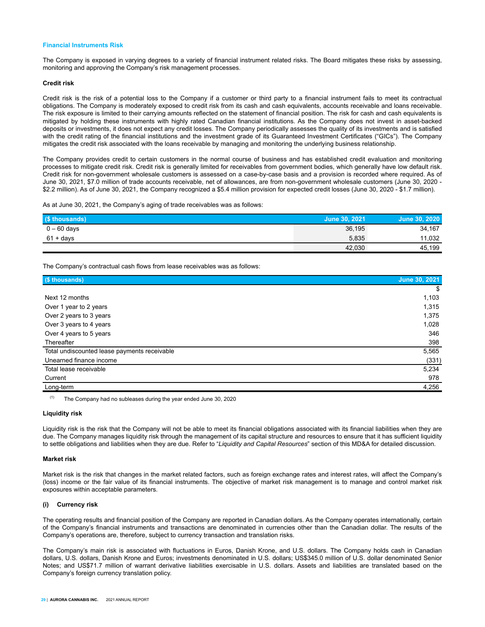#### <span id="page-28-0"></span>**Financial Instruments Risk**

The Company is exposed in varying degrees to a variety of financial instrument related risks. The Board mitigates these risks by assessing, monitoring and approving the Company's risk management processes.

# **Credit risk**

Credit risk is the risk of a potential loss to the Company if a customer or third party to a financial instrument fails to meet its contractual obligations. The Company is moderately exposed to credit risk from its cash and cash equivalents, accounts receivable and loans receivable. The risk exposure is limited to their carrying amounts reflected on the statement of financial position. The risk for cash and cash equivalents is mitigated by holding these instruments with highly rated Canadian financial institutions. As the Company does not invest in asset-backed deposits or investments, it does not expect any credit losses. The Company periodically assesses the quality of its investments and is satisfied with the credit rating of the financial institutions and the investment grade of its Guaranteed Investment Certificates ("GICs"). The Company mitigates the credit risk associated with the loans receivable by managing and monitoring the underlying business relationship.

The Company provides credit to certain customers in the normal course of business and has established credit evaluation and monitoring processes to mitigate credit risk. Credit risk is generally limited for receivables from government bodies, which generally have low default risk. Credit risk for non-government wholesale customers is assessed on a case-by-case basis and a provision is recorded where required. As of June 30, 2021, \$7.0 million of trade accounts receivable, net of allowances, are from non-government wholesale customers (June 30, 2020 - \$2.2 million). As of June 30, 2021, the Company recognized a \$5.4 million provision for expected credit losses (June 30, 2020 - \$1.7 million).

As at June 30, 2021, the Company's aging of trade receivables was as follows:

| (\$ thousands) | <b>June 30, 2021</b> | <b>June 30, 2020</b> |
|----------------|----------------------|----------------------|
| $0 - 60$ days  | 36,195               | 34,167               |
| $61 + days$    | 5,835                | 11,032               |
|                | 42,030               | 45,199               |

The Company's contractual cash flows from lease receivables was as follows:

| (\$ thousands)                               | <b>June 30, 2021</b> |
|----------------------------------------------|----------------------|
|                                              | \$                   |
| Next 12 months                               | 1,103                |
| Over 1 year to 2 years                       | 1,315                |
| Over 2 years to 3 years                      | 1,375                |
| Over 3 years to 4 years                      | 1,028                |
| Over 4 years to 5 years                      | 346                  |
| Thereafter                                   | 398                  |
| Total undiscounted lease payments receivable | 5,565                |
| Unearned finance income                      | (331)                |
| Total lease receivable                       | 5,234                |
| Current                                      | 978                  |
| Long-term                                    | 4,256                |

 $(1)$  The Company had no subleases during the year ended June 30, 2020

# **Liquidity risk**

Liquidity risk is the risk that the Company will not be able to meet its financial obligations associated with its financial liabilities when they are due. The Company manages liquidity risk through the management of its capital structure and resources to ensure that it has sufficient liquidity to settle obligations and liabilities when they are due. Refer to "*Liquidity and Capital Resources*" section of this MD&A for detailed discussion.

# **Market risk**

Market risk is the risk that changes in the market related factors, such as foreign exchange rates and interest rates, will affect the Company's (loss) income or the fair value of its financial instruments. The objective of market risk management is to manage and control market risk exposures within acceptable parameters.

# **(i) Currency risk**

The operating results and financial position of the Company are reported in Canadian dollars. As the Company operates internationally, certain of the Company's financial instruments and transactions are denominated in currencies other than the Canadian dollar. The results of the Company's operations are, therefore, subject to currency transaction and translation risks.

The Company's main risk is associated with fluctuations in Euros, Danish Krone, and U.S. dollars. The Company holds cash in Canadian dollars, U.S. dollars, Danish Krone and Euros; investments denominated in U.S. dollars; US\$345.0 million of U.S. dollar denominated Senior Notes; and US\$71.7 million of warrant derivative liabilities exercisable in U.S. dollars. Assets and liabilities are translated based on the Company's foreign currency translation policy.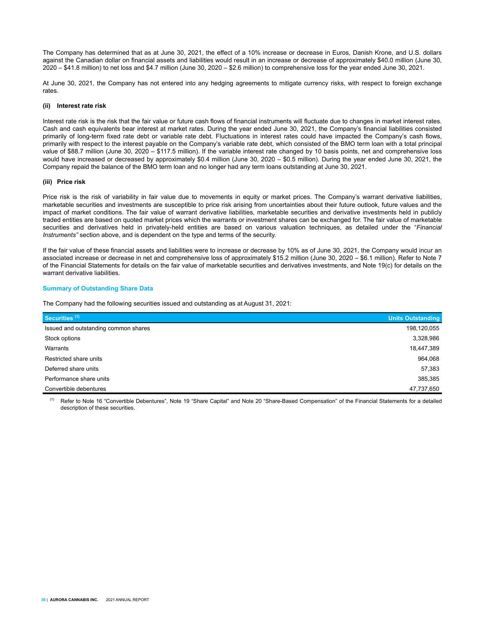<span id="page-29-0"></span>The Company has determined that as at June 30, 2021, the effect of a 10% increase or decrease in Euros, Danish Krone, and U.S. dollars against the Canadian dollar on financial assets and liabilities would result in an increase or decrease of approximately \$40.0 million (June 30, 2020 – \$41.8 million) to net loss and \$4.7 million (June 30, 2020 – \$2.6 million) to comprehensive loss for the year ended June 30, 2021.

At June 30, 2021, the Company has not entered into any hedging agreements to mitigate currency risks, with respect to foreign exchange rates.

# **(ii) Interest rate risk**

Interest rate risk is the risk that the fair value or future cash flows of financial instruments will fluctuate due to changes in market interest rates. Cash and cash equivalents bear interest at market rates. During the year ended June 30, 2021, the Company's financial liabilities consisted primarily of long-term fixed rate debt or variable rate debt. Fluctuations in interest rates could have impacted the Company's cash flows, primarily with respect to the interest payable on the Company's variable rate debt, which consisted of the BMO term loan with a total principal value of \$88.7 million (June 30, 2020 – \$117.5 million). If the variable interest rate changed by 10 basis points, net and comprehensive loss would have increased or decreased by approximately \$0.4 million (June 30, 2020 – \$0.5 million). During the year ended June 30, 2021, the Company repaid the balance of the BMO term loan and no longer had any term loans outstanding at June 30, 2021.

#### **(iii) Price risk**

Price risk is the risk of variability in fair value due to movements in equity or market prices. The Company's warrant derivative liabilities, marketable securities and investments are susceptible to price risk arising from uncertainties about their future outlook, future values and the impact of market conditions. The fair value of warrant derivative liabilities, marketable securities and derivative investments held in publicly traded entities are based on quoted market prices which the warrants or investment shares can be exchanged for. The fair value of marketable securities and derivatives held in privately-held entities are based on various valuation techniques, as detailed under the "*Financial Instruments"* section above, and is dependent on the type and terms of the security.

If the fair value of these financial assets and liabilities were to increase or decrease by 10% as of June 30, 2021, the Company would incur an associated increase or decrease in net and comprehensive loss of approximately \$15.2 million (June 30, 2020 – \$6.1 million). Refer to Note 7 of the Financial Statements for details on the fair value of marketable securities and derivatives investments, and Note 19(c) for details on the warrant derivative liabilities.

#### **Summary of Outstanding Share Data**

The Company had the following securities issued and outstanding as at August 31, 2021:

| Securities <sup>(1)</sup>            | <b>Units Outstanding</b> |
|--------------------------------------|--------------------------|
| Issued and outstanding common shares | 198,120,055              |
| Stock options                        | 3,328,986                |
| Warrants                             | 18,447,389               |
| Restricted share units               | 964,068                  |
| Deferred share units                 | 57,383                   |
| Performance share units              | 385,385                  |
| Convertible debentures               | 47,737,650               |

(1) Refer to Note 16 "Convertible Debentures", Note 19 "Share Capital" and Note 20 "Share-Based Compensation" of the Financial Statements for a detailed description of these securities.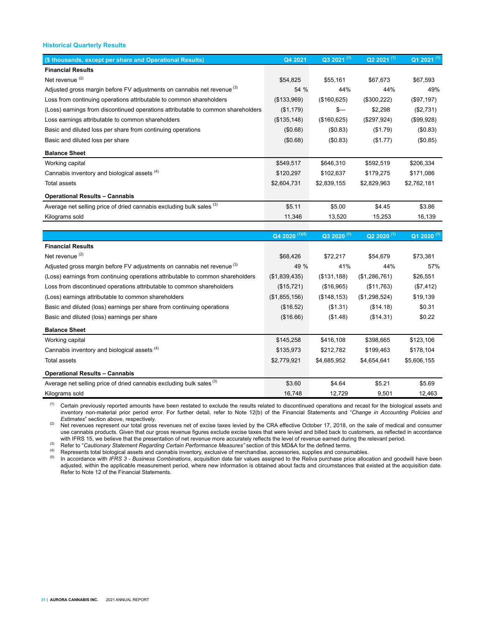# <span id="page-30-0"></span>**Historical Quarterly Results**

| (\$ thousands, except per share and Operational Results)                           | Q4 2021      | $Q32021^{(1)}$ | Q2 2021 <sup>(1)</sup> | $Q12021^{(1)}$ |
|------------------------------------------------------------------------------------|--------------|----------------|------------------------|----------------|
| <b>Financial Results</b>                                                           |              |                |                        |                |
| Net revenue $(2)$                                                                  | \$54,825     | \$55,161       | \$67,673               | \$67,593       |
| Adjusted gross margin before FV adjustments on cannabis net revenue <sup>(3)</sup> | 54 %         | 44%            | 44%                    | 49%            |
| Loss from continuing operations attributable to common shareholders                | (\$133,969)  | (\$160,625)    | (\$300,222)            | (\$97,197)     |
| (Loss) earnings from discontinued operations attributable to common shareholders   | (\$1,179)    | \$—            | \$2,298                | (\$2,731)      |
| Loss earnings attributable to common shareholders                                  | (\$135, 148) | (\$160,625)    | (\$297,924)            | (\$99,928)     |
| Basic and diluted loss per share from continuing operations                        | (\$0.68)     | (\$0.83)       | (\$1.79)               | (\$0.83)       |
| Basic and diluted loss per share                                                   | (\$0.68)     | (\$0.83)       | (\$1.77)               | (\$0.85)       |
| <b>Balance Sheet</b>                                                               |              |                |                        |                |
| Working capital                                                                    | \$549,517    | \$646,310      | \$592,519              | \$206,334      |
| Cannabis inventory and biological assets (4)                                       | \$120,297    | \$102,637      | \$179,275              | \$171.086      |
| Total assets                                                                       | \$2,604,731  | \$2,839,155    | \$2,829,963            | \$2,762,181    |
| <b>Operational Results - Cannabis</b>                                              |              |                |                        |                |
| Average net selling price of dried cannabis excluding bulk sales (3)               | \$5.11       | \$5.00         | \$4.45                 | \$3.86         |
| Kilograms sold                                                                     | 11,346       | 13,520         | 15,253                 | 16,139         |
|                                                                                    |              |                |                        |                |

|                                                                                 | $Q42020^{(1)(5)}$ | $Q32020^{(1)}$ | $Q22020^{(1)}$ | $Q12020^{(1)}$ |
|---------------------------------------------------------------------------------|-------------------|----------------|----------------|----------------|
| <b>Financial Results</b>                                                        |                   |                |                |                |
| Net revenue <sup>(2)</sup>                                                      | \$68,426          | \$72,217       | \$54,679       | \$73,381       |
| Adjusted gross margin before FV adjustments on cannabis net revenue (3)         | 49 %              | 41%            | 44%            | 57%            |
| (Loss) earnings from continuing operations attributable to common shareholders  | (\$1,839,435)     | (\$131,188)    | (\$1,286,761)  | \$26,551       |
| Loss from discontinued operations attributable to common shareholders           | (\$15,721)        | (\$16,965)     | (\$11,763)     | (\$7,412)      |
| (Loss) earnings attributable to common shareholders                             | (\$1,855,156)     | (\$148, 153)   | (\$1,298,524)  | \$19,139       |
| Basic and diluted (loss) earnings per share from continuing operations          | (\$16.52)         | (\$1.31)       | (\$14.18)      | \$0.31         |
| Basic and diluted (loss) earnings per share                                     | (\$16.66)         | (\$1.48)       | (\$14.31)      | \$0.22         |
| <b>Balance Sheet</b>                                                            |                   |                |                |                |
| Working capital                                                                 | \$145,258         | \$416,108      | \$398,665      | \$123,106      |
| Cannabis inventory and biological assets (4)                                    | \$135,973         | \$212,782      | \$199,463      | \$178,104      |
| Total assets                                                                    | \$2,779,921       | \$4,685,952    | \$4,654,641    | \$5,606,155    |
| <b>Operational Results - Cannabis</b>                                           |                   |                |                |                |
| Average net selling price of dried cannabis excluding bulk sales <sup>(3)</sup> | \$3.60            | \$4.64         | \$5.21         | \$5.69         |
| Kilograms sold                                                                  | 16,748            | 12,729         | 9,501          | 12,463         |

<sup>(1)</sup> Certain previously reported amounts have been restated to exclude the results related to discontinued operations and recast for the biological assets and inventory non-material prior period error. For further detail, refer to Note 12(b) of the Financial Statements and "*Change in Accounting Policies and Estimates*" section above, respectively.

(2) Net revenues represent our total gross revenues net of excise taxes levied by the CRA effective October 17, 2018, on the sale of medical and consumer use cannabis products. Given that our gross revenue figures exclude excise taxes that were levied and billed back to customers, as reflected in accordance with IFRS 15, we believe that the presentation of net revenue more accurately reflects the level of revenue earned during the relevant period.

<sup>(3)</sup> Refer to "*Cautionary Statement Regarding Certain Performance Measures"* section of this MD&A for the defined terms.<br><sup>(4)</sup> Performation total biological assots and cappable inventory exclusive of marshandise, accesso

(4) Represents total biological assets and cannabis inventory, exclusive of merchandise, accessories, supplies and consumables.<br>(5) In accerdance with IERS 3. Business Combinations, acquisition data fair values assigned to

In accordance with IFRS 3 - Business Combinations, acquisition date fair values assigned to the Reliva purchase price allocation and goodwill have been adjusted, within the applicable measurement period, where new information is obtained about facts and circumstances that existed at the acquisition date. Refer to Note 12 of the Financial Statements.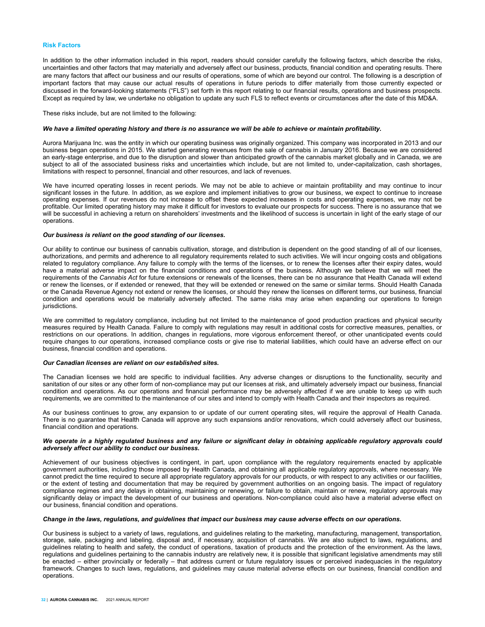#### <span id="page-31-0"></span>**Risk Factors**

In addition to the other information included in this report, readers should consider carefully the following factors, which describe the risks, uncertainties and other factors that may materially and adversely affect our business, products, financial condition and operating results. There are many factors that affect our business and our results of operations, some of which are beyond our control. The following is a description of important factors that may cause our actual results of operations in future periods to differ materially from those currently expected or discussed in the forward-looking statements ("FLS") set forth in this report relating to our financial results, operations and business prospects. Except as required by law, we undertake no obligation to update any such FLS to reflect events or circumstances after the date of this MD&A.

These risks include, but are not limited to the following:

#### *We have a limited operating history and there is no assurance we will be able to achieve or maintain profitability.*

Aurora Marijuana Inc. was the entity in which our operating business was originally organized. This company was incorporated in 2013 and our business began operations in 2015. We started generating revenues from the sale of cannabis in January 2016. Because we are considered an early-stage enterprise, and due to the disruption and slower than anticipated growth of the cannabis market globally and in Canada, we are subject to all of the associated business risks and uncertainties which include, but are not limited to, under-capitalization, cash shortages, limitations with respect to personnel, financial and other resources, and lack of revenues.

We have incurred operating losses in recent periods. We may not be able to achieve or maintain profitability and may continue to incur significant losses in the future. In addition, as we explore and implement initiatives to grow our business, we expect to continue to increase operating expenses. If our revenues do not increase to offset these expected increases in costs and operating expenses, we may not be profitable. Our limited operating history may make it difficult for investors to evaluate our prospects for success. There is no assurance that we will be successful in achieving a return on shareholders' investments and the likelihood of success is uncertain in light of the early stage of our operations.

## *Our business is reliant on the good standing of our licenses.*

Our ability to continue our business of cannabis cultivation, storage, and distribution is dependent on the good standing of all of our licenses, authorizations, and permits and adherence to all regulatory requirements related to such activities. We will incur ongoing costs and obligations related to regulatory compliance. Any failure to comply with the terms of the licenses, or to renew the licenses after their expiry dates, would have a material adverse impact on the financial conditions and operations of the business. Although we believe that we will meet the requirements of the *Cannabis Act* for future extensions or renewals of the licenses, there can be no assurance that Health Canada will extend or renew the licenses, or if extended or renewed, that they will be extended or renewed on the same or similar terms. Should Health Canada or the Canada Revenue Agency not extend or renew the licenses, or should they renew the licenses on different terms, our business, financial condition and operations would be materially adversely affected. The same risks may arise when expanding our operations to foreign jurisdictions.

We are committed to regulatory compliance, including but not limited to the maintenance of good production practices and physical security measures required by Health Canada. Failure to comply with regulations may result in additional costs for corrective measures, penalties, or restrictions on our operations. In addition, changes in regulations, more vigorous enforcement thereof, or other unanticipated events could require changes to our operations, increased compliance costs or give rise to material liabilities, which could have an adverse effect on our business, financial condition and operations.

# *Our Canadian licenses are reliant on our established sites.*

The Canadian licenses we hold are specific to individual facilities. Any adverse changes or disruptions to the functionality, security and sanitation of our sites or any other form of non-compliance may put our licenses at risk, and ultimately adversely impact our business, financial condition and operations. As our operations and financial performance may be adversely affected if we are unable to keep up with such requirements, we are committed to the maintenance of our sites and intend to comply with Health Canada and their inspectors as required.

As our business continues to grow, any expansion to or update of our current operating sites, will require the approval of Health Canada. There is no guarantee that Health Canada will approve any such expansions and/or renovations, which could adversely affect our business, financial condition and operations.

#### *We operate in a highly regulated business and any failure or significant delay in obtaining applicable regulatory approvals could adversely affect our ability to conduct our business.*

Achievement of our business objectives is contingent, in part, upon compliance with the regulatory requirements enacted by applicable government authorities, including those imposed by Health Canada, and obtaining all applicable regulatory approvals, where necessary. We cannot predict the time required to secure all appropriate regulatory approvals for our products, or with respect to any activities or our facilities, or the extent of testing and documentation that may be required by government authorities on an ongoing basis. The impact of regulatory compliance regimes and any delays in obtaining, maintaining or renewing, or failure to obtain, maintain or renew, regulatory approvals may significantly delay or impact the development of our business and operations. Non-compliance could also have a material adverse effect on our business, financial condition and operations.

# *Change in the laws, regulations, and guidelines that impact our business may cause adverse effects on our operations.*

Our business is subject to a variety of laws, regulations, and guidelines relating to the marketing, manufacturing, management, transportation, storage, sale, packaging and labeling, disposal and, if necessary, acquisition of cannabis. We are also subject to laws, regulations, and guidelines relating to health and safety, the conduct of operations, taxation of products and the protection of the environment. As the laws, regulations and guidelines pertaining to the cannabis industry are relatively new, it is possible that significant legislative amendments may still be enacted – either provincially or federally – that address current or future regulatory issues or perceived inadequacies in the regulatory framework. Changes to such laws, regulations, and guidelines may cause material adverse effects on our business, financial condition and operations.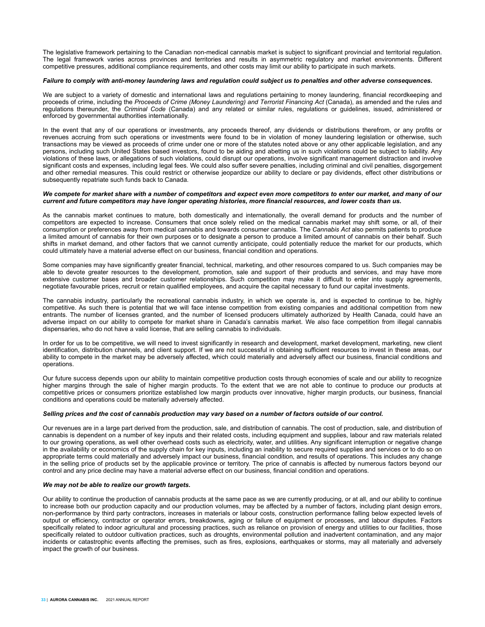The legislative framework pertaining to the Canadian non-medical cannabis market is subject to significant provincial and territorial regulation. The legal framework varies across provinces and territories and results in asymmetric regulatory and market environments. Different competitive pressures, additional compliance requirements, and other costs may limit our ability to participate in such markets.

# *Failure to comply with anti-money laundering laws and regulation could subject us to penalties and other adverse consequences.*

We are subject to a variety of domestic and international laws and regulations pertaining to money laundering, financial recordkeeping and proceeds of crime, including the *Proceeds of Crime (Money Laundering) and Terrorist Financing Act* (Canada), as amended and the rules and regulations thereunder, the *Criminal Code* (Canada) and any related or similar rules, regulations or guidelines, issued, administered or enforced by governmental authorities internationally.

In the event that any of our operations or investments, any proceeds thereof, any dividends or distributions therefrom, or any profits or revenues accruing from such operations or investments were found to be in violation of money laundering legislation or otherwise, such transactions may be viewed as proceeds of crime under one or more of the statutes noted above or any other applicable legislation, and any persons, including such United States based investors, found to be aiding and abetting us in such violations could be subject to liability. Any violations of these laws, or allegations of such violations, could disrupt our operations, involve significant management distraction and involve significant costs and expenses, including legal fees. We could also suffer severe penalties, including criminal and civil penalties, disgorgement and other remedial measures. This could restrict or otherwise jeopardize our ability to declare or pay dividends, effect other distributions or subsequently repatriate such funds back to Canada.

#### *We compete for market share with a number of competitors and expect even more competitors to enter our market, and many of our current and future competitors may have longer operating histories, more financial resources, and lower costs than us.*

As the cannabis market continues to mature, both domestically and internationally, the overall demand for products and the number of competitors are expected to increase. Consumers that once solely relied on the medical cannabis market may shift some, or all, of their consumption or preferences away from medical cannabis and towards consumer cannabis. The *Cannabis Act* also permits patients to produce a limited amount of cannabis for their own purposes or to designate a person to produce a limited amount of cannabis on their behalf. Such shifts in market demand, and other factors that we cannot currently anticipate, could potentially reduce the market for our products, which could ultimately have a material adverse effect on our business, financial condition and operations.

Some companies may have significantly greater financial, technical, marketing, and other resources compared to us. Such companies may be able to devote greater resources to the development, promotion, sale and support of their products and services, and may have more extensive customer bases and broader customer relationships. Such competition may make it difficult to enter into supply agreements, negotiate favourable prices, recruit or retain qualified employees, and acquire the capital necessary to fund our capital investments.

The cannabis industry, particularly the recreational cannabis industry, in which we operate is, and is expected to continue to be, highly competitive. As such there is potential that we will face intense competition from existing companies and additional competition from new entrants. The number of licenses granted, and the number of licensed producers ultimately authorized by Health Canada, could have an adverse impact on our ability to compete for market share in Canada's cannabis market. We also face competition from illegal cannabis dispensaries, who do not have a valid license, that are selling cannabis to individuals.

In order for us to be competitive, we will need to invest significantly in research and development, market development, marketing, new client identification, distribution channels, and client support. If we are not successful in obtaining sufficient resources to invest in these areas, our ability to compete in the market may be adversely affected, which could materially and adversely affect our business, financial conditions and operations.

Our future success depends upon our ability to maintain competitive production costs through economies of scale and our ability to recognize higher margins through the sale of higher margin products. To the extent that we are not able to continue to produce our products at competitive prices or consumers prioritize established low margin products over innovative, higher margin products, our business, financial conditions and operations could be materially adversely affected.

# *Selling prices and the cost of cannabis production may vary based on a number of factors outside of our control.*

Our revenues are in a large part derived from the production, sale, and distribution of cannabis. The cost of production, sale, and distribution of cannabis is dependent on a number of key inputs and their related costs, including equipment and supplies, labour and raw materials related to our growing operations, as well other overhead costs such as electricity, water, and utilities. Any significant interruption or negative change in the availability or economics of the supply chain for key inputs, including an inability to secure required supplies and services or to do so on appropriate terms could materially and adversely impact our business, financial condition, and results of operations. This includes any change in the selling price of products set by the applicable province or territory. The price of cannabis is affected by numerous factors beyond our control and any price decline may have a material adverse effect on our business, financial condition and operations.

# *We may not be able to realize our growth targets.*

Our ability to continue the production of cannabis products at the same pace as we are currently producing, or at all, and our ability to continue to increase both our production capacity and our production volumes, may be affected by a number of factors, including plant design errors, non-performance by third party contractors, increases in materials or labour costs, construction performance falling below expected levels of output or efficiency, contractor or operator errors, breakdowns, aging or failure of equipment or processes, and labour disputes. Factors specifically related to indoor agricultural and processing practices, such as reliance on provision of energy and utilities to our facilities, those specifically related to outdoor cultivation practices, such as droughts, environmental pollution and inadvertent contamination, and any major incidents or catastrophic events affecting the premises, such as fires, explosions, earthquakes or storms, may all materially and adversely impact the growth of our business.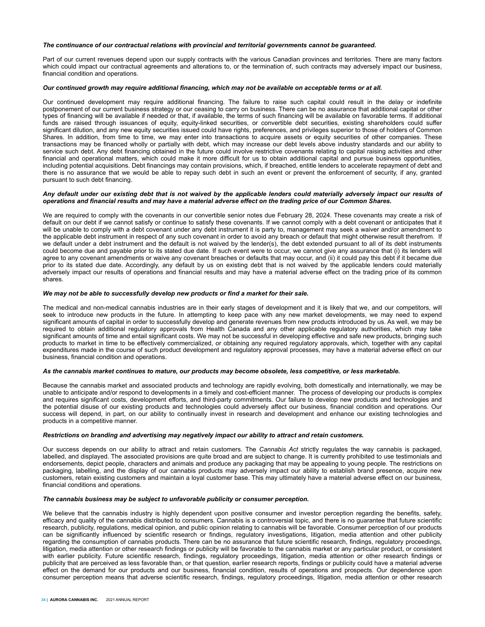#### *The continuance of our contractual relations with provincial and territorial governments cannot be guaranteed.*

Part of our current revenues depend upon our supply contracts with the various Canadian provinces and territories. There are many factors which could impact our contractual agreements and alterations to, or the termination of, such contracts may adversely impact our business, financial condition and operations.

# *Our continued growth may require additional financing, which may not be available on acceptable terms or at all.*

Our continued development may require additional financing. The failure to raise such capital could result in the delay or indefinite postponement of our current business strategy or our ceasing to carry on business. There can be no assurance that additional capital or other types of financing will be available if needed or that, if available, the terms of such financing will be available on favorable terms. If additional funds are raised through issuances of equity, equity-linked securities, or convertible debt securities, existing shareholders could suffer significant dilution, and any new equity securities issued could have rights, preferences, and privileges superior to those of holders of Common Shares. In addition, from time to time, we may enter into transactions to acquire assets or equity securities of other companies. These transactions may be financed wholly or partially with debt, which may increase our debt levels above industry standards and our ability to service such debt. Any debt financing obtained in the future could involve restrictive covenants relating to capital raising activities and other financial and operational matters, which could make it more difficult for us to obtain additional capital and pursue business opportunities, including potential acquisitions. Debt financings may contain provisions, which, if breached, entitle lenders to accelerate repayment of debt and there is no assurance that we would be able to repay such debt in such an event or prevent the enforcement of security, if any, granted pursuant to such debt financing.

#### *Any default under our existing debt that is not waived by the applicable lenders could materially adversely impact our results of operations and financial results and may have a material adverse effect on the trading price of our Common Shares.*

We are required to comply with the covenants in our convertible senior notes due February 28, 2024. These covenants may create a risk of default on our debt if we cannot satisfy or continue to satisfy these covenants. If we cannot comply with a debt covenant or anticipates that it will be unable to comply with a debt covenant under any debt instrument it is party to, management may seek a waiver and/or amendment to the applicable debt instrument in respect of any such covenant in order to avoid any breach or default that might otherwise result therefrom. If we default under a debt instrument and the default is not waived by the lender(s), the debt extended pursuant to all of its debt instruments could become due and payable prior to its stated due date. If such event were to occur, we cannot give any assurance that (i) its lenders will agree to any covenant amendments or waive any covenant breaches or defaults that may occur, and (ii) it could pay this debt if it became due prior to its stated due date. Accordingly, any default by us on existing debt that is not waived by the applicable lenders could materially adversely impact our results of operations and financial results and may have a material adverse effect on the trading price of its common shares.

#### *We may not be able to successfully develop new products or find a market for their sale.*

The medical and non-medical cannabis industries are in their early stages of development and it is likely that we, and our competitors, will seek to introduce new products in the future. In attempting to keep pace with any new market developments, we may need to expend significant amounts of capital in order to successfully develop and generate revenues from new products introduced by us. As well, we may be required to obtain additional regulatory approvals from Health Canada and any other applicable regulatory authorities, which may take significant amounts of time and entail significant costs. We may not be successful in developing effective and safe new products, bringing such products to market in time to be effectively commercialized, or obtaining any required regulatory approvals, which, together with any capital expenditures made in the course of such product development and regulatory approval processes, may have a material adverse effect on our business, financial condition and operations.

#### *As the cannabis market continues to mature, our products may become obsolete, less competitive, or less marketable.*

Because the cannabis market and associated products and technology are rapidly evolving, both domestically and internationally, we may be unable to anticipate and/or respond to developments in a timely and cost-efficient manner. The process of developing our products is complex and requires significant costs, development efforts, and third-party commitments. Our failure to develop new products and technologies and the potential disuse of our existing products and technologies could adversely affect our business, financial condition and operations. Our success will depend, in part, on our ability to continually invest in research and development and enhance our existing technologies and products in a competitive manner.

# *Restrictions on branding and advertising may negatively impact our ability to attract and retain customers.*

Our success depends on our ability to attract and retain customers. The *Cannabis Act* strictly regulates the way cannabis is packaged, labelled, and displayed. The associated provisions are quite broad and are subject to change. It is currently prohibited to use testimonials and endorsements, depict people, characters and animals and produce any packaging that may be appealing to young people. The restrictions on packaging, labelling, and the display of our cannabis products may adversely impact our ability to establish brand presence, acquire new customers, retain existing customers and maintain a loyal customer base. This may ultimately have a material adverse effect on our business, financial conditions and operations.

#### *The cannabis business may be subject to unfavorable publicity or consumer perception.*

We believe that the cannabis industry is highly dependent upon positive consumer and investor perception regarding the benefits, safety, efficacy and quality of the cannabis distributed to consumers. Cannabis is a controversial topic, and there is no guarantee that future scientific research, publicity, regulations, medical opinion, and public opinion relating to cannabis will be favorable. Consumer perception of our products can be significantly influenced by scientific research or findings, regulatory investigations, litigation, media attention and other publicity regarding the consumption of cannabis products. There can be no assurance that future scientific research, findings, regulatory proceedings, litigation, media attention or other research findings or publicity will be favorable to the cannabis market or any particular product, or consistent with earlier publicity. Future scientific research, findings, regulatory proceedings, litigation, media attention or other research findings or publicity that are perceived as less favorable than, or that question, earlier research reports, findings or publicity could have a material adverse effect on the demand for our products and our business, financial condition, results of operations and prospects. Our dependence upon consumer perception means that adverse scientific research, findings, regulatory proceedings, litigation, media attention or other research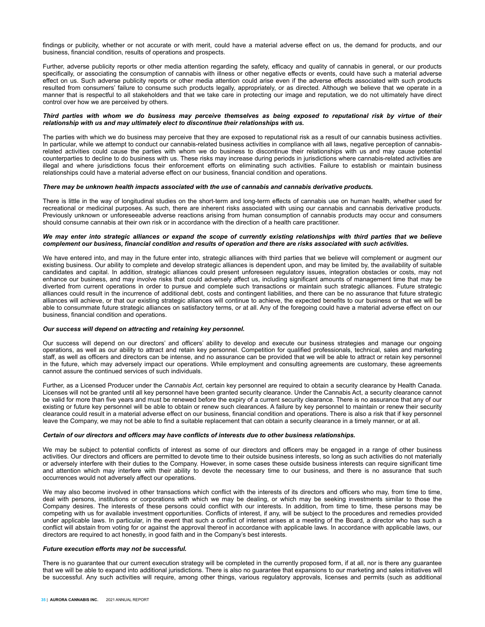findings or publicity, whether or not accurate or with merit, could have a material adverse effect on us, the demand for products, and our business, financial condition, results of operations and prospects.

Further, adverse publicity reports or other media attention regarding the safety, efficacy and quality of cannabis in general, or our products specifically, or associating the consumption of cannabis with illness or other negative effects or events, could have such a material adverse effect on us. Such adverse publicity reports or other media attention could arise even if the adverse effects associated with such products resulted from consumers' failure to consume such products legally, appropriately, or as directed. Although we believe that we operate in a manner that is respectful to all stakeholders and that we take care in protecting our image and reputation, we do not ultimately have direct control over how we are perceived by others.

#### *Third parties with whom we do business may perceive themselves as being exposed to reputational risk by virtue of their relationship with us and may ultimately elect to discontinue their relationships with us.*

The parties with which we do business may perceive that they are exposed to reputational risk as a result of our cannabis business activities. In particular, while we attempt to conduct our cannabis-related business activities in compliance with all laws, negative perception of cannabisrelated activities could cause the parties with whom we do business to discontinue their relationships with us and may cause potential counterparties to decline to do business with us. These risks may increase during periods in jurisdictions where cannabis-related activities are illegal and where jurisdictions focus their enforcement efforts on eliminating such activities. Failure to establish or maintain business relationships could have a material adverse effect on our business, financial condition and operations.

# *There may be unknown health impacts associated with the use of cannabis and cannabis derivative products.*

There is little in the way of longitudinal studies on the short-term and long-term effects of cannabis use on human health, whether used for recreational or medicinal purposes. As such, there are inherent risks associated with using our cannabis and cannabis derivative products. Previously unknown or unforeseeable adverse reactions arising from human consumption of cannabis products may occur and consumers should consume cannabis at their own risk or in accordance with the direction of a health care practitioner.

## *We may enter into strategic alliances or expand the scope of currently existing relationships with third parties that we believe complement our business, financial condition and results of operation and there are risks associated with such activities.*

We have entered into, and may in the future enter into, strategic alliances with third parties that we believe will complement or augment our existing business. Our ability to complete and develop strategic alliances is dependent upon, and may be limited by, the availability of suitable candidates and capital. In addition, strategic alliances could present unforeseen regulatory issues, integration obstacles or costs, may not enhance our business, and may involve risks that could adversely affect us, including significant amounts of management time that may be diverted from current operations in order to pursue and complete such transactions or maintain such strategic alliances. Future strategic alliances could result in the incurrence of additional debt, costs and contingent liabilities, and there can be no assurance that future strategic alliances will achieve, or that our existing strategic alliances will continue to achieve, the expected benefits to our business or that we will be able to consummate future strategic alliances on satisfactory terms, or at all. Any of the foregoing could have a material adverse effect on our business, financial condition and operations.

# *Our success will depend on attracting and retaining key personnel.*

Our success will depend on our directors' and officers' ability to develop and execute our business strategies and manage our ongoing operations, as well as our ability to attract and retain key personnel. Competition for qualified professionals, technical, sales and marketing staff, as well as officers and directors can be intense, and no assurance can be provided that we will be able to attract or retain key personnel in the future, which may adversely impact our operations. While employment and consulting agreements are customary, these agreements cannot assure the continued services of such individuals.

Further, as a Licensed Producer under the *Cannabis Act*, certain key personnel are required to obtain a security clearance by Health Canada. Licenses will not be granted until all key personnel have been granted security clearance. Under the Cannabis Act, a security clearance cannot be valid for more than five years and must be renewed before the expiry of a current security clearance. There is no assurance that any of our existing or future key personnel will be able to obtain or renew such clearances. A failure by key personnel to maintain or renew their security clearance could result in a material adverse effect on our business, financial condition and operations. There is also a risk that if key personnel leave the Company, we may not be able to find a suitable replacement that can obtain a security clearance in a timely manner, or at all.

#### *Certain of our directors and officers may have conflicts of interests due to other business relationships.*

We may be subject to potential conflicts of interest as some of our directors and officers may be engaged in a range of other business activities. Our directors and officers are permitted to devote time to their outside business interests, so long as such activities do not materially or adversely interfere with their duties to the Company. However, in some cases these outside business interests can require significant time and attention which may interfere with their ability to devote the necessary time to our business, and there is no assurance that such occurrences would not adversely affect our operations.

We may also become involved in other transactions which conflict with the interests of its directors and officers who may, from time to time, deal with persons, institutions or corporations with which we may be dealing, or which may be seeking investments similar to those the Company desires. The interests of these persons could conflict with our interests. In addition, from time to time, these persons may be competing with us for available investment opportunities. Conflicts of interest, if any, will be subject to the procedures and remedies provided under applicable laws. In particular, in the event that such a conflict of interest arises at a meeting of the Board, a director who has such a conflict will abstain from voting for or against the approval thereof in accordance with applicable laws. In accordance with applicable laws, our directors are required to act honestly, in good faith and in the Company's best interests.

#### *Future execution efforts may not be successful.*

There is no guarantee that our current execution strategy will be completed in the currently proposed form, if at all, nor is there any guarantee that we will be able to expand into additional jurisdictions. There is also no guarantee that expansions to our marketing and sales initiatives will be successful. Any such activities will require, among other things, various regulatory approvals, licenses and permits (such as additional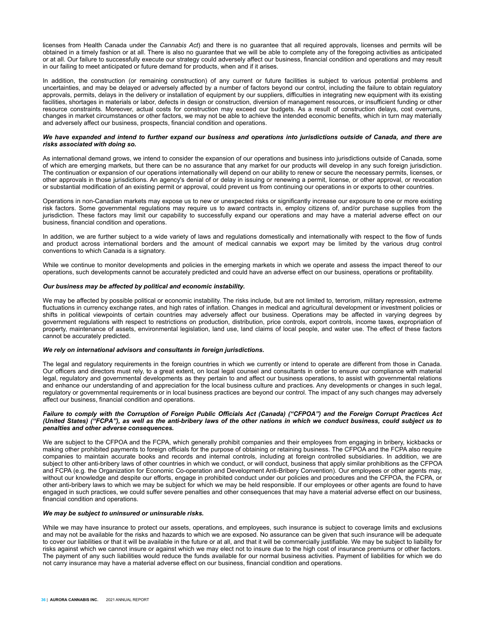licenses from Health Canada under the *Cannabis Act*) and there is no guarantee that all required approvals, licenses and permits will be obtained in a timely fashion or at all. There is also no guarantee that we will be able to complete any of the foregoing activities as anticipated or at all. Our failure to successfully execute our strategy could adversely affect our business, financial condition and operations and may result in our failing to meet anticipated or future demand for products, when and if it arises.

In addition, the construction (or remaining construction) of any current or future facilities is subject to various potential problems and uncertainties, and may be delayed or adversely affected by a number of factors beyond our control, including the failure to obtain regulatory approvals, permits, delays in the delivery or installation of equipment by our suppliers, difficulties in integrating new equipment with its existing facilities, shortages in materials or labor, defects in design or construction, diversion of management resources, or insufficient funding or other resource constraints. Moreover, actual costs for construction may exceed our budgets. As a result of construction delays, cost overruns, changes in market circumstances or other factors, we may not be able to achieve the intended economic benefits, which in turn may materially and adversely affect our business, prospects, financial condition and operations.

## *We have expanded and intend to further expand our business and operations into jurisdictions outside of Canada, and there are risks associated with doing so.*

As international demand grows, we intend to consider the expansion of our operations and business into jurisdictions outside of Canada, some of which are emerging markets, but there can be no assurance that any market for our products will develop in any such foreign jurisdiction. The continuation or expansion of our operations internationally will depend on our ability to renew or secure the necessary permits, licenses, or other approvals in those jurisdictions. An agency's denial of or delay in issuing or renewing a permit, license, or other approval, or revocation or substantial modification of an existing permit or approval, could prevent us from continuing our operations in or exports to other countries.

Operations in non-Canadian markets may expose us to new or unexpected risks or significantly increase our exposure to one or more existing risk factors. Some governmental regulations may require us to award contracts in, employ citizens of, and/or purchase supplies from the jurisdiction. These factors may limit our capability to successfully expand our operations and may have a material adverse effect on our business, financial condition and operations.

In addition, we are further subject to a wide variety of laws and regulations domestically and internationally with respect to the flow of funds and product across international borders and the amount of medical cannabis we export may be limited by the various drug control conventions to which Canada is a signatory.

While we continue to monitor developments and policies in the emerging markets in which we operate and assess the impact thereof to our operations, such developments cannot be accurately predicted and could have an adverse effect on our business, operations or profitability.

# *Our business may be affected by political and economic instability.*

We may be affected by possible political or economic instability. The risks include, but are not limited to, terrorism, military repression, extreme fluctuations in currency exchange rates, and high rates of inflation. Changes in medical and agricultural development or investment policies or shifts in political viewpoints of certain countries may adversely affect our business. Operations may be affected in varying degrees by government regulations with respect to restrictions on production, distribution, price controls, export controls, income taxes, expropriation of property, maintenance of assets, environmental legislation, land use, land claims of local people, and water use. The effect of these factors cannot be accurately predicted.

#### *We rely on international advisors and consultants in foreign jurisdictions.*

The legal and regulatory requirements in the foreign countries in which we currently or intend to operate are different from those in Canada. Our officers and directors must rely, to a great extent, on local legal counsel and consultants in order to ensure our compliance with material legal, regulatory and governmental developments as they pertain to and affect our business operations, to assist with governmental relations and enhance our understanding of and appreciation for the local business culture and practices. Any developments or changes in such legal, regulatory or governmental requirements or in local business practices are beyond our control. The impact of any such changes may adversely affect our business, financial condition and operations.

# *Failure to comply with the Corruption of Foreign Public Officials Act (Canada) ("CFPOA") and the Foreign Corrupt Practices Act (United States) ("FCPA"), as well as the anti-bribery laws of the other nations in which we conduct business, could subject us to penalties and other adverse consequences.*

We are subject to the CFPOA and the FCPA, which generally prohibit companies and their employees from engaging in bribery, kickbacks or making other prohibited payments to foreign officials for the purpose of obtaining or retaining business. The CFPOA and the FCPA also require companies to maintain accurate books and records and internal controls, including at foreign controlled subsidiaries. In addition, we are subject to other anti-bribery laws of other countries in which we conduct, or will conduct, business that apply similar prohibitions as the CFPOA and FCPA (e.g. the Organization for Economic Co-operation and Development Anti-Bribery Convention). Our employees or other agents may, without our knowledge and despite our efforts, engage in prohibited conduct under our policies and procedures and the CFPOA, the FCPA, or other anti-bribery laws to which we may be subject for which we may be held responsible. If our employees or other agents are found to have engaged in such practices, we could suffer severe penalties and other consequences that may have a material adverse effect on our business, financial condition and operations.

#### *We may be subject to uninsured or uninsurable risks.*

While we may have insurance to protect our assets, operations, and employees, such insurance is subject to coverage limits and exclusions and may not be available for the risks and hazards to which we are exposed. No assurance can be given that such insurance will be adequate to cover our liabilities or that it will be available in the future or at all, and that it will be commercially justifiable. We may be subject to liability for risks against which we cannot insure or against which we may elect not to insure due to the high cost of insurance premiums or other factors. The payment of any such liabilities would reduce the funds available for our normal business activities. Payment of liabilities for which we do not carry insurance may have a material adverse effect on our business, financial condition and operations.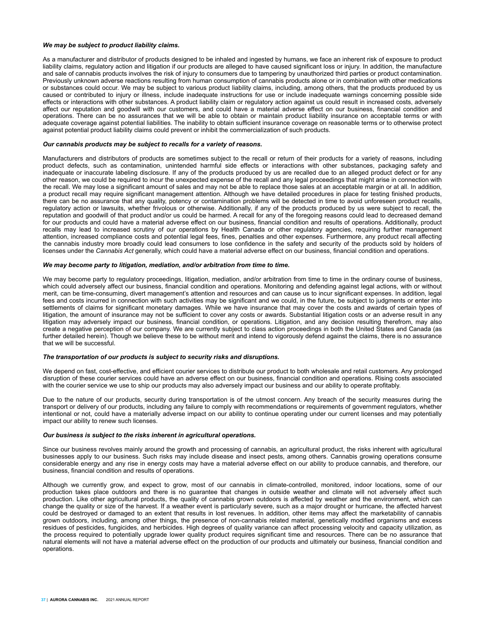#### *We may be subject to product liability claims.*

As a manufacturer and distributor of products designed to be inhaled and ingested by humans, we face an inherent risk of exposure to product liability claims, regulatory action and litigation if our products are alleged to have caused significant loss or injury. In addition, the manufacture and sale of cannabis products involves the risk of injury to consumers due to tampering by unauthorized third parties or product contamination. Previously unknown adverse reactions resulting from human consumption of cannabis products alone or in combination with other medications or substances could occur. We may be subject to various product liability claims, including, among others, that the products produced by us caused or contributed to injury or illness, include inadequate instructions for use or include inadequate warnings concerning possible side effects or interactions with other substances. A product liability claim or regulatory action against us could result in increased costs, adversely affect our reputation and goodwill with our customers, and could have a material adverse effect on our business, financial condition and operations. There can be no assurances that we will be able to obtain or maintain product liability insurance on acceptable terms or with adequate coverage against potential liabilities. The inability to obtain sufficient insurance coverage on reasonable terms or to otherwise protect against potential product liability claims could prevent or inhibit the commercialization of such products.

#### *Our cannabis products may be subject to recalls for a variety of reasons.*

Manufacturers and distributors of products are sometimes subject to the recall or return of their products for a variety of reasons, including product defects, such as contamination, unintended harmful side effects or interactions with other substances, packaging safety and inadequate or inaccurate labeling disclosure. If any of the products produced by us are recalled due to an alleged product defect or for any other reason, we could be required to incur the unexpected expense of the recall and any legal proceedings that might arise in connection with the recall. We may lose a significant amount of sales and may not be able to replace those sales at an acceptable margin or at all. In addition, a product recall may require significant management attention. Although we have detailed procedures in place for testing finished products, there can be no assurance that any quality, potency or contamination problems will be detected in time to avoid unforeseen product recalls, regulatory action or lawsuits, whether frivolous or otherwise. Additionally, if any of the products produced by us were subject to recall, the reputation and goodwill of that product and/or us could be harmed. A recall for any of the foregoing reasons could lead to decreased demand for our products and could have a material adverse effect on our business, financial condition and results of operations. Additionally, product recalls may lead to increased scrutiny of our operations by Health Canada or other regulatory agencies, requiring further management attention, increased compliance costs and potential legal fees, fines, penalties and other expenses. Furthermore, any product recall affecting the cannabis industry more broadly could lead consumers to lose confidence in the safety and security of the products sold by holders of licenses under the *Cannabis Act* generally, which could have a material adverse effect on our business, financial condition and operations.

#### *We may become party to litigation, mediation, and/or arbitration from time to time.*

We may become party to regulatory proceedings, litigation, mediation, and/or arbitration from time to time in the ordinary course of business, which could adversely affect our business, financial condition and operations. Monitoring and defending against legal actions, with or without merit, can be time-consuming, divert management's attention and resources and can cause us to incur significant expenses. In addition, legal fees and costs incurred in connection with such activities may be significant and we could, in the future, be subject to judgments or enter into settlements of claims for significant monetary damages. While we have insurance that may cover the costs and awards of certain types of litigation, the amount of insurance may not be sufficient to cover any costs or awards. Substantial litigation costs or an adverse result in any litigation may adversely impact our business, financial condition, or operations. Litigation, and any decision resulting therefrom, may also create a negative perception of our company. We are currently subject to class action proceedings in both the United States and Canada (as further detailed herein). Though we believe these to be without merit and intend to vigorously defend against the claims, there is no assurance that we will be successful.

# *The transportation of our products is subject to security risks and disruptions.*

We depend on fast, cost-effective, and efficient courier services to distribute our product to both wholesale and retail customers. Any prolonged disruption of these courier services could have an adverse effect on our business, financial condition and operations. Rising costs associated with the courier service we use to ship our products may also adversely impact our business and our ability to operate profitably.

Due to the nature of our products, security during transportation is of the utmost concern. Any breach of the security measures during the transport or delivery of our products, including any failure to comply with recommendations or requirements of government regulators, whether intentional or not, could have a materially adverse impact on our ability to continue operating under our current licenses and may potentially impact our ability to renew such licenses.

#### *Our business is subject to the risks inherent in agricultural operations.*

Since our business revolves mainly around the growth and processing of cannabis, an agricultural product, the risks inherent with agricultural businesses apply to our business. Such risks may include disease and insect pests, among others. Cannabis growing operations consume considerable energy and any rise in energy costs may have a material adverse effect on our ability to produce cannabis, and therefore, our business, financial condition and results of operations.

Although we currently grow, and expect to grow, most of our cannabis in climate-controlled, monitored, indoor locations, some of our production takes place outdoors and there is no guarantee that changes in outside weather and climate will not adversely affect such production. Like other agricultural products, the quality of cannabis grown outdoors is affected by weather and the environment, which can change the quality or size of the harvest. If a weather event is particularly severe, such as a major drought or hurricane, the affected harvest could be destroyed or damaged to an extent that results in lost revenues. In addition, other items may affect the marketability of cannabis grown outdoors, including, among other things, the presence of non-cannabis related material, genetically modified organisms and excess residues of pesticides, fungicides, and herbicides. High degrees of quality variance can affect processing velocity and capacity utilization, as the process required to potentially upgrade lower quality product requires significant time and resources. There can be no assurance that natural elements will not have a material adverse effect on the production of our products and ultimately our business, financial condition and operations.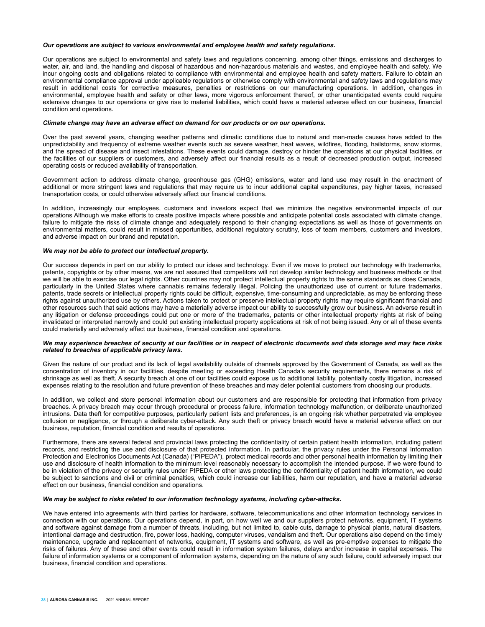#### *Our operations are subject to various environmental and employee health and safety regulations.*

Our operations are subject to environmental and safety laws and regulations concerning, among other things, emissions and discharges to water, air, and land, the handling and disposal of hazardous and non-hazardous materials and wastes, and employee health and safety. We incur ongoing costs and obligations related to compliance with environmental and employee health and safety matters. Failure to obtain an environmental compliance approval under applicable regulations or otherwise comply with environmental and safety laws and regulations may result in additional costs for corrective measures, penalties or restrictions on our manufacturing operations. In addition, changes in environmental, employee health and safety or other laws, more vigorous enforcement thereof, or other unanticipated events could require extensive changes to our operations or give rise to material liabilities, which could have a material adverse effect on our business, financial condition and operations.

#### *Climate change may have an adverse effect on demand for our products or on our operations.*

Over the past several years, changing weather patterns and climatic conditions due to natural and man-made causes have added to the unpredictability and frequency of extreme weather events such as severe weather, heat waves, wildfires, flooding, hailstorms, snow storms, and the spread of disease and insect infestations. These events could damage, destroy or hinder the operations at our physical facilities, or the facilities of our suppliers or customers, and adversely affect our financial results as a result of decreased production output, increased operating costs or reduced availability of transportation.

Government action to address climate change, greenhouse gas (GHG) emissions, water and land use may result in the enactment of additional or more stringent laws and regulations that may require us to incur additional capital expenditures, pay higher taxes, increased transportation costs, or could otherwise adversely affect our financial conditions.

In addition, increasingly our employees, customers and investors expect that we minimize the negative environmental impacts of our operations Although we make efforts to create positive impacts where possible and anticipate potential costs associated with climate change, failure to mitigate the risks of climate change and adequately respond to their changing expectations as well as those of governments on environmental matters, could result in missed opportunities, additional regulatory scrutiny, loss of team members, customers and investors, and adverse impact on our brand and reputation.

#### *We may not be able to protect our intellectual property.*

Our success depends in part on our ability to protect our ideas and technology. Even if we move to protect our technology with trademarks, patents, copyrights or by other means, we are not assured that competitors will not develop similar technology and business methods or that we will be able to exercise our legal rights. Other countries may not protect intellectual property rights to the same standards as does Canada, particularly in the United States where cannabis remains federally illegal. Policing the unauthorized use of current or future trademarks, patents, trade secrets or intellectual property rights could be difficult, expensive, time-consuming and unpredictable, as may be enforcing these rights against unauthorized use by others. Actions taken to protect or preserve intellectual property rights may require significant financial and other resources such that said actions may have a materially adverse impact our ability to successfully grow our business. An adverse result in any litigation or defense proceedings could put one or more of the trademarks, patents or other intellectual property rights at risk of being invalidated or interpreted narrowly and could put existing intellectual property applications at risk of not being issued. Any or all of these events could materially and adversely affect our business, financial condition and operations.

# *We may experience breaches of security at our facilities or in respect of electronic documents and data storage and may face risks related to breaches of applicable privacy laws.*

Given the nature of our product and its lack of legal availability outside of channels approved by the Government of Canada, as well as the concentration of inventory in our facilities, despite meeting or exceeding Health Canada's security requirements, there remains a risk of shrinkage as well as theft. A security breach at one of our facilities could expose us to additional liability, potentially costly litigation, increased expenses relating to the resolution and future prevention of these breaches and may deter potential customers from choosing our products.

In addition, we collect and store personal information about our customers and are responsible for protecting that information from privacy breaches. A privacy breach may occur through procedural or process failure, information technology malfunction, or deliberate unauthorized intrusions. Data theft for competitive purposes, particularly patient lists and preferences, is an ongoing risk whether perpetrated via employee collusion or negligence, or through a deliberate cyber-attack. Any such theft or privacy breach would have a material adverse effect on our business, reputation, financial condition and results of operations.

Furthermore, there are several federal and provincial laws protecting the confidentiality of certain patient health information, including patient records, and restricting the use and disclosure of that protected information. In particular, the privacy rules under the Personal Information Protection and Electronics Documents Act (Canada) ("PIPEDA"), protect medical records and other personal health information by limiting their use and disclosure of health information to the minimum level reasonably necessary to accomplish the intended purpose. If we were found to be in violation of the privacy or security rules under PIPEDA or other laws protecting the confidentiality of patient health information, we could be subject to sanctions and civil or criminal penalties, which could increase our liabilities, harm our reputation, and have a material adverse effect on our business, financial condition and operations.

# *We may be subject to risks related to our information technology systems, including cyber-attacks.*

We have entered into agreements with third parties for hardware, software, telecommunications and other information technology services in connection with our operations. Our operations depend, in part, on how well we and our suppliers protect networks, equipment, IT systems and software against damage from a number of threats, including, but not limited to, cable cuts, damage to physical plants, natural disasters, intentional damage and destruction, fire, power loss, hacking, computer viruses, vandalism and theft. Our operations also depend on the timely maintenance, upgrade and replacement of networks, equipment, IT systems and software, as well as pre-emptive expenses to mitigate the risks of failures. Any of these and other events could result in information system failures, delays and/or increase in capital expenses. The failure of information systems or a component of information systems, depending on the nature of any such failure, could adversely impact our business, financial condition and operations.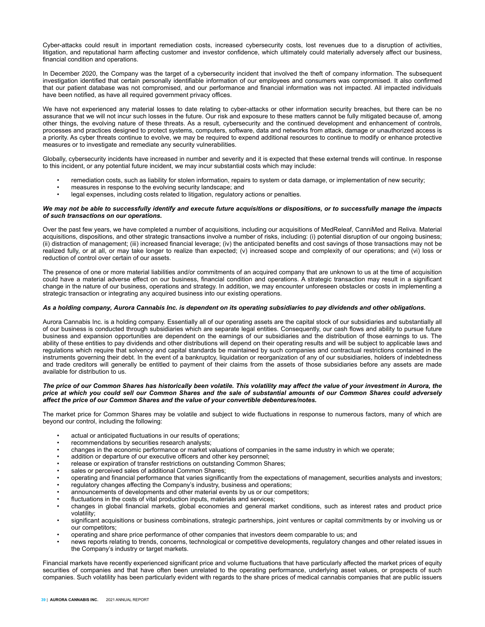Cyber-attacks could result in important remediation costs, increased cybersecurity costs, lost revenues due to a disruption of activities, litigation, and reputational harm affecting customer and investor confidence, which ultimately could materially adversely affect our business, financial condition and operations.

In December 2020, the Company was the target of a cybersecurity incident that involved the theft of company information. The subsequent investigation identified that certain personally identifiable information of our employees and consumers was compromised. It also confirmed that our patient database was not compromised, and our performance and financial information was not impacted. All impacted individuals have been notified, as have all required government privacy offices.

We have not experienced any material losses to date relating to cyber-attacks or other information security breaches, but there can be no assurance that we will not incur such losses in the future. Our risk and exposure to these matters cannot be fully mitigated because of, among other things, the evolving nature of these threats. As a result, cybersecurity and the continued development and enhancement of controls, processes and practices designed to protect systems, computers, software, data and networks from attack, damage or unauthorized access is a priority. As cyber threats continue to evolve, we may be required to expend additional resources to continue to modify or enhance protective measures or to investigate and remediate any security vulnerabilities.

Globally, cybersecurity incidents have increased in number and severity and it is expected that these external trends will continue. In response to this incident, or any potential future incident, we may incur substantial costs which may include:

- remediation costs, such as liability for stolen information, repairs to system or data damage, or implementation of new security;
- measures in response to the evolving security landscape; and
- legal expenses, including costs related to litigation, regulatory actions or penalties.

#### *We may not be able to successfully identify and execute future acquisitions or dispositions, or to successfully manage the impacts of such transactions on our operations.*

Over the past few years, we have completed a number of acquisitions, including our acquisitions of MedReleaf, CanniMed and Reliva. Material acquisitions, dispositions, and other strategic transactions involve a number of risks, including: (i) potential disruption of our ongoing business; (ii) distraction of management; (iii) increased financial leverage; (iv) the anticipated benefits and cost savings of those transactions may not be realized fully, or at all, or may take longer to realize than expected; (v) increased scope and complexity of our operations; and (vi) loss or reduction of control over certain of our assets.

The presence of one or more material liabilities and/or commitments of an acquired company that are unknown to us at the time of acquisition could have a material adverse effect on our business, financial condition and operations. A strategic transaction may result in a significant change in the nature of our business, operations and strategy. In addition, we may encounter unforeseen obstacles or costs in implementing a strategic transaction or integrating any acquired business into our existing operations.

#### *As a holding company, Aurora Cannabis Inc. is dependent on its operating subsidiaries to pay dividends and other obligations.*

Aurora Cannabis Inc. is a holding company. Essentially all of our operating assets are the capital stock of our subsidiaries and substantially all of our business is conducted through subsidiaries which are separate legal entities. Consequently, our cash flows and ability to pursue future business and expansion opportunities are dependent on the earnings of our subsidiaries and the distribution of those earnings to us. The ability of these entities to pay dividends and other distributions will depend on their operating results and will be subject to applicable laws and regulations which require that solvency and capital standards be maintained by such companies and contractual restrictions contained in the instruments governing their debt. In the event of a bankruptcy, liquidation or reorganization of any of our subsidiaries, holders of indebtedness and trade creditors will generally be entitled to payment of their claims from the assets of those subsidiaries before any assets are made available for distribution to us.

#### *The price of our Common Shares has historically been volatile. This volatility may affect the value of your investment in Aurora, the price at which you could sell our Common Shares and the sale of substantial amounts of our Common Shares could adversely affect the price of our Common Shares and the value of your convertible debentures/notes.*

The market price for Common Shares may be volatile and subject to wide fluctuations in response to numerous factors, many of which are beyond our control, including the following:

- actual or anticipated fluctuations in our results of operations;
- recommendations by securities research analysts;
- changes in the economic performance or market valuations of companies in the same industry in which we operate;
- addition or departure of our executive officers and other key personnel;
- release or expiration of transfer restrictions on outstanding Common Shares;
- sales or perceived sales of additional Common Shares;
- operating and financial performance that varies significantly from the expectations of management, securities analysts and investors;
- regulatory changes affecting the Company's industry, business and operations;
- announcements of developments and other material events by us or our competitors;
- fluctuations in the costs of vital production inputs, materials and services;
- changes in global financial markets, global economies and general market conditions, such as interest rates and product price volatility;
- significant acquisitions or business combinations, strategic partnerships, joint ventures or capital commitments by or involving us or our competitors;
- operating and share price performance of other companies that investors deem comparable to us; and
- news reports relating to trends, concerns, technological or competitive developments, regulatory changes and other related issues in the Company's industry or target markets.

Financial markets have recently experienced significant price and volume fluctuations that have particularly affected the market prices of equity securities of companies and that have often been unrelated to the operating performance, underlying asset values, or prospects of such companies. Such volatility has been particularly evident with regards to the share prices of medical cannabis companies that are public issuers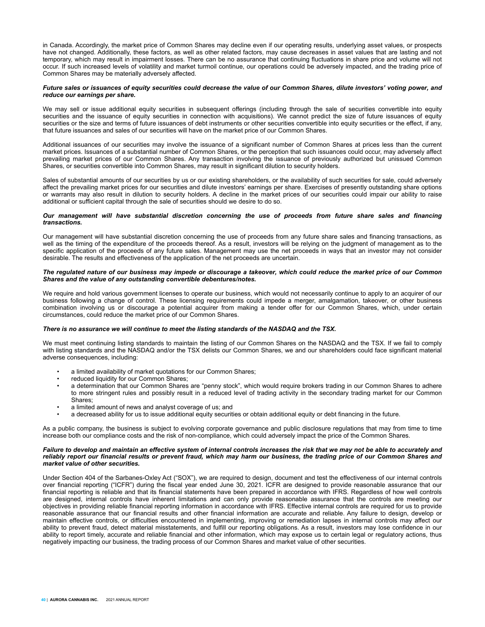in Canada. Accordingly, the market price of Common Shares may decline even if our operating results, underlying asset values, or prospects have not changed. Additionally, these factors, as well as other related factors, may cause decreases in asset values that are lasting and not temporary, which may result in impairment losses. There can be no assurance that continuing fluctuations in share price and volume will not occur. If such increased levels of volatility and market turmoil continue, our operations could be adversely impacted, and the trading price of Common Shares may be materially adversely affected.

## *Future sales or issuances of equity securities could decrease the value of our Common Shares, dilute investors' voting power, and reduce our earnings per share.*

We may sell or issue additional equity securities in subsequent offerings (including through the sale of securities convertible into equity securities and the issuance of equity securities in connection with acquisitions). We cannot predict the size of future issuances of equity securities or the size and terms of future issuances of debt instruments or other securities convertible into equity securities or the effect, if any, that future issuances and sales of our securities will have on the market price of our Common Shares.

Additional issuances of our securities may involve the issuance of a significant number of Common Shares at prices less than the current market prices. Issuances of a substantial number of Common Shares, or the perception that such issuances could occur, may adversely affect prevailing market prices of our Common Shares. Any transaction involving the issuance of previously authorized but unissued Common Shares, or securities convertible into Common Shares, may result in significant dilution to security holders.

Sales of substantial amounts of our securities by us or our existing shareholders, or the availability of such securities for sale, could adversely affect the prevailing market prices for our securities and dilute investors' earnings per share. Exercises of presently outstanding share options or warrants may also result in dilution to security holders. A decline in the market prices of our securities could impair our ability to raise additional or sufficient capital through the sale of securities should we desire to do so.

## *Our management will have substantial discretion concerning the use of proceeds from future share sales and financing transactions.*

Our management will have substantial discretion concerning the use of proceeds from any future share sales and financing transactions, as well as the timing of the expenditure of the proceeds thereof. As a result, investors will be relying on the judgment of management as to the specific application of the proceeds of any future sales. Management may use the net proceeds in ways that an investor may not consider desirable. The results and effectiveness of the application of the net proceeds are uncertain.

#### *The regulated nature of our business may impede or discourage a takeover, which could reduce the market price of our Common Shares and the value of any outstanding convertible debentures/notes.*

We require and hold various government licenses to operate our business, which would not necessarily continue to apply to an acquirer of our business following a change of control. These licensing requirements could impede a merger, amalgamation, takeover, or other business combination involving us or discourage a potential acquirer from making a tender offer for our Common Shares, which, under certain circumstances, could reduce the market price of our Common Shares.

# *There is no assurance we will continue to meet the listing standards of the NASDAQ and the TSX.*

We must meet continuing listing standards to maintain the listing of our Common Shares on the NASDAQ and the TSX. If we fail to comply with listing standards and the NASDAQ and/or the TSX delists our Common Shares, we and our shareholders could face significant material adverse consequences, including:

- a limited availability of market quotations for our Common Shares;
- reduced liquidity for our Common Shares;
- a determination that our Common Shares are "penny stock", which would require brokers trading in our Common Shares to adhere to more stringent rules and possibly result in a reduced level of trading activity in the secondary trading market for our Common Shares;
- a limited amount of news and analyst coverage of us; and
- a decreased ability for us to issue additional equity securities or obtain additional equity or debt financing in the future.

As a public company, the business is subject to evolving corporate governance and public disclosure regulations that may from time to time increase both our compliance costs and the risk of non-compliance, which could adversely impact the price of the Common Shares.

#### *Failure to develop and maintain an effective system of internal controls increases the risk that we may not be able to accurately and reliably report our financial results or prevent fraud, which may harm our business, the trading price of our Common Shares and market value of other securities.*

Under Section 404 of the Sarbanes-Oxley Act ("SOX"), we are required to design, document and test the effectiveness of our internal controls over financial reporting ("ICFR") during the fiscal year ended June 30, 2021. ICFR are designed to provide reasonable assurance that our financial reporting is reliable and that its financial statements have been prepared in accordance with IFRS. Regardless of how well controls are designed, internal controls have inherent limitations and can only provide reasonable assurance that the controls are meeting our objectives in providing reliable financial reporting information in accordance with IFRS. Effective internal controls are required for us to provide reasonable assurance that our financial results and other financial information are accurate and reliable. Any failure to design, develop or maintain effective controls, or difficulties encountered in implementing, improving or remediation lapses in internal controls may affect our ability to prevent fraud, detect material misstatements, and fulfill our reporting obligations. As a result, investors may lose confidence in our ability to report timely, accurate and reliable financial and other information, which may expose us to certain legal or regulatory actions, thus negatively impacting our business, the trading process of our Common Shares and market value of other securities.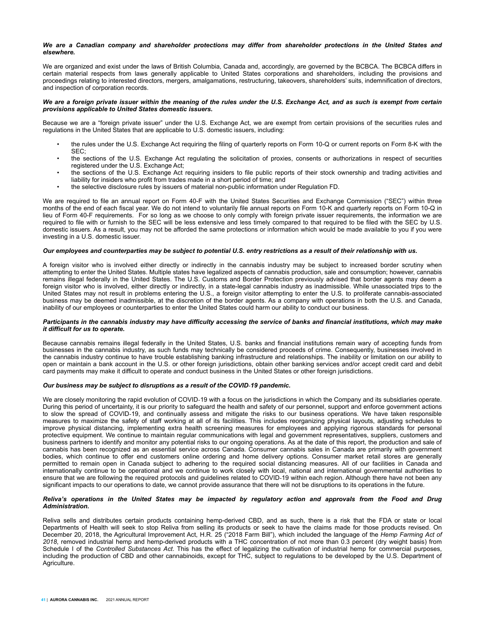# *We are a Canadian company and shareholder protections may differ from shareholder protections in the United States and elsewhere.*

We are organized and exist under the laws of British Columbia, Canada and, accordingly, are governed by the BCBCA. The BCBCA differs in certain material respects from laws generally applicable to United States corporations and shareholders, including the provisions and proceedings relating to interested directors, mergers, amalgamations, restructuring, takeovers, shareholders' suits, indemnification of directors, and inspection of corporation records.

## *We are a foreign private issuer within the meaning of the rules under the U.S. Exchange Act, and as such is exempt from certain provisions applicable to United States domestic issuers.*

Because we are a "foreign private issuer" under the U.S. Exchange Act, we are exempt from certain provisions of the securities rules and regulations in the United States that are applicable to U.S. domestic issuers, including:

- the rules under the U.S. Exchange Act requiring the filing of quarterly reports on Form 10-Q or current reports on Form 8-K with the SEC;
- the sections of the U.S. Exchange Act regulating the solicitation of proxies, consents or authorizations in respect of securities registered under the U.S. Exchange Act;
- the sections of the U.S. Exchange Act requiring insiders to file public reports of their stock ownership and trading activities and liability for insiders who profit from trades made in a short period of time; and
- the selective disclosure rules by issuers of material non-public information under Regulation FD.

We are required to file an annual report on Form 40-F with the United States Securities and Exchange Commission ("SEC") within three months of the end of each fiscal year. We do not intend to voluntarily file annual reports on Form 10-K and quarterly reports on Form 10-Q in lieu of Form 40-F requirements. For so long as we choose to only comply with foreign private issuer requirements, the information we are required to file with or furnish to the SEC will be less extensive and less timely compared to that required to be filed with the SEC by U.S. domestic issuers. As a result, you may not be afforded the same protections or information which would be made available to you if you were investing in a U.S. domestic issuer.

#### *Our employees and counterparties may be subject to potential U.S. entry restrictions as a result of their relationship with us.*

A foreign visitor who is involved either directly or indirectly in the cannabis industry may be subject to increased border scrutiny when attempting to enter the United States. Multiple states have legalized aspects of cannabis production, sale and consumption; however, cannabis remains illegal federally in the United States. The U.S. Customs and Border Protection previously advised that border agents may deem a foreign visitor who is involved, either directly or indirectly, in a state-legal cannabis industry as inadmissible. While unassociated trips to the United States may not result in problems entering the U.S., a foreign visitor attempting to enter the U.S. to proliferate cannabis-associated business may be deemed inadmissible, at the discretion of the border agents. As a company with operations in both the U.S. and Canada, inability of our employees or counterparties to enter the United States could harm our ability to conduct our business.

#### *Participants in the cannabis industry may have difficulty accessing the service of banks and financial institutions, which may make it difficult for us to operate.*

Because cannabis remains illegal federally in the United States, U.S. banks and financial institutions remain wary of accepting funds from businesses in the cannabis industry, as such funds may technically be considered proceeds of crime. Consequently, businesses involved in the cannabis industry continue to have trouble establishing banking infrastructure and relationships. The inability or limitation on our ability to open or maintain a bank account in the U.S. or other foreign jurisdictions, obtain other banking services and/or accept credit card and debit card payments may make it difficult to operate and conduct business in the United States or other foreign jurisdictions.

# *Our business may be subject to disruptions as a result of the COVID*‑*19 pandemic.*

We are closely monitoring the rapid evolution of COVID-19 with a focus on the jurisdictions in which the Company and its subsidiaries operate. During this period of uncertainty, it is our priority to safeguard the health and safety of our personnel, support and enforce government actions to slow the spread of COVID‑19, and continually assess and mitigate the risks to our business operations. We have taken responsible measures to maximize the safety of staff working at all of its facilities. This includes reorganizing physical layouts, adjusting schedules to improve physical distancing, implementing extra health screening measures for employees and applying rigorous standards for personal protective equipment. We continue to maintain regular communications with legal and government representatives, suppliers, customers and business partners to identify and monitor any potential risks to our ongoing operations. As at the date of this report, the production and sale of cannabis has been recognized as an essential service across Canada. Consumer cannabis sales in Canada are primarily with government bodies, which continue to offer end customers online ordering and home delivery options. Consumer market retail stores are generally permitted to remain open in Canada subject to adhering to the required social distancing measures. All of our facilities in Canada and internationally continue to be operational and we continue to work closely with local, national and international governmental authorities to ensure that we are following the required protocols and guidelines related to COVID-19 within each region. Although there have not been any significant impacts to our operations to date, we cannot provide assurance that there will not be disruptions to its operations in the future.

#### *Reliva's operations in the United States may be impacted by regulatory action and approvals from the Food and Drug Administration.*

Reliva sells and distributes certain products containing hemp-derived CBD, and as such, there is a risk that the FDA or state or local Departments of Health will seek to stop Reliva from selling its products or seek to have the claims made for those products revised. On December 20, 2018, the Agricultural Improvement Act, H.R. 25 ("2018 Farm Bill"), which included the language of the *Hemp Farming Act of 2018*, removed industrial hemp and hemp-derived products with a THC concentration of not more than 0.3 percent (dry weight basis) from Schedule I of the *Controlled Substances Act*. This has the effect of legalizing the cultivation of industrial hemp for commercial purposes, including the production of CBD and other cannabinoids, except for THC, subject to regulations to be developed by the U.S. Department of Agriculture.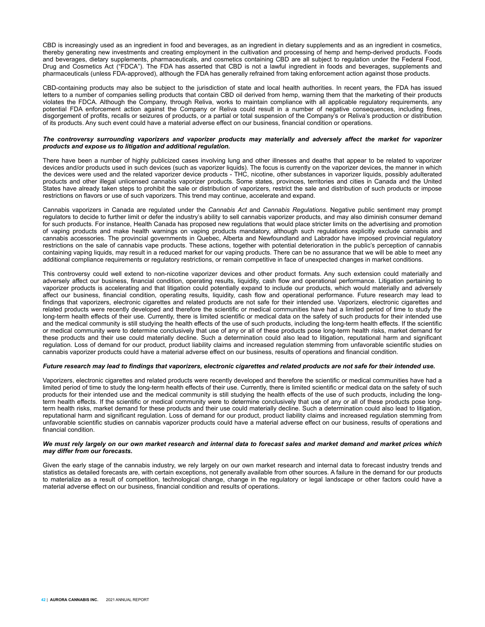CBD is increasingly used as an ingredient in food and beverages, as an ingredient in dietary supplements and as an ingredient in cosmetics, thereby generating new investments and creating employment in the cultivation and processing of hemp and hemp-derived products. Foods and beverages, dietary supplements, pharmaceuticals, and cosmetics containing CBD are all subject to regulation under the Federal Food, Drug and Cosmetics Act ("FDCA"). The FDA has asserted that CBD is not a lawful ingredient in foods and beverages, supplements and pharmaceuticals (unless FDA-approved), although the FDA has generally refrained from taking enforcement action against those products.

CBD-containing products may also be subject to the jurisdiction of state and local health authorities. In recent years, the FDA has issued letters to a number of companies selling products that contain CBD oil derived from hemp, warning them that the marketing of their products violates the FDCA. Although the Company, through Reliva, works to maintain compliance with all applicable regulatory requirements, any potential FDA enforcement action against the Company or Reliva could result in a number of negative consequences, including fines, disgorgement of profits, recalls or seizures of products, or a partial or total suspension of the Company's or Reliva's production or distribution of its products. Any such event could have a material adverse effect on our business, financial condition or operations.

#### *The controversy surrounding vaporizers and vaporizer products may materially and adversely affect the market for vaporizer products and expose us to litigation and additional regulation.*

There have been a number of highly publicized cases involving lung and other illnesses and deaths that appear to be related to vaporizer devices and/or products used in such devices (such as vaporizer liquids). The focus is currently on the vaporizer devices, the manner in which the devices were used and the related vaporizer device products - THC, nicotine, other substances in vaporizer liquids, possibly adulterated products and other illegal unlicensed cannabis vaporizer products. Some states, provinces, territories and cities in Canada and the United States have already taken steps to prohibit the sale or distribution of vaporizers, restrict the sale and distribution of such products or impose restrictions on flavors or use of such vaporizers. This trend may continue, accelerate and expand.

Cannabis vaporizers in Canada are regulated under the *Cannabis Act* and *Cannabis Regulations*. Negative public sentiment may prompt regulators to decide to further limit or defer the industry's ability to sell cannabis vaporizer products, and may also diminish consumer demand for such products. For instance, Health Canada has proposed new regulations that would place stricter limits on the advertising and promotion of vaping products and make health warnings on vaping products mandatory, although such regulations explicitly exclude cannabis and cannabis accessories. The provincial governments in Quebec, Alberta and Newfoundland and Labrador have imposed provincial regulatory restrictions on the sale of cannabis vape products. These actions, together with potential deterioration in the public's perception of cannabis containing vaping liquids, may result in a reduced market for our vaping products. There can be no assurance that we will be able to meet any additional compliance requirements or regulatory restrictions, or remain competitive in face of unexpected changes in market conditions.

This controversy could well extend to non-nicotine vaporizer devices and other product formats. Any such extension could materially and adversely affect our business, financial condition, operating results, liquidity, cash flow and operational performance. Litigation pertaining to vaporizer products is accelerating and that litigation could potentially expand to include our products, which would materially and adversely affect our business, financial condition, operating results, liquidity, cash flow and operational performance. Future research may lead to findings that vaporizers, electronic cigarettes and related products are not safe for their intended use. Vaporizers, electronic cigarettes and related products were recently developed and therefore the scientific or medical communities have had a limited period of time to study the long-term health effects of their use. Currently, there is limited scientific or medical data on the safety of such products for their intended use and the medical community is still studying the health effects of the use of such products, including the long-term health effects. If the scientific or medical community were to determine conclusively that use of any or all of these products pose long-term health risks, market demand for these products and their use could materially decline. Such a determination could also lead to litigation, reputational harm and significant regulation. Loss of demand for our product, product liability claims and increased regulation stemming from unfavorable scientific studies on cannabis vaporizer products could have a material adverse effect on our business, results of operations and financial condition.

# *Future research may lead to findings that vaporizers, electronic cigarettes and related products are not safe for their intended use.*

Vaporizers, electronic cigarettes and related products were recently developed and therefore the scientific or medical communities have had a limited period of time to study the long-term health effects of their use. Currently, there is limited scientific or medical data on the safety of such products for their intended use and the medical community is still studying the health effects of the use of such products, including the longterm health effects. If the scientific or medical community were to determine conclusively that use of any or all of these products pose longterm health risks, market demand for these products and their use could materially decline. Such a determination could also lead to litigation, reputational harm and significant regulation. Loss of demand for our product, product liability claims and increased regulation stemming from unfavorable scientific studies on cannabis vaporizer products could have a material adverse effect on our business, results of operations and financial condition.

#### *We must rely largely on our own market research and internal data to forecast sales and market demand and market prices which may differ from our forecasts.*

Given the early stage of the cannabis industry, we rely largely on our own market research and internal data to forecast industry trends and statistics as detailed forecasts are, with certain exceptions, not generally available from other sources. A failure in the demand for our products to materialize as a result of competition, technological change, change in the regulatory or legal landscape or other factors could have a material adverse effect on our business, financial condition and results of operations.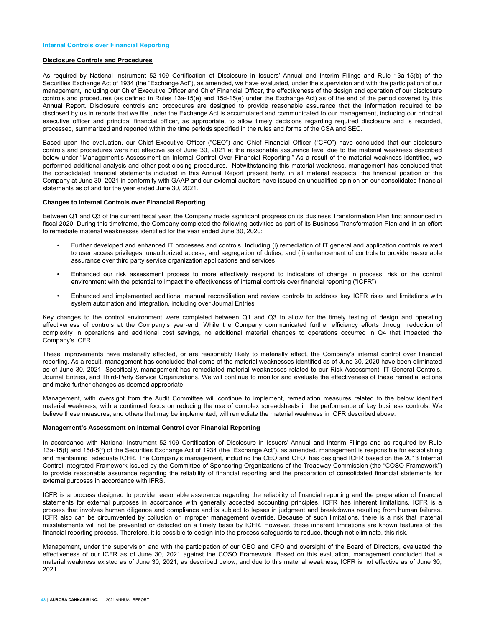#### <span id="page-42-0"></span>**Internal Controls over Financial Reporting**

## **Disclosure Controls and Procedures**

As required by National Instrument 52-109 Certification of Disclosure in Issuers' Annual and Interim Filings and Rule 13a-15(b) of the Securities Exchange Act of 1934 (the "Exchange Act"), as amended, we have evaluated, under the supervision and with the participation of our management, including our Chief Executive Officer and Chief Financial Officer, the effectiveness of the design and operation of our disclosure controls and procedures (as defined in Rules 13a-15(e) and 15d-15(e) under the Exchange Act) as of the end of the period covered by this Annual Report. Disclosure controls and procedures are designed to provide reasonable assurance that the information required to be disclosed by us in reports that we file under the Exchange Act is accumulated and communicated to our management, including our principal executive officer and principal financial officer, as appropriate, to allow timely decisions regarding required disclosure and is recorded, processed, summarized and reported within the time periods specified in the rules and forms of the CSA and SEC.

Based upon the evaluation, our Chief Executive Officer ("CEO") and Chief Financial Officer ("CFO") have concluded that our disclosure controls and procedures were not effective as of June 30, 2021 at the reasonable assurance level due to the material weakness described below under "Management's Assessment on Internal Control Over Financial Reporting." As a result of the material weakness identified, we performed additional analysis and other post-closing procedures. Notwithstanding this material weakness, management has concluded that the consolidated financial statements included in this Annual Report present fairly, in all material respects, the financial position of the Company at June 30, 2021 in conformity with GAAP and our external auditors have issued an unqualified opinion on our consolidated financial statements as of and for the year ended June 30, 2021.

# **Changes to Internal Controls over Financial Reporting**

Between Q1 and Q3 of the current fiscal year, the Company made significant progress on its Business Transformation Plan first announced in fiscal 2020. During this timeframe, the Company completed the following activities as part of its Business Transformation Plan and in an effort to remediate material weaknesses identified for the year ended June 30, 2020:

- Further developed and enhanced IT processes and controls. Including (i) remediation of IT general and application controls related to user access privileges, unauthorized access, and segregation of duties, and (ii) enhancement of controls to provide reasonable assurance over third party service organization applications and services
- Enhanced our risk assessment process to more effectively respond to indicators of change in process, risk or the control environment with the potential to impact the effectiveness of internal controls over financial reporting ("ICFR")
- Enhanced and implemented additional manual reconciliation and review controls to address key ICFR risks and limitations with system automation and integration, including over Journal Entries

Key changes to the control environment were completed between Q1 and Q3 to allow for the timely testing of design and operating effectiveness of controls at the Company's year-end. While the Company communicated further efficiency efforts through reduction of complexity in operations and additional cost savings, no additional material changes to operations occurred in Q4 that impacted the Company's ICFR.

These improvements have materially affected, or are reasonably likely to materially affect, the Company's internal control over financial reporting. As a result, management has concluded that some of the material weaknesses identified as of June 30, 2020 have been eliminated as of June 30, 2021. Specifically, management has remediated material weaknesses related to our Risk Assessment, IT General Controls, Journal Entries, and Third-Party Service Organizations. We will continue to monitor and evaluate the effectiveness of these remedial actions and make further changes as deemed appropriate.

Management, with oversight from the Audit Committee will continue to implement, remediation measures related to the below identified material weakness, with a continued focus on reducing the use of complex spreadsheets in the performance of key business controls. We believe these measures, and others that may be implemented, will remediate the material weakness in ICFR described above.

# **Management's Assessment on Internal Control over Financial Reporting**

In accordance with National Instrument 52-109 Certification of Disclosure in Issuers' Annual and Interim Filings and as required by Rule 13a-15(f) and 15d-5(f) of the Securities Exchange Act of 1934 (the "Exchange Act"), as amended, management is responsible for establishing and maintaining adequate ICFR. The Company's management, including the CEO and CFO, has designed ICFR based on the 2013 Internal Control-Integrated Framework issued by the Committee of Sponsoring Organizations of the Treadway Commission (the "COSO Framework") to provide reasonable assurance regarding the reliability of financial reporting and the preparation of consolidated financial statements for external purposes in accordance with IFRS.

ICFR is a process designed to provide reasonable assurance regarding the reliability of financial reporting and the preparation of financial statements for external purposes in accordance with generally accepted accounting principles. ICFR has inherent limitations. ICFR is a process that involves human diligence and compliance and is subject to lapses in judgment and breakdowns resulting from human failures. ICFR also can be circumvented by collusion or improper management override. Because of such limitations, there is a risk that material misstatements will not be prevented or detected on a timely basis by ICFR. However, these inherent limitations are known features of the financial reporting process. Therefore, it is possible to design into the process safeguards to reduce, though not eliminate, this risk.

Management, under the supervision and with the participation of our CEO and CFO and oversight of the Board of Directors, evaluated the effectiveness of our ICFR as of June 30, 2021 against the COSO Framework. Based on this evaluation, management concluded that a material weakness existed as of June 30, 2021, as described below, and due to this material weakness, ICFR is not effective as of June 30, 2021.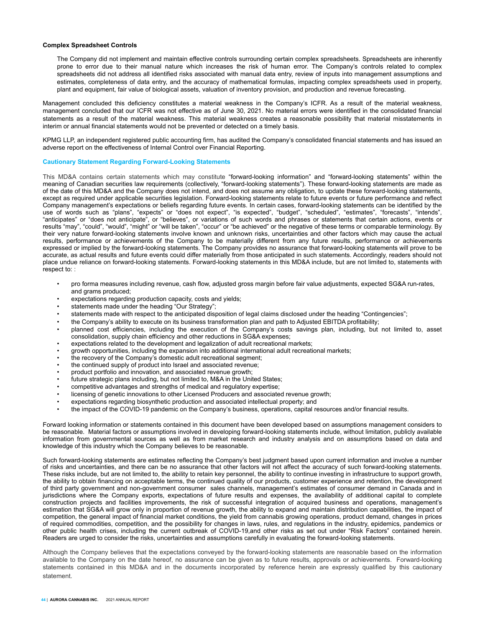#### <span id="page-43-0"></span>**Complex Spreadsheet Controls**

The Company did not implement and maintain effective controls surrounding certain complex spreadsheets. Spreadsheets are inherently prone to error due to their manual nature which increases the risk of human error. The Company's controls related to complex spreadsheets did not address all identified risks associated with manual data entry, review of inputs into management assumptions and estimates, completeness of data entry, and the accuracy of mathematical formulas, impacting complex spreadsheets used in property, plant and equipment, fair value of biological assets, valuation of inventory provision, and production and revenue forecasting.

Management concluded this deficiency constitutes a material weakness in the Company's ICFR. As a result of the material weakness, management concluded that our ICFR was not effective as of June 30, 2021. No material errors were identified in the consolidated financial statements as a result of the material weakness. This material weakness creates a reasonable possibility that material misstatements in interim or annual financial statements would not be prevented or detected on a timely basis.

KPMG LLP, an independent registered public accounting firm, has audited the Company's consolidated financial statements and has issued an adverse report on the effectiveness of Internal Control over Financial Reporting.

## **Cautionary Statement Regarding Forward-Looking Statements**

This MD&A contains certain statements which may constitute "forward-looking information" and "forward-looking statements" within the meaning of Canadian securities law requirements (collectively, "forward-looking statements"). These forward-looking statements are made as of the date of this MD&A and the Company does not intend, and does not assume any obligation, to update these forward-looking statements, except as required under applicable securities legislation. Forward-looking statements relate to future events or future performance and reflect Company management's expectations or beliefs regarding future events. In certain cases, forward-looking statements can be identified by the use of words such as "plans", "expects" or "does not expect", "is expected", "budget", "scheduled", "estimates", "forecasts", "intends", "anticipates" or "does not anticipate", or "believes", or variations of such words and phrases or statements that certain actions, events or results "may", "could", "would", "might" or "will be taken", "occur" or "be achieved" or the negative of these terms or comparable terminology. By their very nature forward-looking statements involve known and unknown risks, uncertainties and other factors which may cause the actual results, performance or achievements of the Company to be materially different from any future results, performance or achievements expressed or implied by the forward-looking statements. The Company provides no assurance that forward-looking statements will prove to be accurate, as actual results and future events could differ materially from those anticipated in such statements. Accordingly, readers should not place undue reliance on forward-looking statements. Forward-looking statements in this MD&A include, but are not limited to, statements with respect to: :

- pro forma measures including revenue, cash flow, adjusted gross margin before fair value adjustments, expected SG&A run-rates, and grams produced;
- expectations regarding production capacity, costs and yields;
- statements made under the heading "Our Strategy";
- statements made with respect to the anticipated disposition of legal claims disclosed under the heading "Contingencies";
- the Company's ability to execute on its business transformation plan and path to Adjusted EBITDA profitability;
- planned cost efficiencies, including the execution of the Company's costs savings plan, including, but not limited to, asset consolidation, supply chain efficiency and other reductions in SG&A expenses;
- expectations related to the development and legalization of adult recreational markets;
- growth opportunities, including the expansion into additional international adult recreational markets;
- the recovery of the Company's domestic adult recreational segment;
- the continued supply of product into Israel and associated revenue;
- product portfolio and innovation, and associated revenue growth;
- future strategic plans including, but not limited to, M&A in the United States;
- competitive advantages and strengths of medical and regulatory expertise;
- licensing of genetic innovations to other Licensed Producers and associated revenue growth;
- expectations regarding biosynthetic production and associated intellectual property; and
- the impact of the COVID-19 pandemic on the Company's business, operations, capital resources and/or financial results.

Forward looking information or statements contained in this document have been developed based on assumptions management considers to be reasonable. Material factors or assumptions involved in developing forward-looking statements include, without limitation, publicly available information from governmental sources as well as from market research and industry analysis and on assumptions based on data and knowledge of this industry which the Company believes to be reasonable.

Such forward-looking statements are estimates reflecting the Company's best judgment based upon current information and involve a number of risks and uncertainties, and there can be no assurance that other factors will not affect the accuracy of such forward-looking statements. These risks include, but are not limited to, the ability to retain key personnel, the ability to continue investing in infrastructure to support growth, the ability to obtain financing on acceptable terms, the continued quality of our products, customer experience and retention, the development of third party government and non-government consumer sales channels, management's estimates of consumer demand in Canada and in jurisdictions where the Company exports, expectations of future results and expenses, the availability of additional capital to complete construction projects and facilities improvements, the risk of successful integration of acquired business and operations, management's estimation that SG&A will grow only in proportion of revenue growth, the ability to expand and maintain distribution capabilities, the impact of competition, the general impact of financial market conditions, the yield from cannabis growing operations, product demand, changes in prices of required commodities, competition, and the possibility for changes in laws, rules, and regulations in the industry, epidemics, pandemics or other public health crises, including the current outbreak of COVID-19,and other risks as set out under "Risk Factors" contained herein. Readers are urged to consider the risks, uncertainties and assumptions carefully in evaluating the forward-looking statements.

Although the Company believes that the expectations conveyed by the forward-looking statements are reasonable based on the information available to the Company on the date hereof, no assurance can be given as to future results, approvals or achievements. Forward-looking statements contained in this MD&A and in the documents incorporated by reference herein are expressly qualified by this cautionary statement.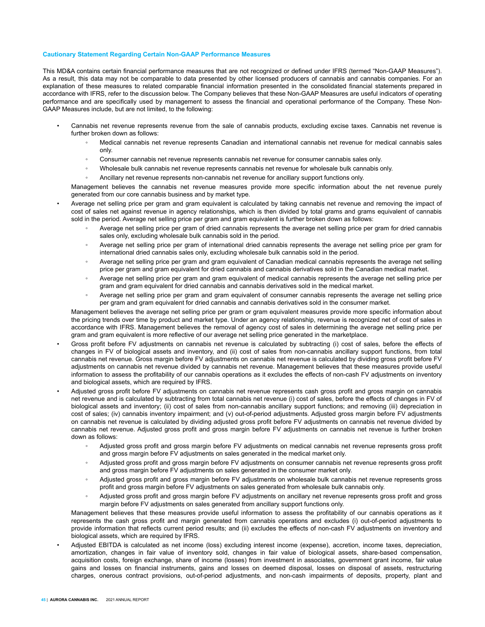## <span id="page-44-0"></span>**Cautionary Statement Regarding Certain Non-GAAP Performance Measures**

This MD&A contains certain financial performance measures that are not recognized or defined under IFRS (termed "Non-GAAP Measures"). As a result, this data may not be comparable to data presented by other licensed producers of cannabis and cannabis companies. For an explanation of these measures to related comparable financial information presented in the consolidated financial statements prepared in accordance with IFRS, refer to the discussion below. The Company believes that these Non-GAAP Measures are useful indicators of operating performance and are specifically used by management to assess the financial and operational performance of the Company. These Non-GAAP Measures include, but are not limited, to the following:

- Cannabis net revenue represents revenue from the sale of cannabis products, excluding excise taxes. Cannabis net revenue is further broken down as follows:
	- Medical cannabis net revenue represents Canadian and international cannabis net revenue for medical cannabis sales only.
	- Consumer cannabis net revenue represents cannabis net revenue for consumer cannabis sales only.
	- Wholesale bulk cannabis net revenue represents cannabis net revenue for wholesale bulk cannabis only.
	- Ancillary net revenue represents non-cannabis net revenue for ancillary support functions only.

Management believes the cannabis net revenue measures provide more specific information about the net revenue purely generated from our core cannabis business and by market type.

- Average net selling price per gram and gram equivalent is calculated by taking cannabis net revenue and removing the impact of cost of sales net against revenue in agency relationships, which is then divided by total grams and grams equivalent of cannabis sold in the period. Average net selling price per gram and gram equivalent is further broken down as follows:
	- Average net selling price per gram of dried cannabis represents the average net selling price per gram for dried cannabis sales only, excluding wholesale bulk cannabis sold in the period.
	- Average net selling price per gram of international dried cannabis represents the average net selling price per gram for international dried cannabis sales only, excluding wholesale bulk cannabis sold in the period.
	- Average net selling price per gram and gram equivalent of Canadian medical cannabis represents the average net selling price per gram and gram equivalent for dried cannabis and cannabis derivatives sold in the Canadian medical market.
	- Average net selling price per gram and gram equivalent of medical cannabis represents the average net selling price per gram and gram equivalent for dried cannabis and cannabis derivatives sold in the medical market.
	- Average net selling price per gram and gram equivalent of consumer cannabis represents the average net selling price per gram and gram equivalent for dried cannabis and cannabis derivatives sold in the consumer market.

Management believes the average net selling price per gram or gram equivalent measures provide more specific information about the pricing trends over time by product and market type. Under an agency relationship, revenue is recognized net of cost of sales in accordance with IFRS. Management believes the removal of agency cost of sales in determining the average net selling price per gram and gram equivalent is more reflective of our average net selling price generated in the marketplace.

- Gross profit before FV adjustments on cannabis net revenue is calculated by subtracting (i) cost of sales, before the effects of changes in FV of biological assets and inventory, and (ii) cost of sales from non-cannabis ancillary support functions, from total cannabis net revenue. Gross margin before FV adjustments on cannabis net revenue is calculated by dividing gross profit before FV adjustments on cannabis net revenue divided by cannabis net revenue. Management believes that these measures provide useful information to assess the profitability of our cannabis operations as it excludes the effects of non-cash FV adjustments on inventory and biological assets, which are required by IFRS.
- Adjusted gross profit before FV adjustments on cannabis net revenue represents cash gross profit and gross margin on cannabis net revenue and is calculated by subtracting from total cannabis net revenue (i) cost of sales, before the effects of changes in FV of biological assets and inventory; (ii) cost of sales from non-cannabis ancillary support functions; and removing (iii) depreciation in cost of sales; (iv) cannabis inventory impairment; and (v) out-of-period adjustments. Adjusted gross margin before FV adjustments on cannabis net revenue is calculated by dividing adjusted gross profit before FV adjustments on cannabis net revenue divided by cannabis net revenue. Adjusted gross profit and gross margin before FV adjustments on cannabis net revenue is further broken down as follows:
	- Adjusted gross profit and gross margin before FV adjustments on medical cannabis net revenue represents gross profit and gross margin before FV adjustments on sales generated in the medical market only.
	- Adjusted gross profit and gross margin before FV adjustments on consumer cannabis net revenue represents gross profit and gross margin before FV adjustments on sales generated in the consumer market only.
	- Adjusted gross profit and gross margin before FV adjustments on wholesale bulk cannabis net revenue represents gross profit and gross margin before FV adjustments on sales generated from wholesale bulk cannabis only.
	- Adjusted gross profit and gross margin before FV adjustments on ancillary net revenue represents gross profit and gross margin before FV adjustments on sales generated from ancillary support functions only.

Management believes that these measures provide useful information to assess the profitability of our cannabis operations as it represents the cash gross profit and margin generated from cannabis operations and excludes (i) out-of-period adjustments to provide information that reflects current period results; and (ii) excludes the effects of non-cash FV adjustments on inventory and biological assets, which are required by IFRS.

• Adjusted EBITDA is calculated as net income (loss) excluding interest income (expense), accretion, income taxes, depreciation, amortization, changes in fair value of inventory sold, changes in fair value of biological assets, share-based compensation, acquisition costs, foreign exchange, share of income (losses) from investment in associates, government grant income, fair value gains and losses on financial instruments, gains and losses on deemed disposal, losses on disposal of assets, restructuring charges, onerous contract provisions, out-of-period adjustments, and non-cash impairments of deposits, property, plant and